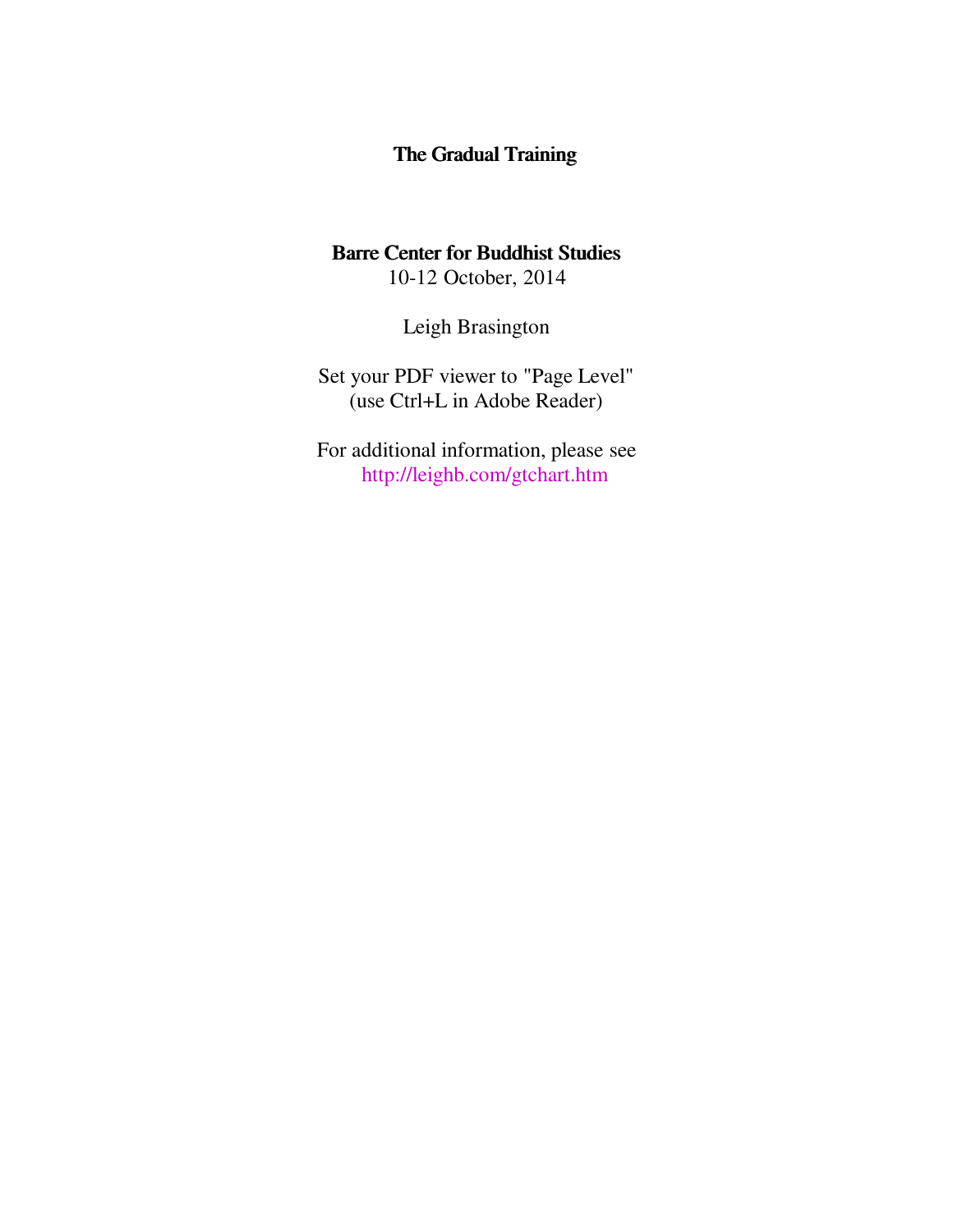## The Gradual Training

## **Barre Center for Buddhist Studies**

10-12 October, 2014

Leigh Brasington

Set your PDF viewer to "Page Level" (use Ctrl+L in Adobe Reader)

For additional information, please see http://leighb.com/gtchart.htm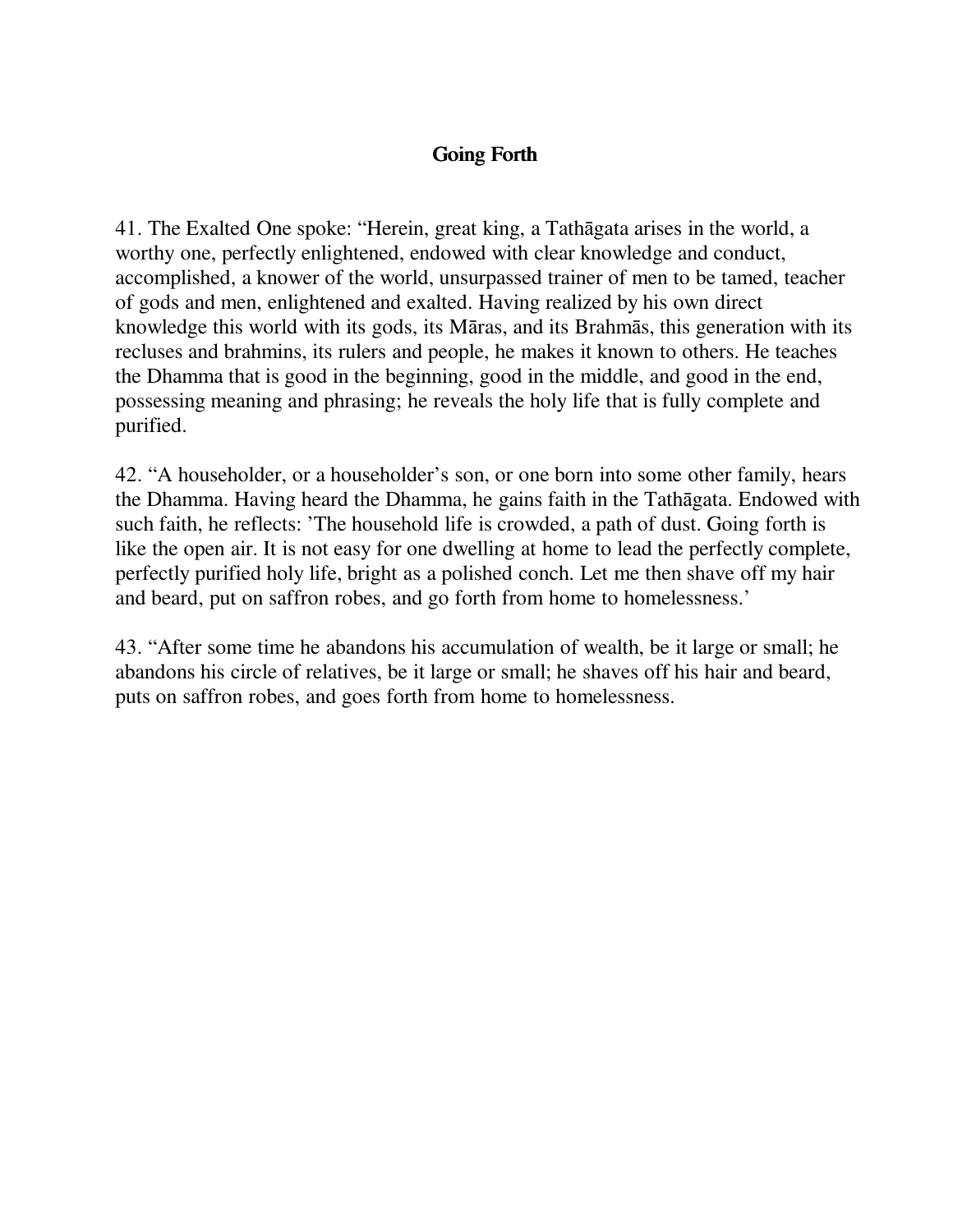# Going Forth

41. The Exalted One spoke: "Herein, great king, a Tathāgata arises in the world, a worthy one, perfectly enlightened, endowed with clear knowledge and conduct, accomplished, a knower of the world, unsurpassed trainer of men to be tamed, teacher of gods and men, enlightened and exalted. Having realized by his own direct knowledge this world with its gods, its Māras, and its Brahmās, this generation with its recluses and brahmins, its rulers and people, he makes it known to others. He teaches the Dhamma that is good in the beginning, good in the middle, and good in the end, possessing meaning and phrasing; he reveals the holy life that is fully complete and purified.

42. "A householder, or a householder's son, or one born into some other family, hears the Dhamma. Having heard the Dhamma, he gains faith in the Tathāgata. Endowed with such faith, he reflects: 'The household life is crowded, a path of dust. Going forth is like the open air. It is not easy for one dwelling at home to lead the perfectly complete, perfectly purified holy life, bright as a polished conch. Let me then shave off my hair and beard, put on saffron robes, and go forth from home to homelessness.'

43. "After some time he abandons his accumulation of wealth, be it large or small; he abandons his circle of relatives, be it large or small; he shaves off his hair and beard, puts on saffron robes, and goes forth from home to homelessness.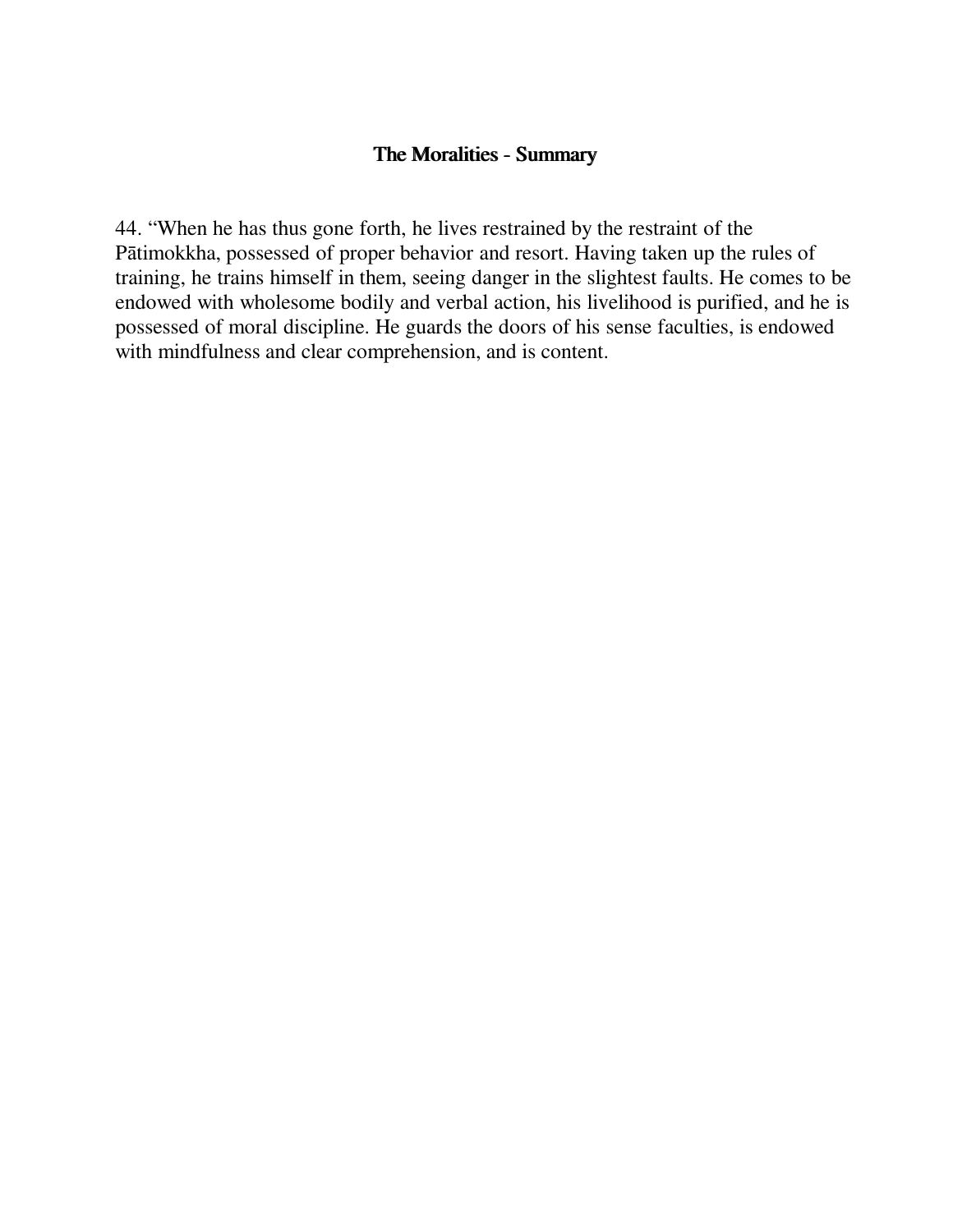#### The Moralities - Summary

44. "When he has thus gone forth, he lives restrained by the restraint of the Pātimokkha, possessed of proper behavior and resort. Having taken up the rules of training, he trains himself in them, seeing danger in the slightest faults. He comes to be endowed with wholesome bodily and verbal action, his livelihood is purified, and he is possessed of moral discipline. He guards the doors of his sense faculties, is endowed with mindfulness and clear comprehension, and is content.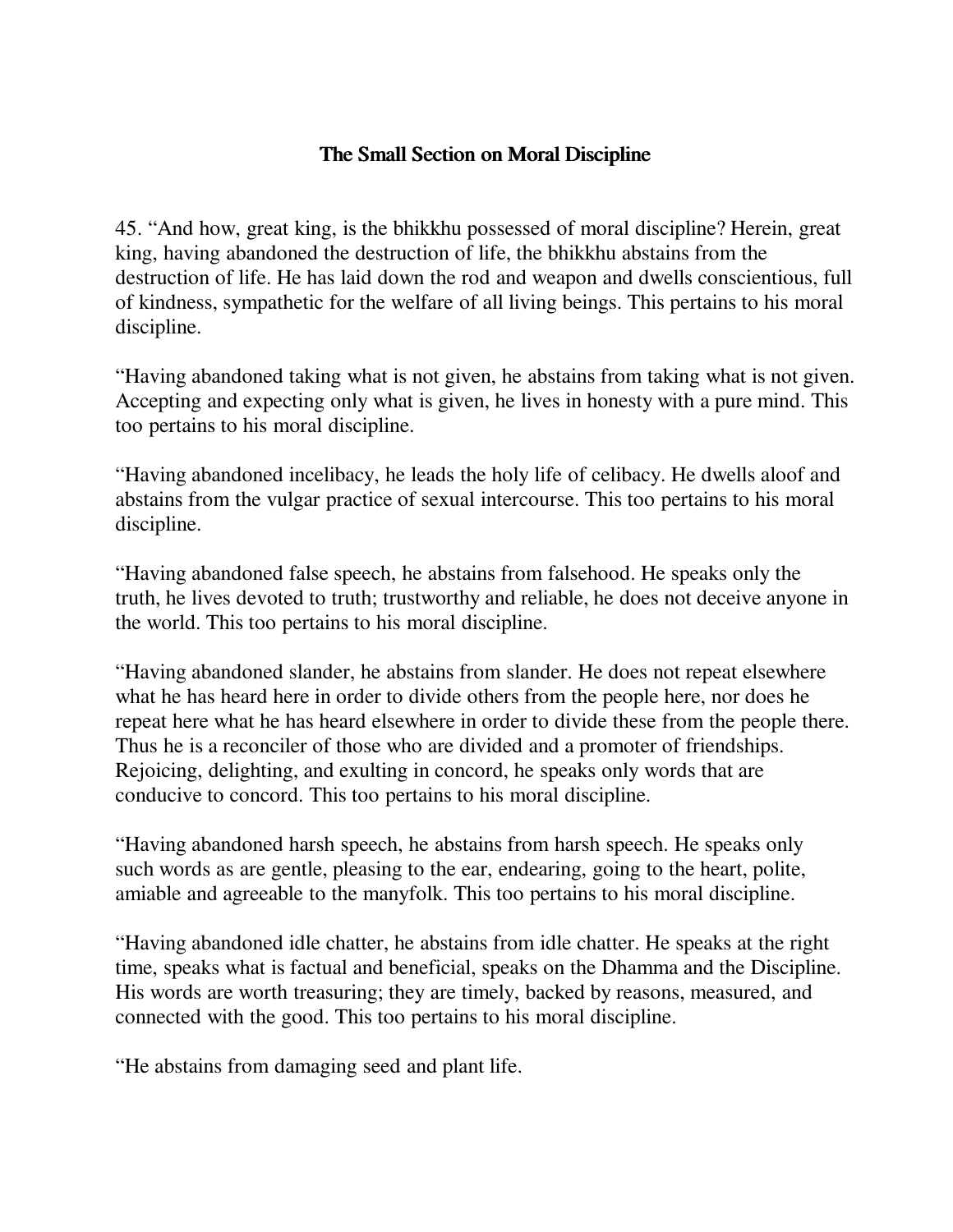# The Small Section on Moral Discipline

45. "And how, great king, is the bhikkhu possessed of moral discipline? Herein, great king, having abandoned the destruction of life, the bhikkhu abstains from the destruction of life. He has laid down the rod and weapon and dwells conscientious, full of kindness, sympathetic for the welfare of all living beings. This pertains to his moral discipline.

"Having abandoned taking what is not given, he abstains from taking what is not given. Accepting and expecting only what is given, he lives in honesty with a pure mind. This too pertains to his moral discipline.

"Having abandoned incelibacy, he leads the holy life of celibacy. He dwells aloof and abstains from the vulgar practice of sexual intercourse. This too pertains to his moral discipline.

"Having abandoned false speech, he abstains from falsehood. He speaks only the truth, he lives devoted to truth; trustworthy and reliable, he does not deceive anyone in the world. This too pertains to his moral discipline.

"Having abandoned slander, he abstains from slander. He does not repeat elsewhere what he has heard here in order to divide others from the people here, nor does he repeat here what he has heard elsewhere in order to divide these from the people there. Thus he is a reconciler of those who are divided and a promoter of friendships. Rejoicing, delighting, and exulting in concord, he speaks only words that are conducive to concord. This too pertains to his moral discipline.

"Having abandoned harsh speech, he abstains from harsh speech. He speaks only such words as are gentle, pleasing to the ear, endearing, going to the heart, polite, amiable and agreeable to the manyfolk. This too pertains to his moral discipline.

"Having abandoned idle chatter, he abstains from idle chatter. He speaks at the right time, speaks what is factual and beneficial, speaks on the Dhamma and the Discipline. His words are worth treasuring; they are timely, backed by reasons, measured, and connected with the good. This too pertains to his moral discipline.

"He abstains from damaging seed and plant life.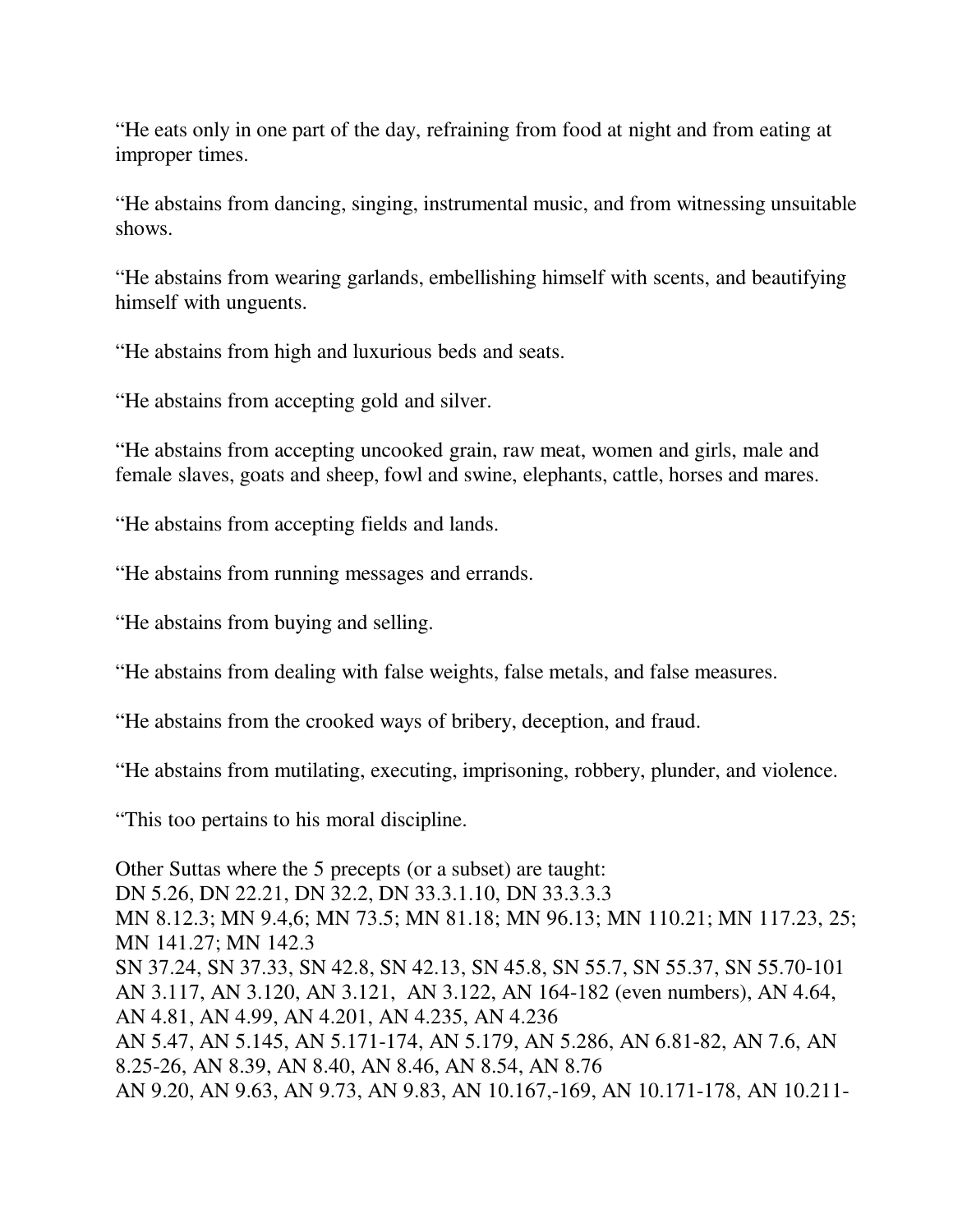"He eats only in one part of the day, refraining from food at night and from eating at improper times.

"He abstains from dancing, singing, instrumental music, and from witnessing unsuitable shows.

"He abstains from wearing garlands, embellishing himself with scents, and beautifying himself with unguents.

"He abstains from high and luxurious beds and seats.

"He abstains from accepting gold and silver.

"He abstains from accepting uncooked grain, raw meat, women and girls, male and female slaves, goats and sheep, fowl and swine, elephants, cattle, horses and mares.

"He abstains from accepting fields and lands.

"He abstains from running messages and errands.

"He abstains from buying and selling.

"He abstains from dealing with false weights, false metals, and false measures.

"He abstains from the crooked ways of bribery, deception, and fraud.

"He abstains from mutilating, executing, imprisoning, robbery, plunder, and violence.

"This too pertains to his moral discipline.

Other Suttas where the 5 precepts (or a subset) are taught: DN 5.26, DN 22.21, DN 32.2, DN 33.3.1.10, DN 33.3.3.3 MN 8.12.3; MN 9.4,6; MN 73.5; MN 81.18; MN 96.13; MN 110.21; MN 117.23, 25; MN 141.27; MN 142.3 SN 37.24, SN 37.33, SN 42.8, SN 42.13, SN 45.8, SN 55.7, SN 55.37, SN 55.70-101 AN 3.117, AN 3.120, AN 3.121, AN 3.122, AN 164-182 (even numbers), AN 4.64, AN 4.81, AN 4.99, AN 4.201, AN 4.235, AN 4.236 AN 5.47, AN 5.145, AN 5.171-174, AN 5.179, AN 5.286, AN 6.81-82, AN 7.6, AN 8.25-26, AN 8.39, AN 8.40, AN 8.46, AN 8.54, AN 8.76 AN 9.20, AN 9.63, AN 9.73, AN 9.83, AN 10.167,-169, AN 10.171-178, AN 10.211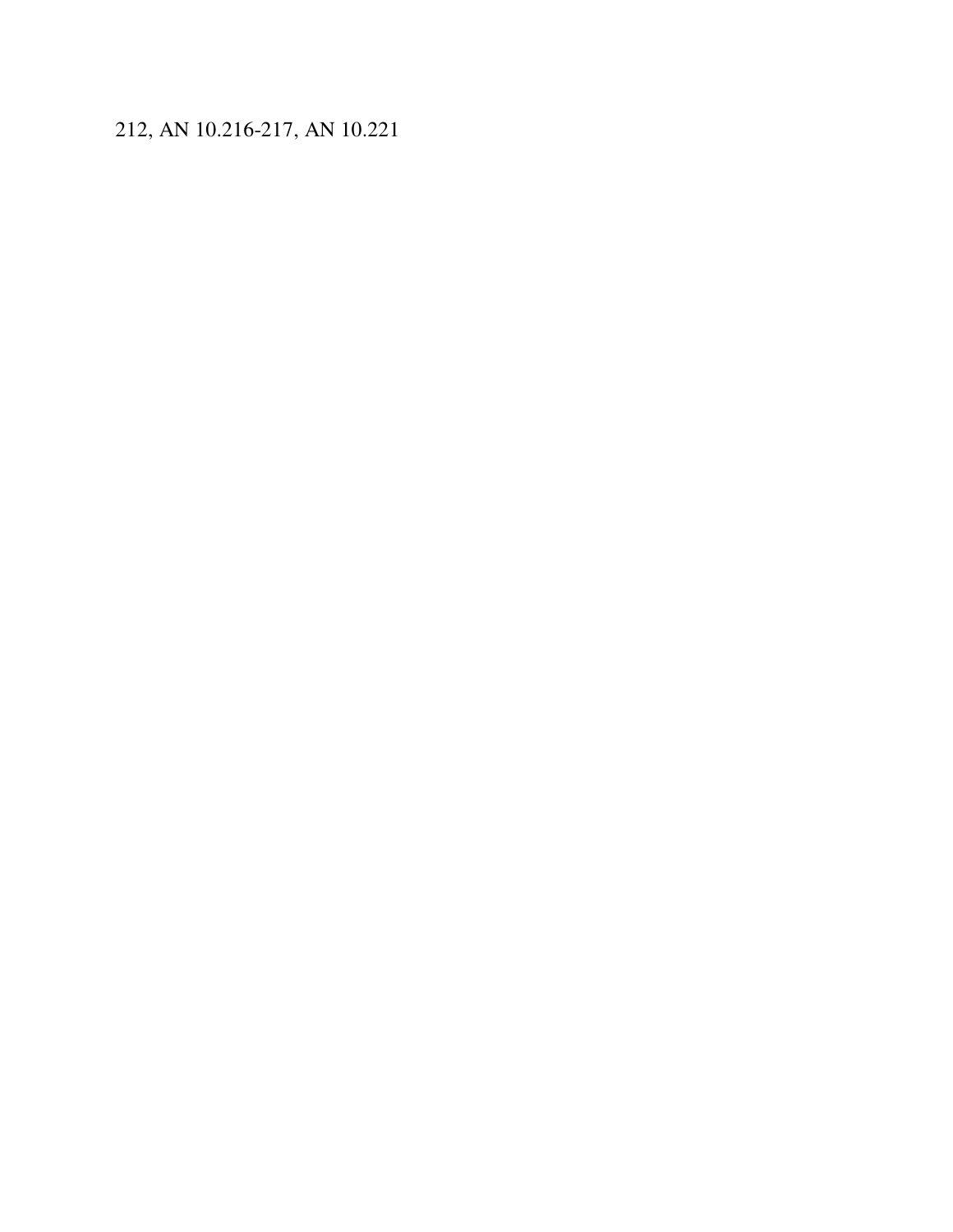212, AN 10.216-217, AN 10.221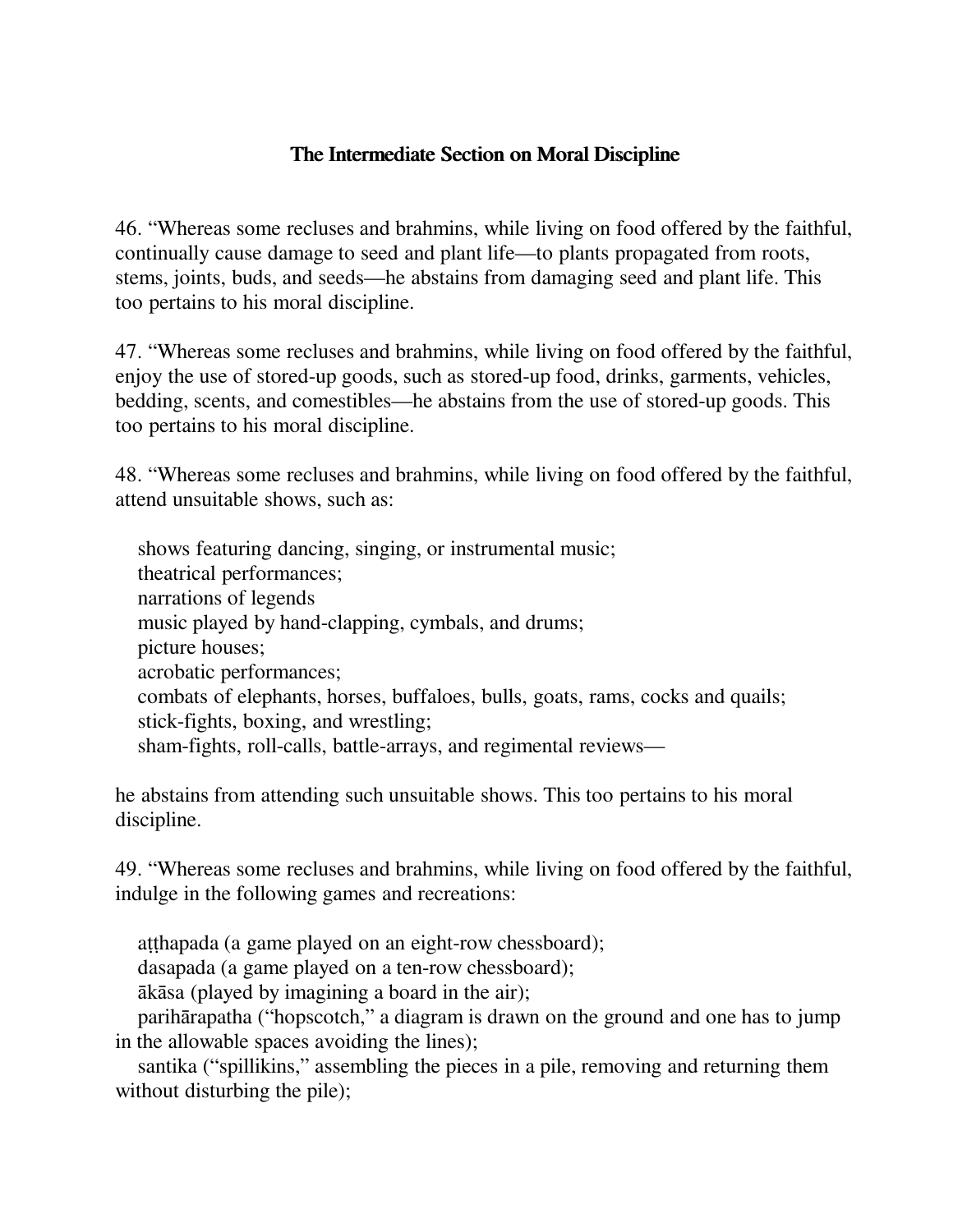# The Intermediate Section on Moral Discipline

46. "Whereas some recluses and brahmins, while living on food offered by the faithful, continually cause damage to seed and plant life—to plants propagated from roots, stems, joints, buds, and seeds—he abstains from damaging seed and plant life. This too pertains to his moral discipline.

47. "Whereas some recluses and brahmins, while living on food offered by the faithful, enjoy the use of stored-up goods, such as stored-up food, drinks, garments, vehicles, bedding, scents, and comestibles—he abstains from the use of stored-up goods. This too pertains to his moral discipline.

48. "Whereas some recluses and brahmins, while living on food offered by the faithful, attend unsuitable shows, such as:

shows featuring dancing, singing, or instrumental music; theatrical performances; narrations of legends music played by hand-clapping, cymbals, and drums; picture houses; acrobatic performances; combats of elephants, horses, buffaloes, bulls, goats, rams, cocks and quails; stick-fights, boxing, and wrestling; sham-fights, roll-calls, battle-arrays, and regimental reviews—

he abstains from attending such unsuitable shows. This too pertains to his moral discipline.

49. "Whereas some recluses and brahmins, while living on food offered by the faithful, indulge in the following games and recreations:

atthapada (a game played on an eight-row chessboard);

dasapada (a game played on a ten-row chessboard);

ākāsa (played by imagining a board in the air);

parihārapatha ("hopscotch," a diagram is drawn on the ground and one has to jump in the allowable spaces avoiding the lines);

santika ("spillikins," assembling the pieces in a pile, removing and returning them without disturbing the pile);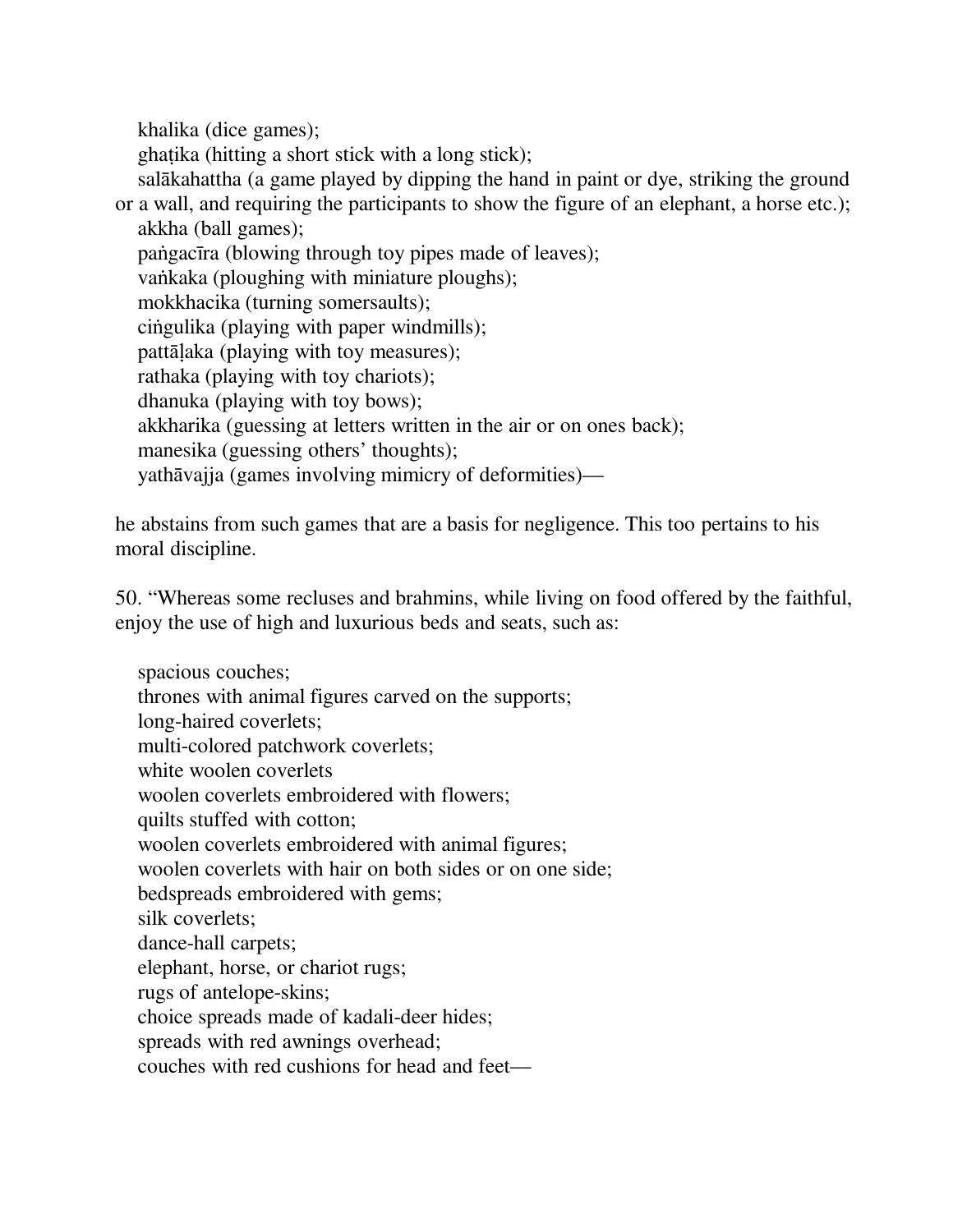khalika (dice games); ghaṭika (hitting a short stick with a long stick); salākahattha (a game played by dipping the hand in paint or dye, striking the ground or a wall, and requiring the participants to show the figure of an elephant, a horse etc.); akkha (ball games); paṅgacīra (blowing through toy pipes made of leaves); vaṅkaka (ploughing with miniature ploughs); mokkhacika (turning somersaults); ciṅgulika (playing with paper windmills); pattāḷaka (playing with toy measures); rathaka (playing with toy chariots); dhanuka (playing with toy bows); akkharika (guessing at letters written in the air or on ones back); manesika (guessing others' thoughts); yathāvajja (games involving mimicry of deformities)—

he abstains from such games that are a basis for negligence. This too pertains to his moral discipline.

50. "Whereas some recluses and brahmins, while living on food offered by the faithful, enjoy the use of high and luxurious beds and seats, such as:

spacious couches; thrones with animal figures carved on the supports; long-haired coverlets; multi-colored patchwork coverlets; white woolen coverlets woolen coverlets embroidered with flowers; quilts stuffed with cotton; woolen coverlets embroidered with animal figures; woolen coverlets with hair on both sides or on one side; bedspreads embroidered with gems; silk coverlets; dance-hall carpets; elephant, horse, or chariot rugs; rugs of antelope-skins; choice spreads made of kadali-deer hides; spreads with red awnings overhead; couches with red cushions for head and feet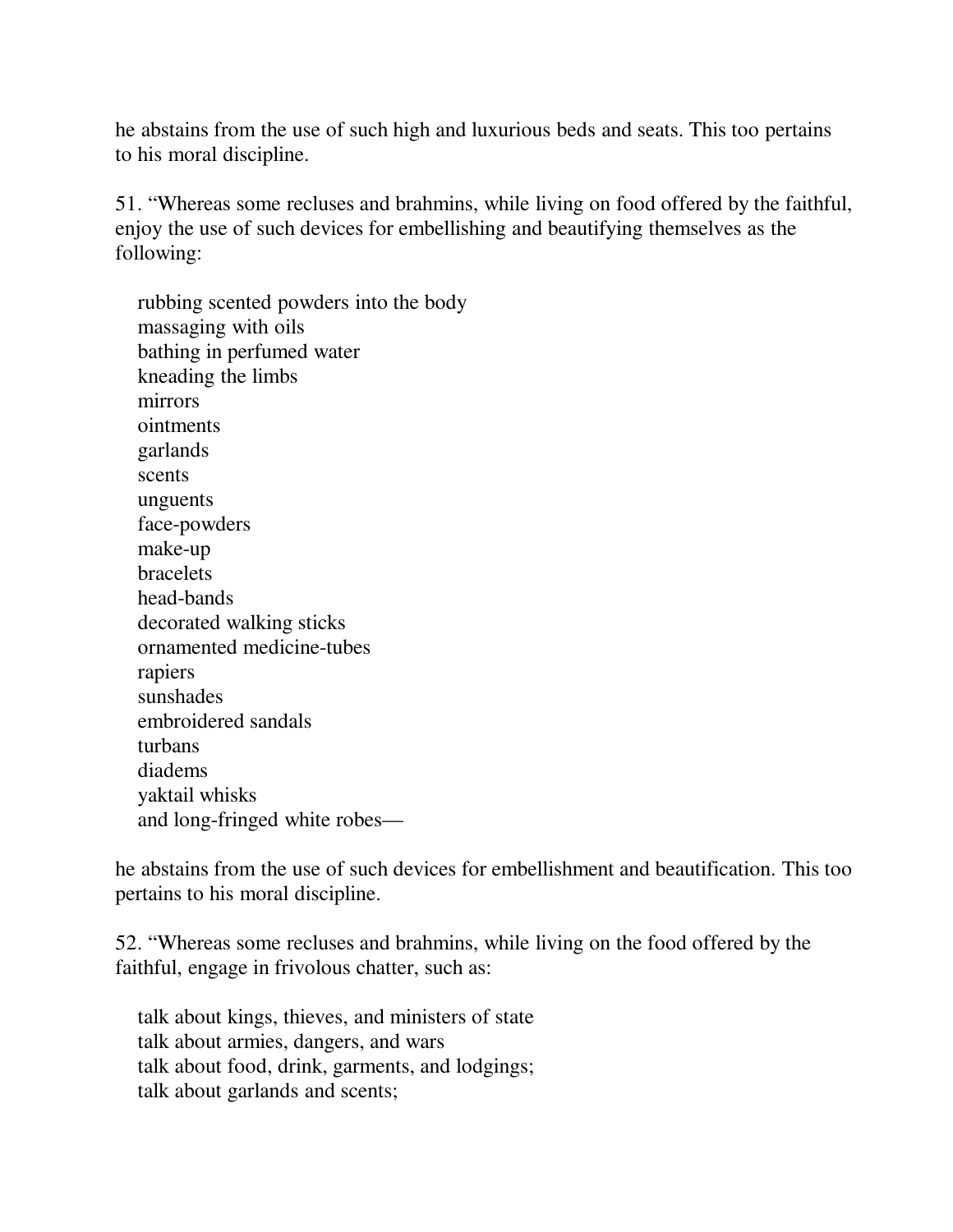he abstains from the use of such high and luxurious beds and seats. This too pertains to his moral discipline.

51. "Whereas some recluses and brahmins, while living on food offered by the faithful, enjoy the use of such devices for embellishing and beautifying themselves as the following:

rubbing scented powders into the body massaging with oils bathing in perfumed water kneading the limbs mirrors ointments garlands scents unguents face-powders make-up bracelets head-bands decorated walking sticks ornamented medicine-tubes rapiers sunshades embroidered sandals turbans diadems yaktail whisks and long-fringed white robes—

he abstains from the use of such devices for embellishment and beautification. This too pertains to his moral discipline.

52. "Whereas some recluses and brahmins, while living on the food offered by the faithful, engage in frivolous chatter, such as:

talk about kings, thieves, and ministers of state talk about armies, dangers, and wars talk about food, drink, garments, and lodgings; talk about garlands and scents;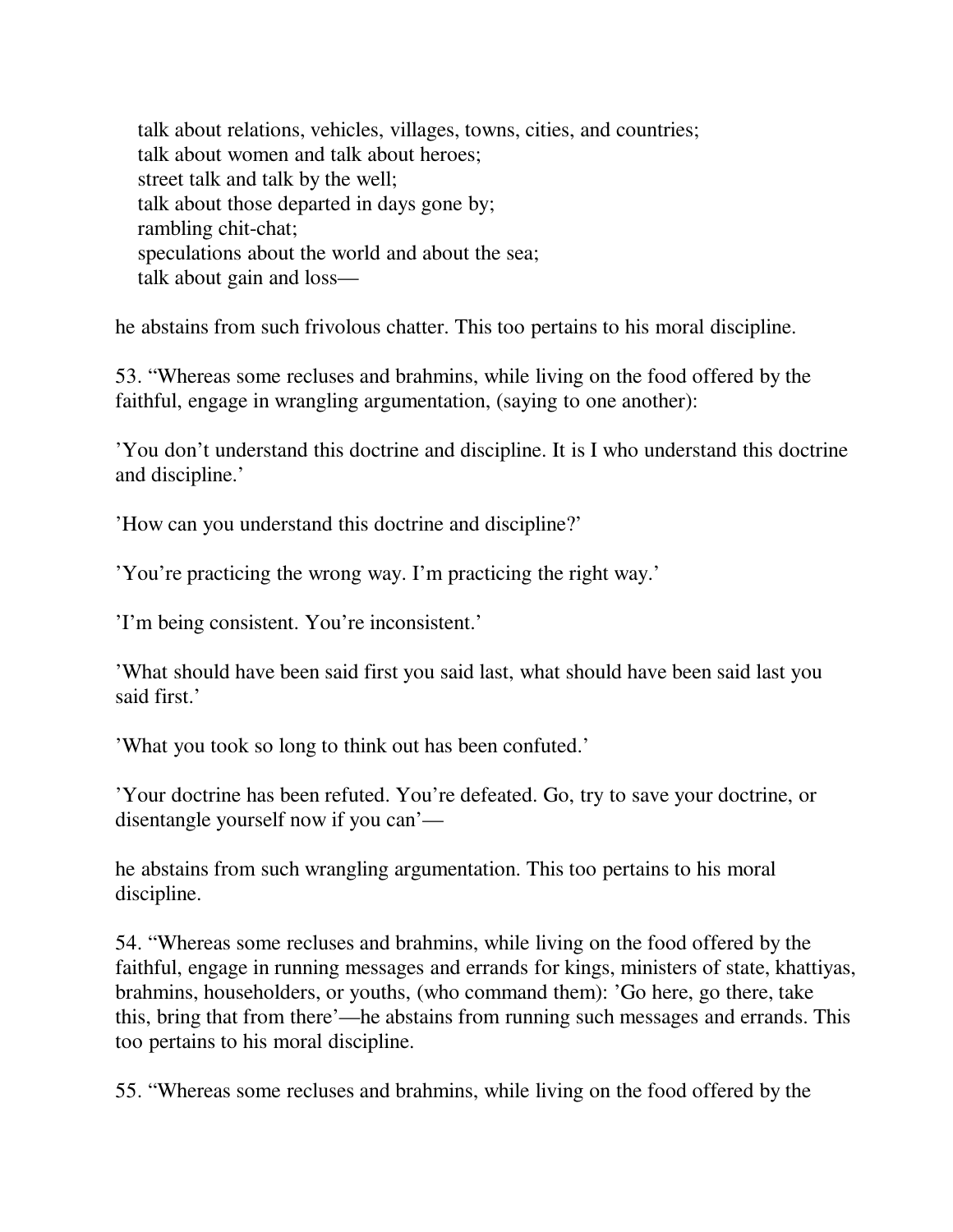talk about relations, vehicles, villages, towns, cities, and countries; talk about women and talk about heroes; street talk and talk by the well; talk about those departed in days gone by; rambling chit-chat; speculations about the world and about the sea; talk about gain and loss—

he abstains from such frivolous chatter. This too pertains to his moral discipline.

53. "Whereas some recluses and brahmins, while living on the food offered by the faithful, engage in wrangling argumentation, (saying to one another):

'You don't understand this doctrine and discipline. It is I who understand this doctrine and discipline.'

'How can you understand this doctrine and discipline?'

'You're practicing the wrong way. I'm practicing the right way.'

'I'm being consistent. You're inconsistent.'

'What should have been said first you said last, what should have been said last you said first.'

'What you took so long to think out has been confuted.'

'Your doctrine has been refuted. You're defeated. Go, try to save your doctrine, or disentangle yourself now if you can'—

he abstains from such wrangling argumentation. This too pertains to his moral discipline.

54. "Whereas some recluses and brahmins, while living on the food offered by the faithful, engage in running messages and errands for kings, ministers of state, khattiyas, brahmins, householders, or youths, (who command them): 'Go here, go there, take this, bring that from there'—he abstains from running such messages and errands. This too pertains to his moral discipline.

55. "Whereas some recluses and brahmins, while living on the food offered by the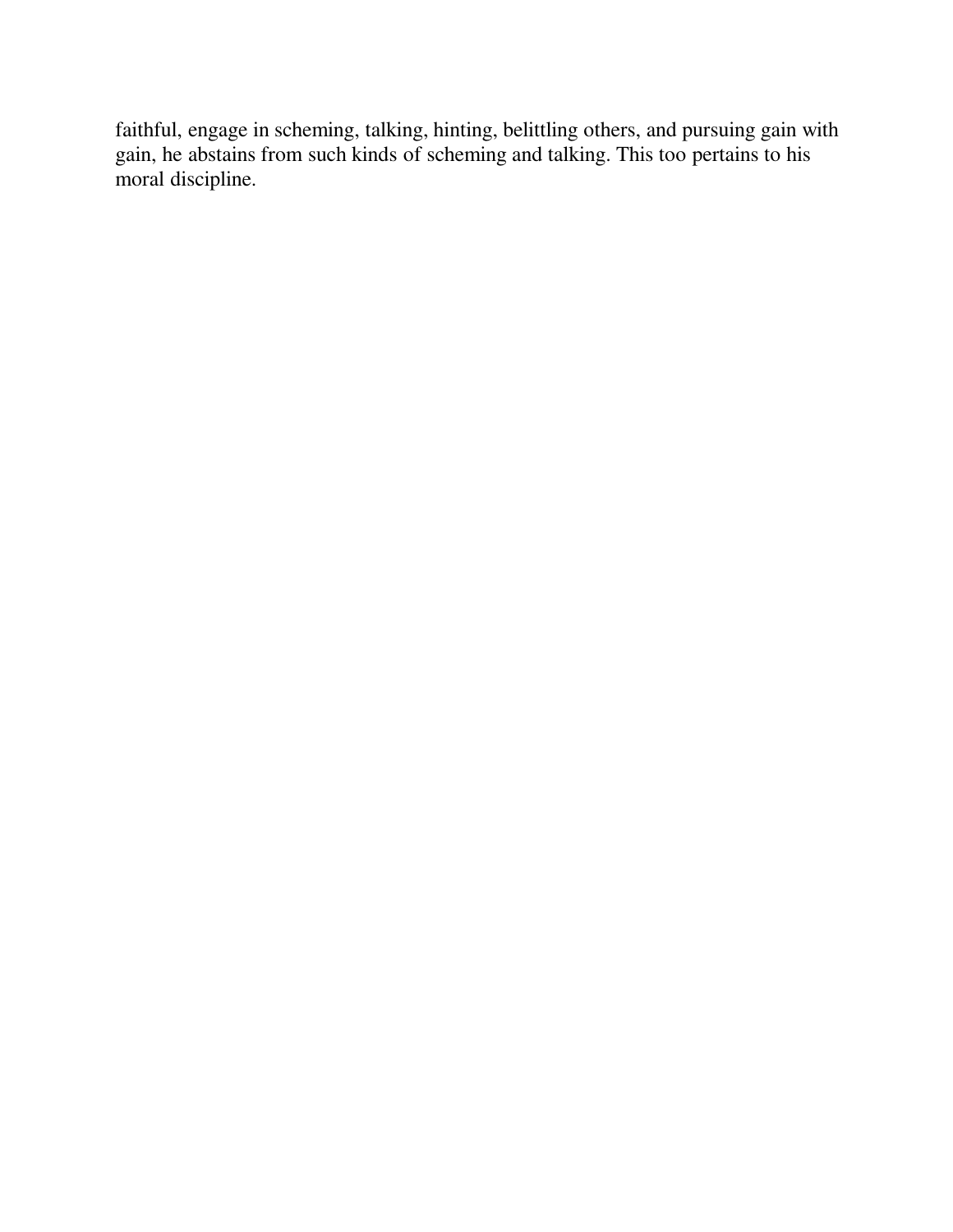faithful, engage in scheming, talking, hinting, belittling others, and pursuing gain with gain, he abstains from such kinds of scheming and talking. This too pertains to his moral discipline.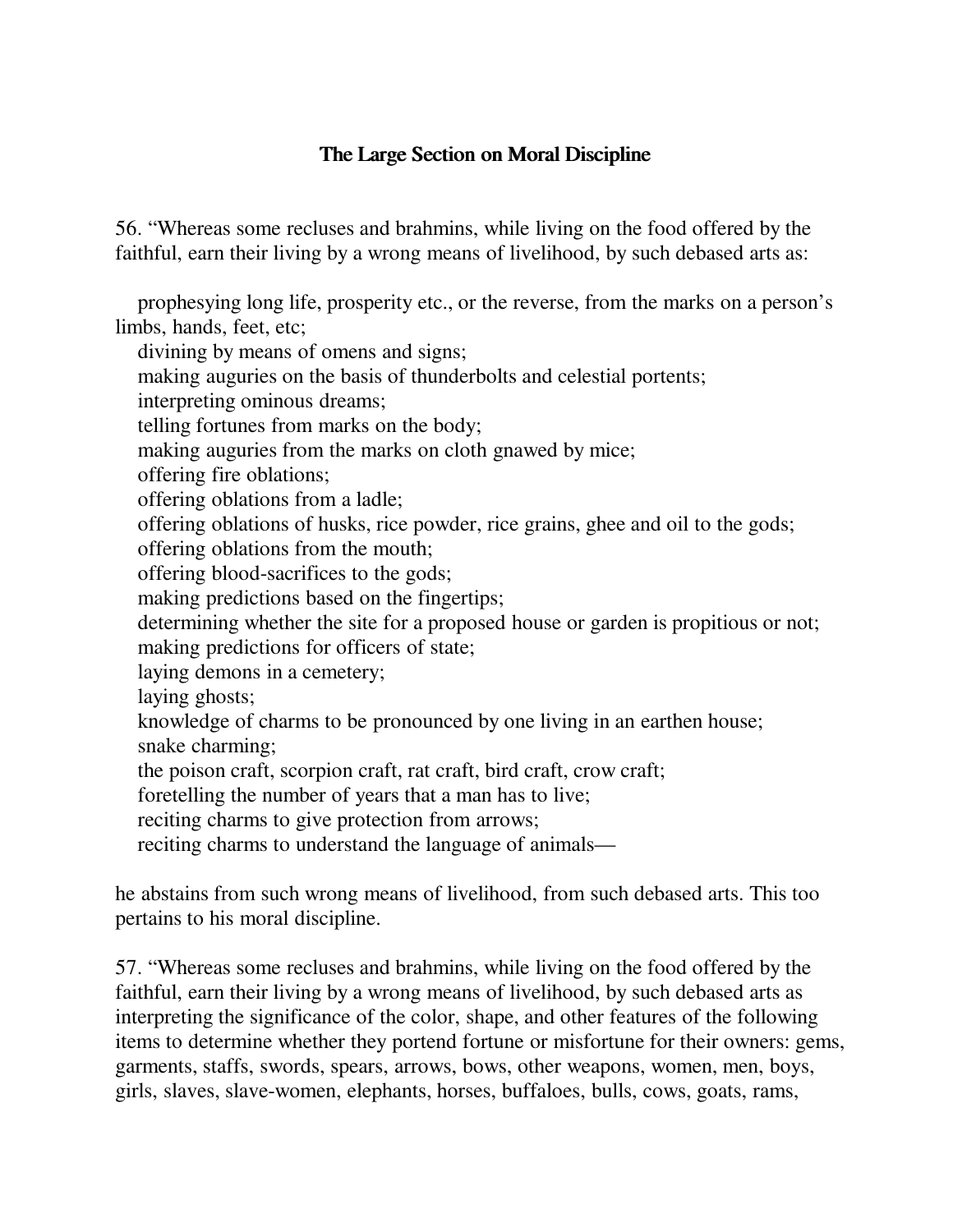# The Large Section on Moral Discipline

56. "Whereas some recluses and brahmins, while living on the food offered by the faithful, earn their living by a wrong means of livelihood, by such debased arts as:

prophesying long life, prosperity etc., or the reverse, from the marks on a person's limbs, hands, feet, etc;

divining by means of omens and signs;

making auguries on the basis of thunderbolts and celestial portents;

interpreting ominous dreams;

telling fortunes from marks on the body;

making auguries from the marks on cloth gnawed by mice;

offering fire oblations;

offering oblations from a ladle;

offering oblations of husks, rice powder, rice grains, ghee and oil to the gods;

offering oblations from the mouth;

offering blood-sacrifices to the gods;

making predictions based on the fingertips;

determining whether the site for a proposed house or garden is propitious or not; making predictions for officers of state;

laying demons in a cemetery;

laying ghosts;

knowledge of charms to be pronounced by one living in an earthen house;

snake charming;

the poison craft, scorpion craft, rat craft, bird craft, crow craft;

foretelling the number of years that a man has to live;

reciting charms to give protection from arrows;

reciting charms to understand the language of animals—

he abstains from such wrong means of livelihood, from such debased arts. This too pertains to his moral discipline.

57. "Whereas some recluses and brahmins, while living on the food offered by the faithful, earn their living by a wrong means of livelihood, by such debased arts as interpreting the significance of the color, shape, and other features of the following items to determine whether they portend fortune or misfortune for their owners: gems, garments, staffs, swords, spears, arrows, bows, other weapons, women, men, boys, girls, slaves, slave-women, elephants, horses, buffaloes, bulls, cows, goats, rams,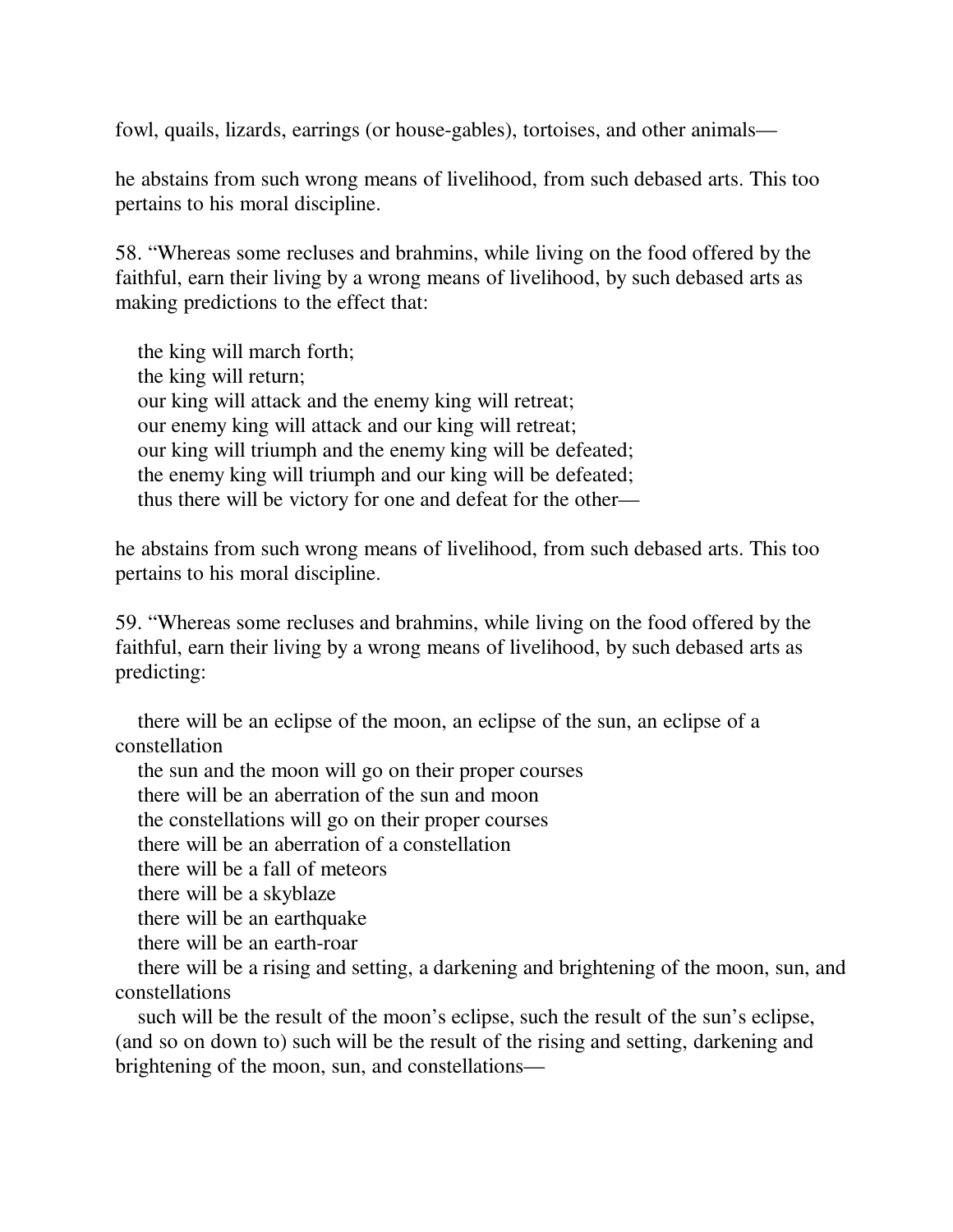fowl, quails, lizards, earrings (or house-gables), tortoises, and other animals—

he abstains from such wrong means of livelihood, from such debased arts. This too pertains to his moral discipline.

58. "Whereas some recluses and brahmins, while living on the food offered by the faithful, earn their living by a wrong means of livelihood, by such debased arts as making predictions to the effect that:

the king will march forth; the king will return; our king will attack and the enemy king will retreat; our enemy king will attack and our king will retreat; our king will triumph and the enemy king will be defeated; the enemy king will triumph and our king will be defeated; thus there will be victory for one and defeat for the other—

he abstains from such wrong means of livelihood, from such debased arts. This too pertains to his moral discipline.

59. "Whereas some recluses and brahmins, while living on the food offered by the faithful, earn their living by a wrong means of livelihood, by such debased arts as predicting:

there will be an eclipse of the moon, an eclipse of the sun, an eclipse of a constellation

the sun and the moon will go on their proper courses

there will be an aberration of the sun and moon

the constellations will go on their proper courses

there will be an aberration of a constellation

there will be a fall of meteors

there will be a skyblaze

there will be an earthquake

there will be an earth-roar

there will be a rising and setting, a darkening and brightening of the moon, sun, and constellations

such will be the result of the moon's eclipse, such the result of the sun's eclipse, (and so on down to) such will be the result of the rising and setting, darkening and brightening of the moon, sun, and constellations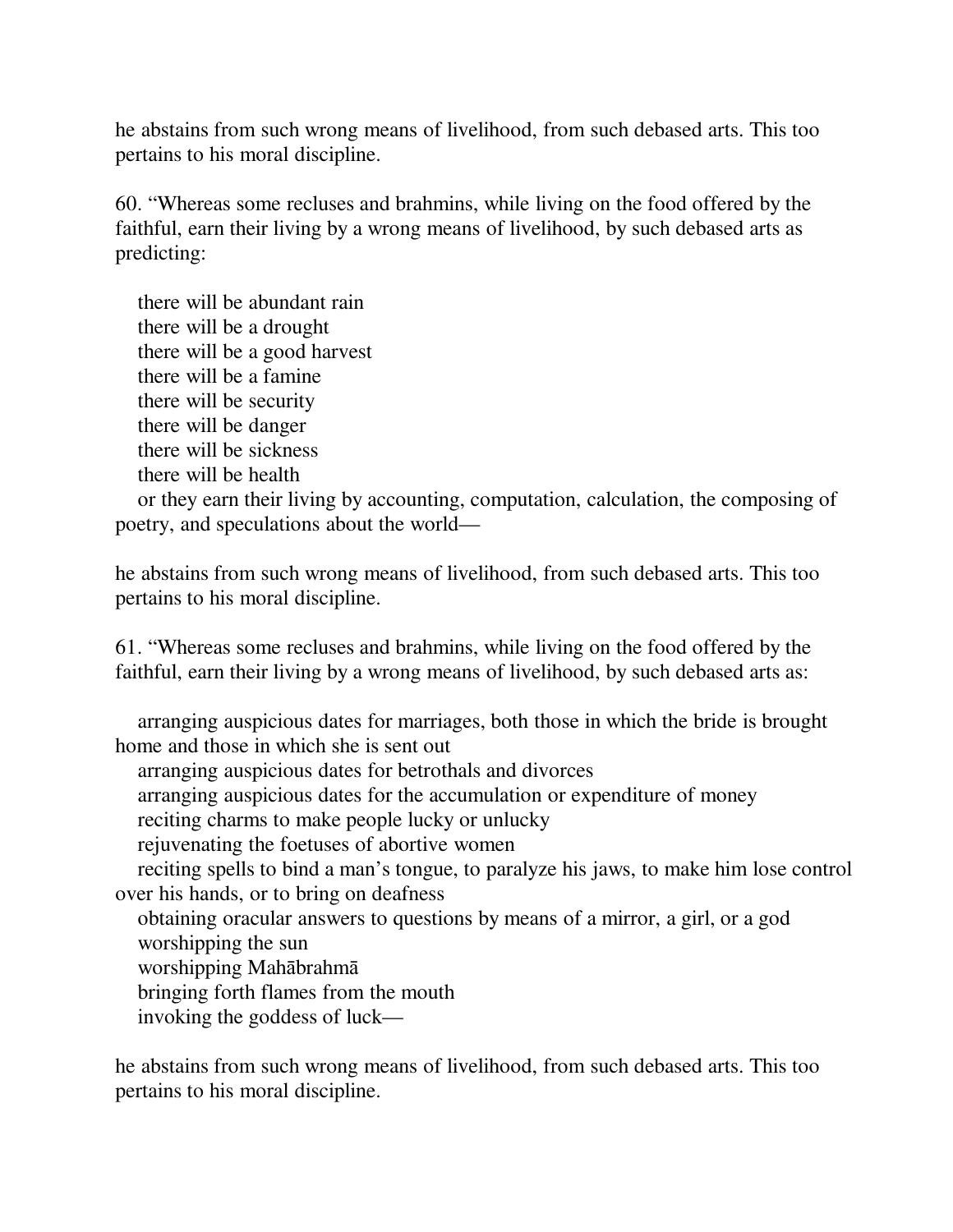he abstains from such wrong means of livelihood, from such debased arts. This too pertains to his moral discipline.

60. "Whereas some recluses and brahmins, while living on the food offered by the faithful, earn their living by a wrong means of livelihood, by such debased arts as predicting:

there will be abundant rain there will be a drought there will be a good harvest there will be a famine there will be security there will be danger there will be sickness there will be health or they earn their living by accounting, computation, calculation, the composing of poetry, and speculations about the world—

he abstains from such wrong means of livelihood, from such debased arts. This too pertains to his moral discipline.

61. "Whereas some recluses and brahmins, while living on the food offered by the faithful, earn their living by a wrong means of livelihood, by such debased arts as:

arranging auspicious dates for marriages, both those in which the bride is brought home and those in which she is sent out

arranging auspicious dates for betrothals and divorces

arranging auspicious dates for the accumulation or expenditure of money

reciting charms to make people lucky or unlucky

rejuvenating the foetuses of abortive women

reciting spells to bind a man's tongue, to paralyze his jaws, to make him lose control over his hands, or to bring on deafness

obtaining oracular answers to questions by means of a mirror, a girl, or a god worshipping the sun

worshipping Mahābrahmā

bringing forth flames from the mouth

invoking the goddess of luck—

he abstains from such wrong means of livelihood, from such debased arts. This too pertains to his moral discipline.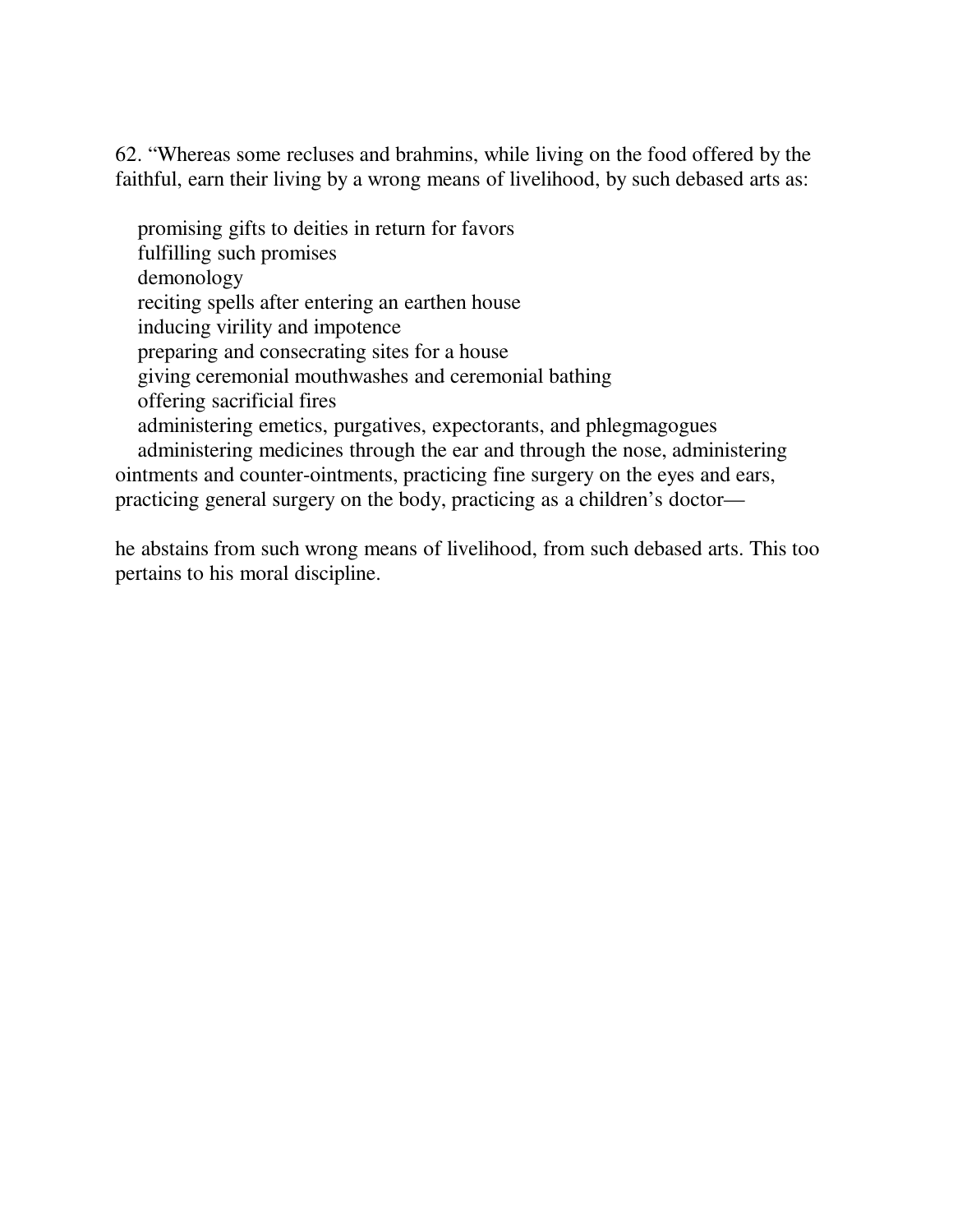62. "Whereas some recluses and brahmins, while living on the food offered by the faithful, earn their living by a wrong means of livelihood, by such debased arts as:

promising gifts to deities in return for favors fulfilling such promises demonology reciting spells after entering an earthen house inducing virility and impotence preparing and consecrating sites for a house giving ceremonial mouthwashes and ceremonial bathing offering sacrificial fires administering emetics, purgatives, expectorants, and phlegmagogues administering medicines through the ear and through the nose, administering ointments and counter-ointments, practicing fine surgery on the eyes and ears, practicing general surgery on the body, practicing as a children's doctor—

he abstains from such wrong means of livelihood, from such debased arts. This too pertains to his moral discipline.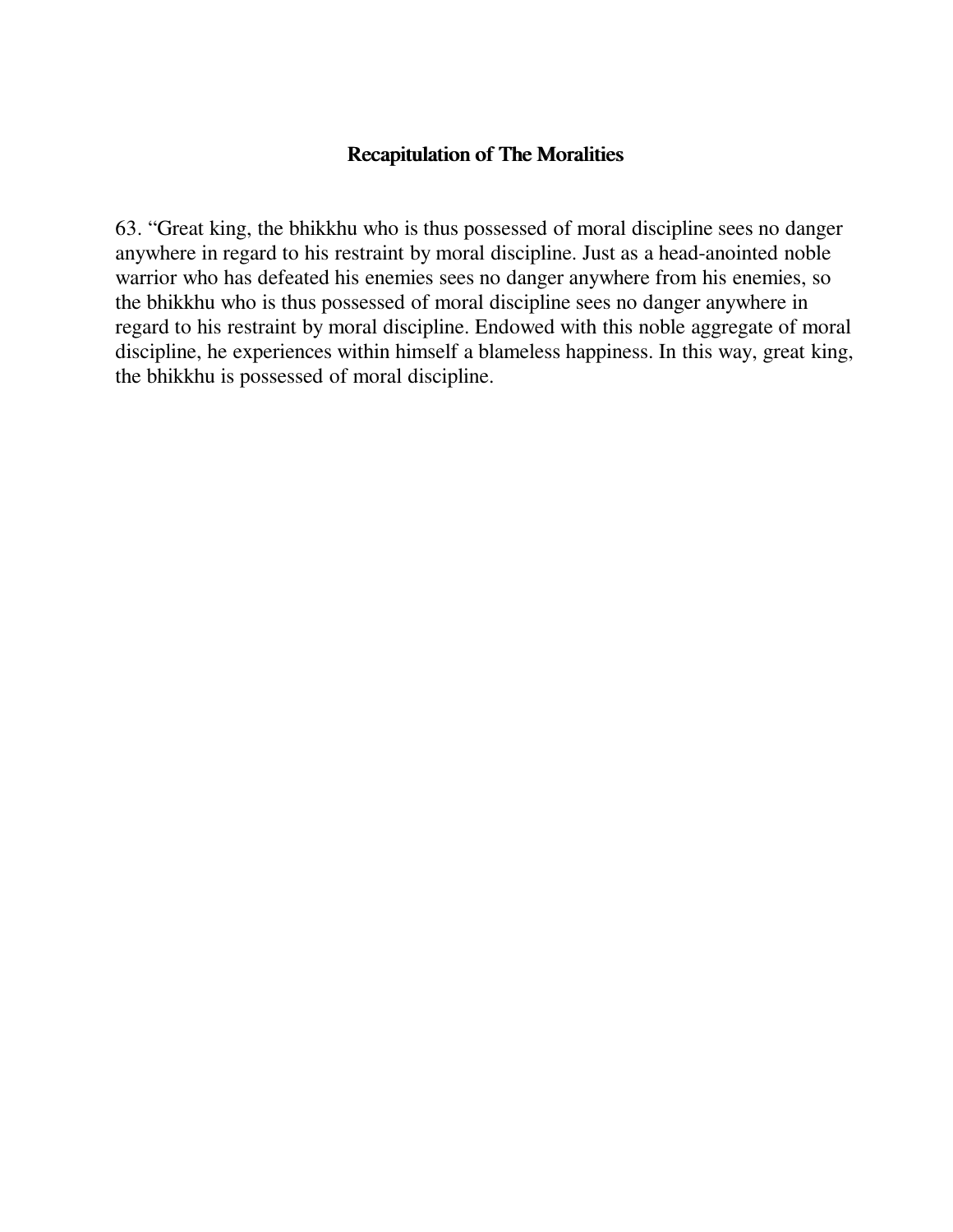#### Recapitulation of The Moralities

63. "Great king, the bhikkhu who is thus possessed of moral discipline sees no danger anywhere in regard to his restraint by moral discipline. Just as a head-anointed noble warrior who has defeated his enemies sees no danger anywhere from his enemies, so the bhikkhu who is thus possessed of moral discipline sees no danger anywhere in regard to his restraint by moral discipline. Endowed with this noble aggregate of moral discipline, he experiences within himself a blameless happiness. In this way, great king, the bhikkhu is possessed of moral discipline.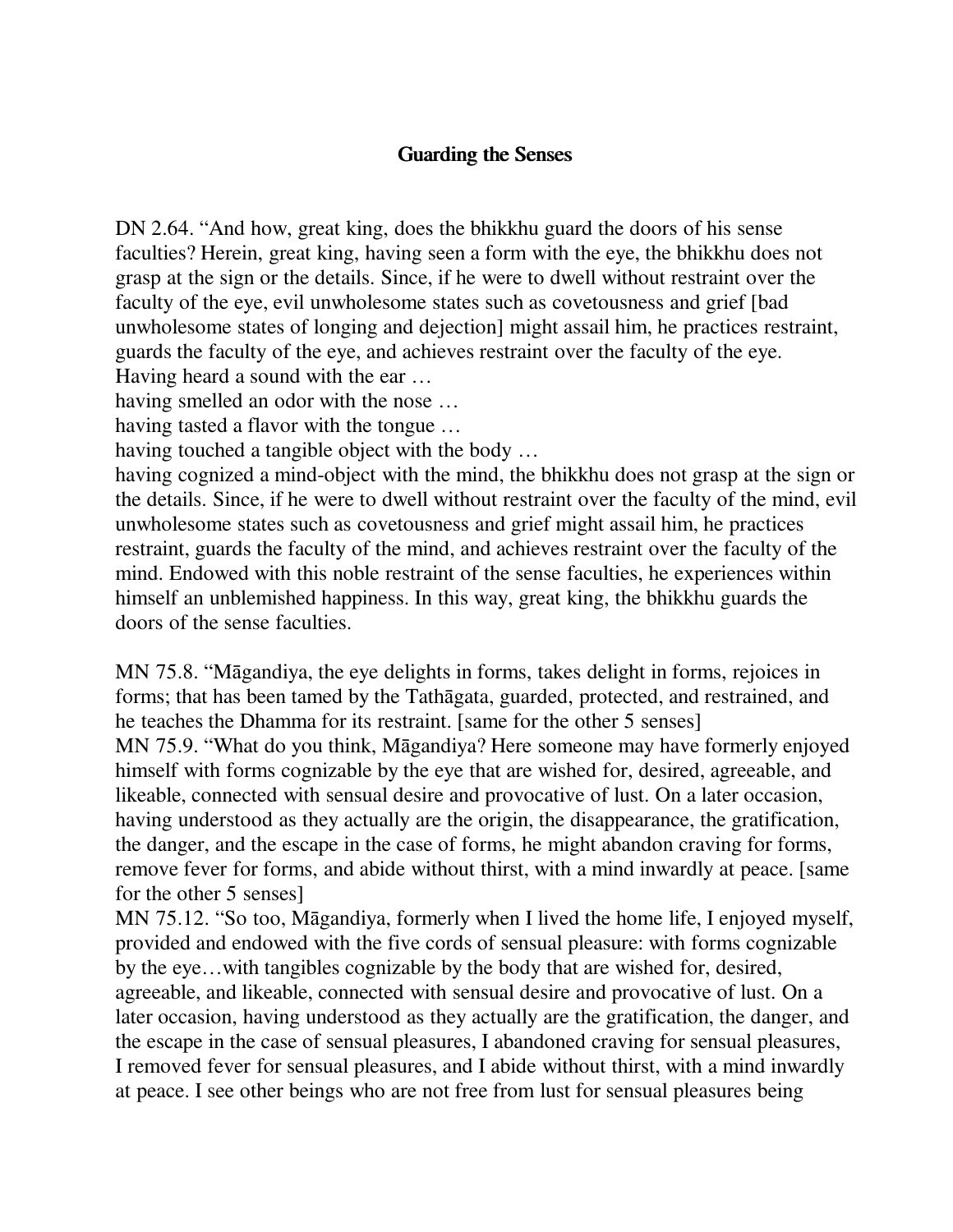## Guarding Guarding the Senses

DN 2.64. "And how, great king, does the bhikkhu guard the doors of his sense faculties? Herein, great king, having seen a form with the eye, the bhikkhu does not grasp at the sign or the details. Since, if he were to dwell without restraint over the faculty of the eye, evil unwholesome states such as covetousness and grief [bad unwholesome states of longing and dejection] might assail him, he practices restraint, guards the faculty of the eye, and achieves restraint over the faculty of the eye.

Having heard a sound with the ear …

having smelled an odor with the nose …

having tasted a flavor with the tongue …

having touched a tangible object with the body …

having cognized a mind-object with the mind, the bhikkhu does not grasp at the sign or the details. Since, if he were to dwell without restraint over the faculty of the mind, evil unwholesome states such as covetousness and grief might assail him, he practices restraint, guards the faculty of the mind, and achieves restraint over the faculty of the mind. Endowed with this noble restraint of the sense faculties, he experiences within himself an unblemished happiness. In this way, great king, the bhikkhu guards the doors of the sense faculties.

MN 75.8. "Māgandiya, the eye delights in forms, takes delight in forms, rejoices in forms; that has been tamed by the Tathāgata, guarded, protected, and restrained, and he teaches the Dhamma for its restraint. [same for the other 5 senses] MN 75.9. "What do you think, Māgandiya? Here someone may have formerly enjoyed himself with forms cognizable by the eye that are wished for, desired, agreeable, and likeable, connected with sensual desire and provocative of lust. On a later occasion, having understood as they actually are the origin, the disappearance, the gratification, the danger, and the escape in the case of forms, he might abandon craving for forms, remove fever for forms, and abide without thirst, with a mind inwardly at peace. [same for the other 5 senses]

MN 75.12. "So too, Māgandiya, formerly when I lived the home life, I enjoyed myself, provided and endowed with the five cords of sensual pleasure: with forms cognizable by the eye…with tangibles cognizable by the body that are wished for, desired, agreeable, and likeable, connected with sensual desire and provocative of lust. On a later occasion, having understood as they actually are the gratification, the danger, and the escape in the case of sensual pleasures, I abandoned craving for sensual pleasures, I removed fever for sensual pleasures, and I abide without thirst, with a mind inwardly at peace. I see other beings who are not free from lust for sensual pleasures being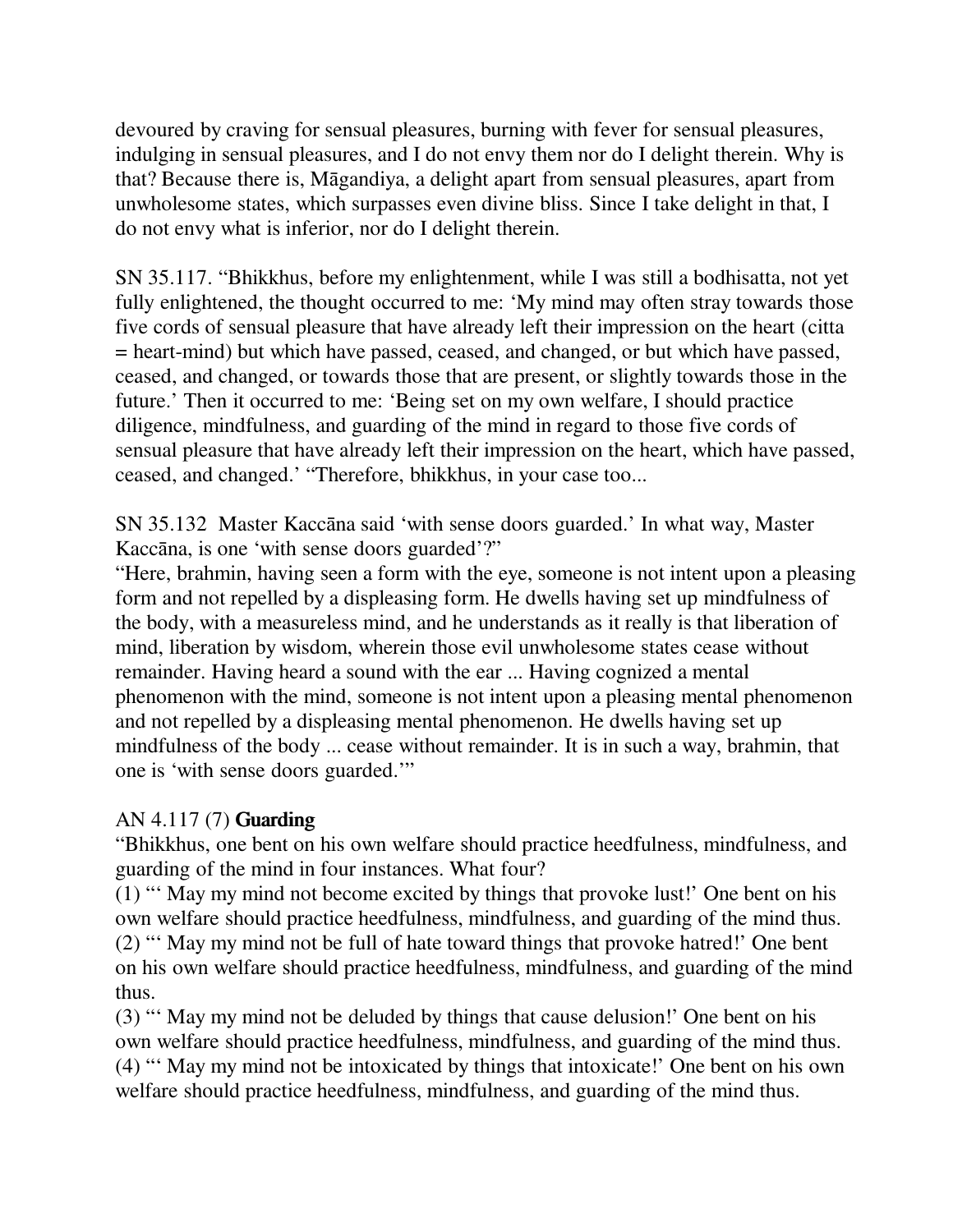devoured by craving for sensual pleasures, burning with fever for sensual pleasures, indulging in sensual pleasures, and I do not envy them nor do I delight therein. Why is that? Because there is, Māgandiya, a delight apart from sensual pleasures, apart from unwholesome states, which surpasses even divine bliss. Since I take delight in that, I do not envy what is inferior, nor do I delight therein.

SN 35.117. "Bhikkhus, before my enlightenment, while I was still a bodhisatta, not yet fully enlightened, the thought occurred to me: 'My mind may often stray towards those five cords of sensual pleasure that have already left their impression on the heart (citta = heart-mind) but which have passed, ceased, and changed, or but which have passed, ceased, and changed, or towards those that are present, or slightly towards those in the future.' Then it occurred to me: 'Being set on my own welfare, I should practice diligence, mindfulness, and guarding of the mind in regard to those five cords of sensual pleasure that have already left their impression on the heart, which have passed, ceased, and changed.' "Therefore, bhikkhus, in your case too...

SN 35.132 Master Kaccāna said 'with sense doors guarded.' In what way, Master Kaccāna, is one 'with sense doors guarded'?"

"Here, brahmin, having seen a form with the eye, someone is not intent upon a pleasing form and not repelled by a displeasing form. He dwells having set up mindfulness of the body, with a measureless mind, and he understands as it really is that liberation of mind, liberation by wisdom, wherein those evil unwholesome states cease without remainder. Having heard a sound with the ear ... Having cognized a mental phenomenon with the mind, someone is not intent upon a pleasing mental phenomenon and not repelled by a displeasing mental phenomenon. He dwells having set up mindfulness of the body ... cease without remainder. It is in such a way, brahmin, that one is 'with sense doors guarded.'"

# AN 4.117 $(7)$  Guarding

"Bhikkhus, one bent on his own welfare should practice heedfulness, mindfulness, and guarding of the mind in four instances. What four?

(1) "' May my mind not become excited by things that provoke lust!' One bent on his own welfare should practice heedfulness, mindfulness, and guarding of the mind thus. (2) "' May my mind not be full of hate toward things that provoke hatred!' One bent on his own welfare should practice heedfulness, mindfulness, and guarding of the mind thus.

(3) "' May my mind not be deluded by things that cause delusion!' One bent on his own welfare should practice heedfulness, mindfulness, and guarding of the mind thus. (4) "' May my mind not be intoxicated by things that intoxicate!' One bent on his own welfare should practice heedfulness, mindfulness, and guarding of the mind thus.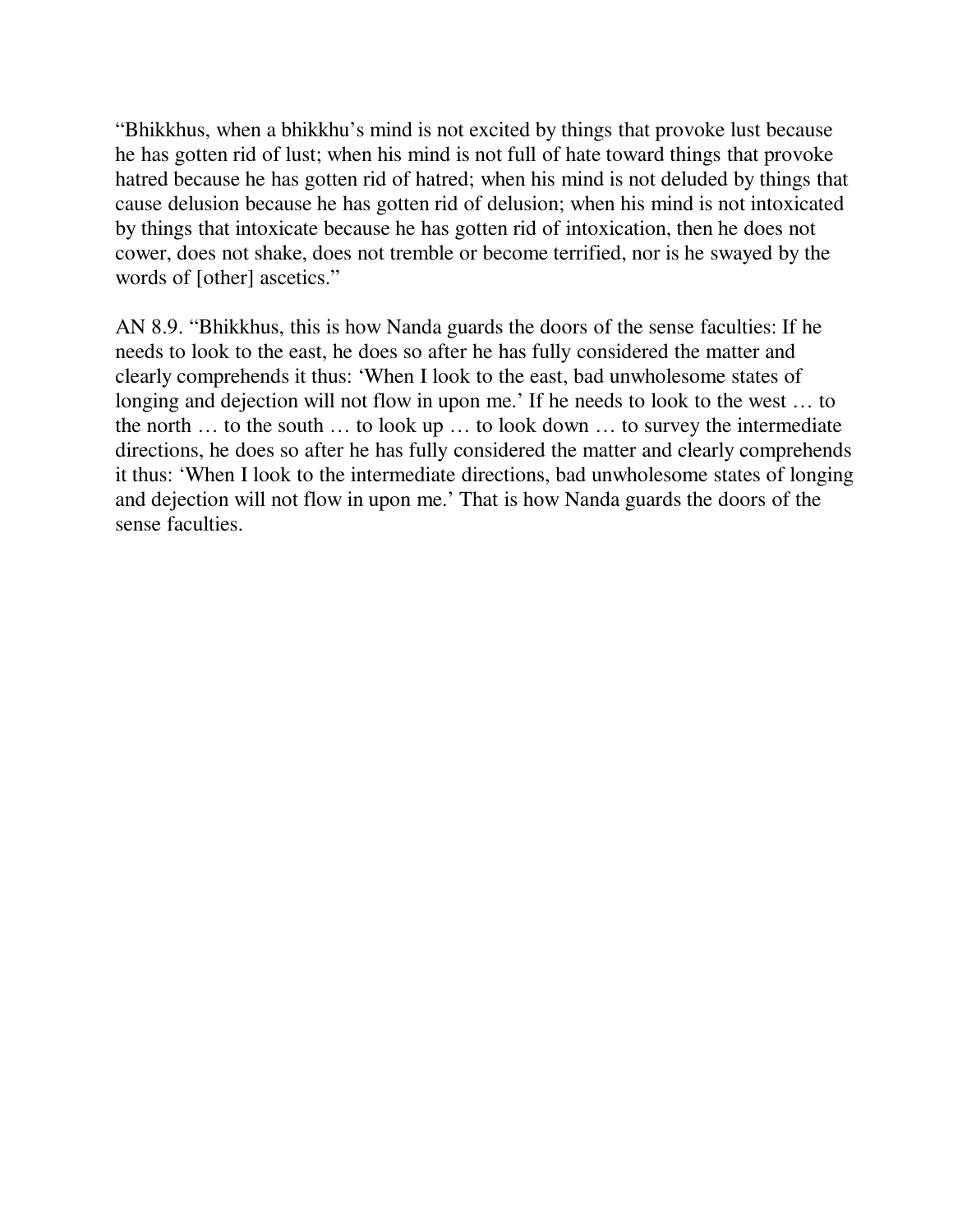"Bhikkhus, when a bhikkhu's mind is not excited by things that provoke lust because he has gotten rid of lust; when his mind is not full of hate toward things that provoke hatred because he has gotten rid of hatred; when his mind is not deluded by things that cause delusion because he has gotten rid of delusion; when his mind is not intoxicated by things that intoxicate because he has gotten rid of intoxication, then he does not cower, does not shake, does not tremble or become terrified, nor is he swayed by the words of [other] ascetics."

AN 8.9. "Bhikkhus, this is how Nanda guards the doors of the sense faculties: If he needs to look to the east, he does so after he has fully considered the matter and clearly comprehends it thus: 'When I look to the east, bad unwholesome states of longing and dejection will not flow in upon me.' If he needs to look to the west … to the north … to the south … to look up … to look down … to survey the intermediate directions, he does so after he has fully considered the matter and clearly comprehends it thus: 'When I look to the intermediate directions, bad unwholesome states of longing and dejection will not flow in upon me.' That is how Nanda guards the doors of the sense faculties.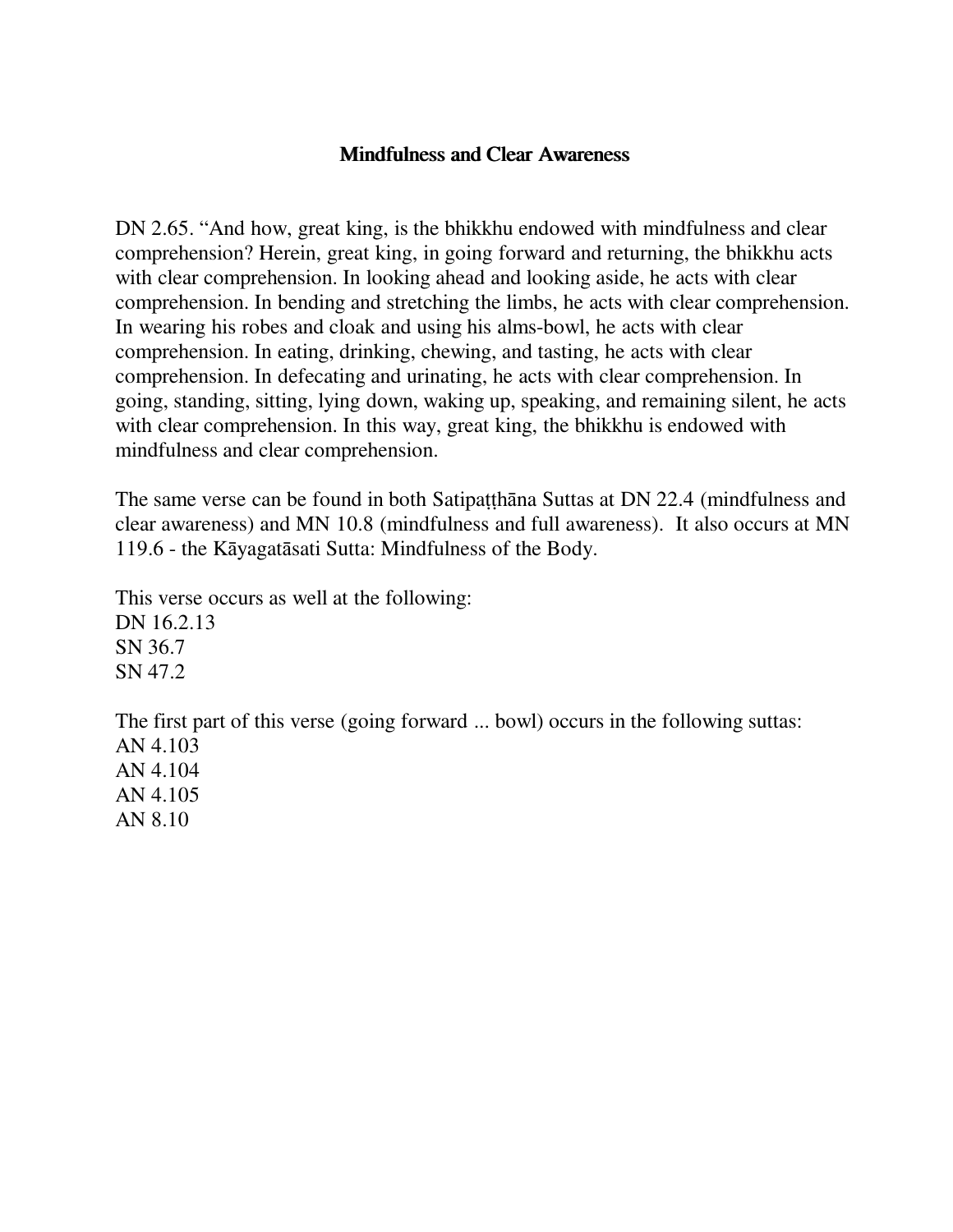### **Mindfulness and Clear Awareness**

DN 2.65. "And how, great king, is the bhikkhu endowed with mindfulness and clear comprehension? Herein, great king, in going forward and returning, the bhikkhu acts with clear comprehension. In looking ahead and looking aside, he acts with clear comprehension. In bending and stretching the limbs, he acts with clear comprehension. In wearing his robes and cloak and using his alms-bowl, he acts with clear comprehension. In eating, drinking, chewing, and tasting, he acts with clear comprehension. In defecating and urinating, he acts with clear comprehension. In going, standing, sitting, lying down, waking up, speaking, and remaining silent, he acts with clear comprehension. In this way, great king, the bhikkhu is endowed with mindfulness and clear comprehension.

The same verse can be found in both Satipatthana Suttas at DN 22.4 (mindfulness and clear awareness) and MN 10.8 (mindfulness and full awareness). It also occurs at MN 119.6 - the Kāyagatāsati Sutta: Mindfulness of the Body.

This verse occurs as well at the following: DN 16.2.13 SN 36.7 SN 47.2

The first part of this verse (going forward ... bowl) occurs in the following suttas: AN 4.103 AN 4.104 AN 4.105 AN 8.10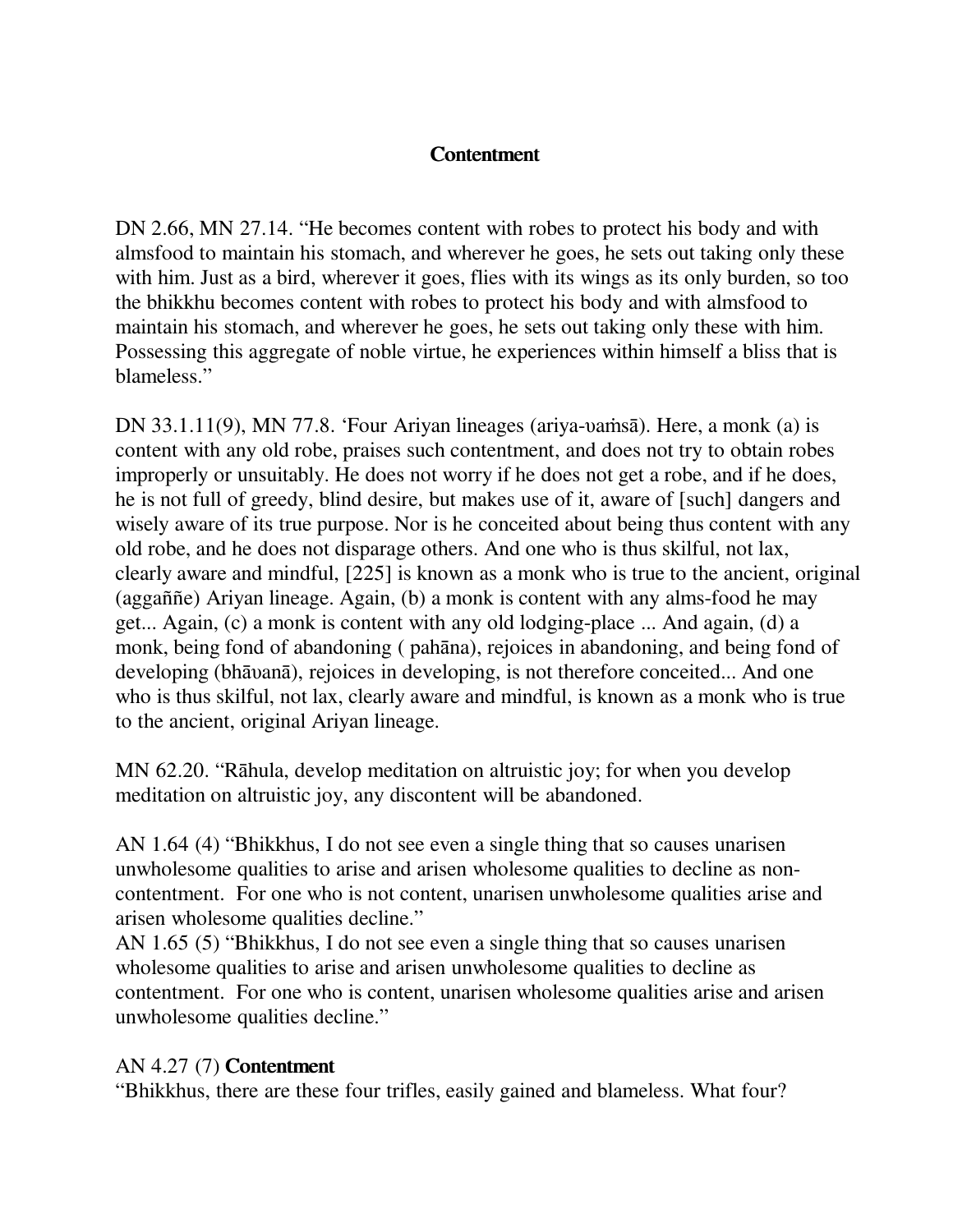## **Contentment**

DN 2.66, MN 27.14. "He becomes content with robes to protect his body and with almsfood to maintain his stomach, and wherever he goes, he sets out taking only these with him. Just as a bird, wherever it goes, flies with its wings as its only burden, so too the bhikkhu becomes content with robes to protect his body and with almsfood to maintain his stomach, and wherever he goes, he sets out taking only these with him. Possessing this aggregate of noble virtue, he experiences within himself a bliss that is blameless."

DN 33.1.11(9), MN 77.8. 'Four Ariyan lineages (ariya-υaṁsā). Here, a monk (a) is content with any old robe, praises such contentment, and does not try to obtain robes improperly or unsuitably. He does not worry if he does not get a robe, and if he does, he is not full of greedy, blind desire, but makes use of it, aware of [such] dangers and wisely aware of its true purpose. Nor is he conceited about being thus content with any old robe, and he does not disparage others. And one who is thus skilful, not lax, clearly aware and mindful, [225] is known as a monk who is true to the ancient, original (aggaññe) Ariyan lineage. Again, (b) a monk is content with any alms-food he may get... Again, (c) a monk is content with any old lodging-place ... And again, (d) a monk, being fond of abandoning ( pahāna), rejoices in abandoning, and being fond of developing (bhāυanā), rejoices in developing, is not therefore conceited... And one who is thus skilful, not lax, clearly aware and mindful, is known as a monk who is true to the ancient, original Ariyan lineage.

MN 62.20. "Rāhula, develop meditation on altruistic joy; for when you develop meditation on altruistic joy, any discontent will be abandoned.

AN 1.64 (4) "Bhikkhus, I do not see even a single thing that so causes unarisen unwholesome qualities to arise and arisen wholesome qualities to decline as noncontentment. For one who is not content, unarisen unwholesome qualities arise and arisen wholesome qualities decline."

AN 1.65 (5) "Bhikkhus, I do not see even a single thing that so causes unarisen wholesome qualities to arise and arisen unwholesome qualities to decline as contentment. For one who is content, unarisen wholesome qualities arise and arisen unwholesome qualities decline."

# AN 4.27 (7) Contentment

"Bhikkhus, there are these four trifles, easily gained and blameless. What four?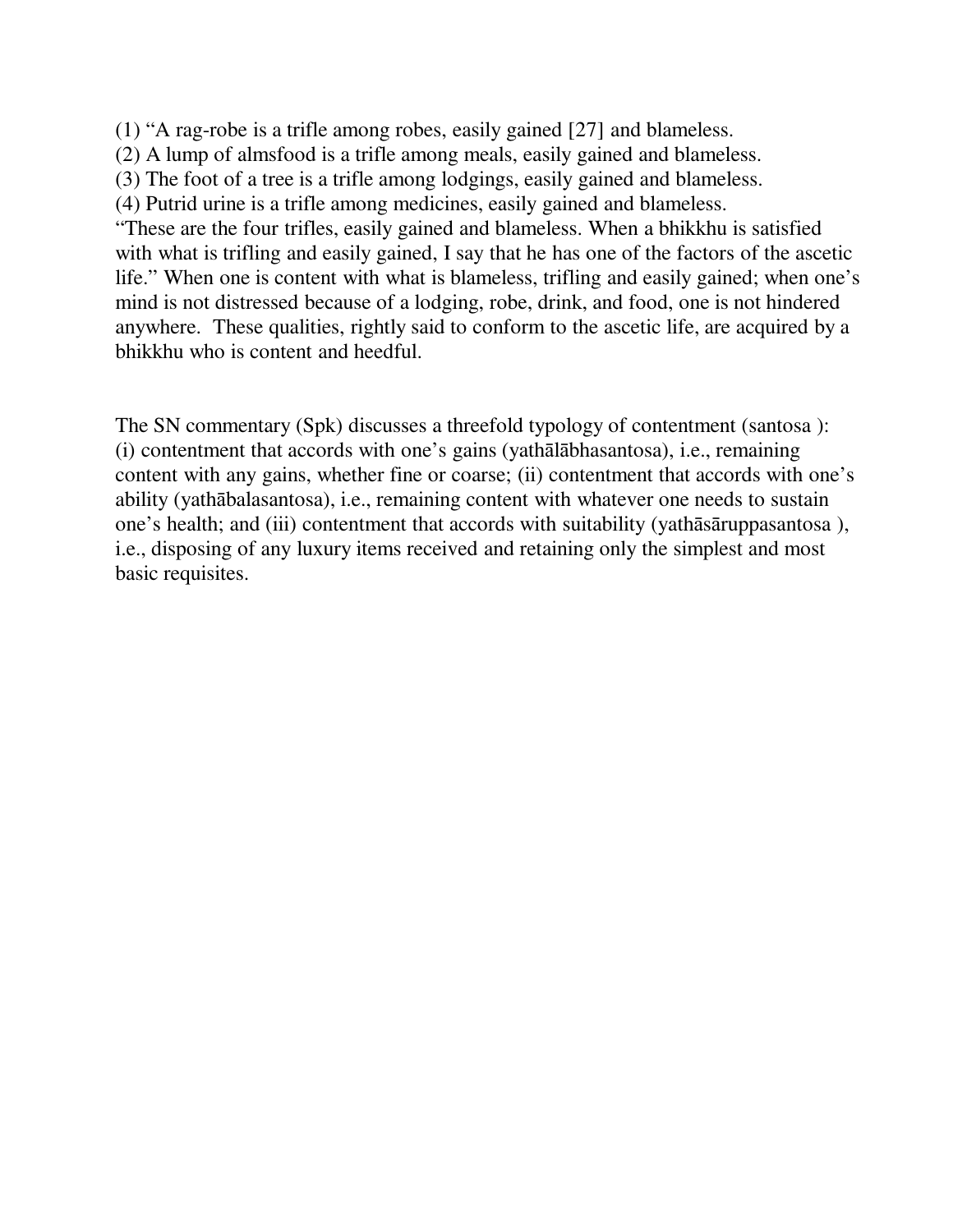- (1) "A rag-robe is a trifle among robes, easily gained [27] and blameless.
- (2) A lump of almsfood is a trifle among meals, easily gained and blameless.
- (3) The foot of a tree is a trifle among lodgings, easily gained and blameless.
- (4) Putrid urine is a trifle among medicines, easily gained and blameless.

"These are the four trifles, easily gained and blameless. When a bhikkhu is satisfied with what is trifling and easily gained, I say that he has one of the factors of the ascetic life." When one is content with what is blameless, trifling and easily gained; when one's mind is not distressed because of a lodging, robe, drink, and food, one is not hindered anywhere. These qualities, rightly said to conform to the ascetic life, are acquired by a bhikkhu who is content and heedful.

The SN commentary (Spk) discusses a threefold typology of contentment (santosa ): (i) contentment that accords with one's gains (yathālābhasantosa), i.e., remaining content with any gains, whether fine or coarse; (ii) contentment that accords with one's ability (yathābalasantosa), i.e., remaining content with whatever one needs to sustain one's health; and (iii) contentment that accords with suitability (yathāsāruppasantosa ), i.e., disposing of any luxury items received and retaining only the simplest and most basic requisites.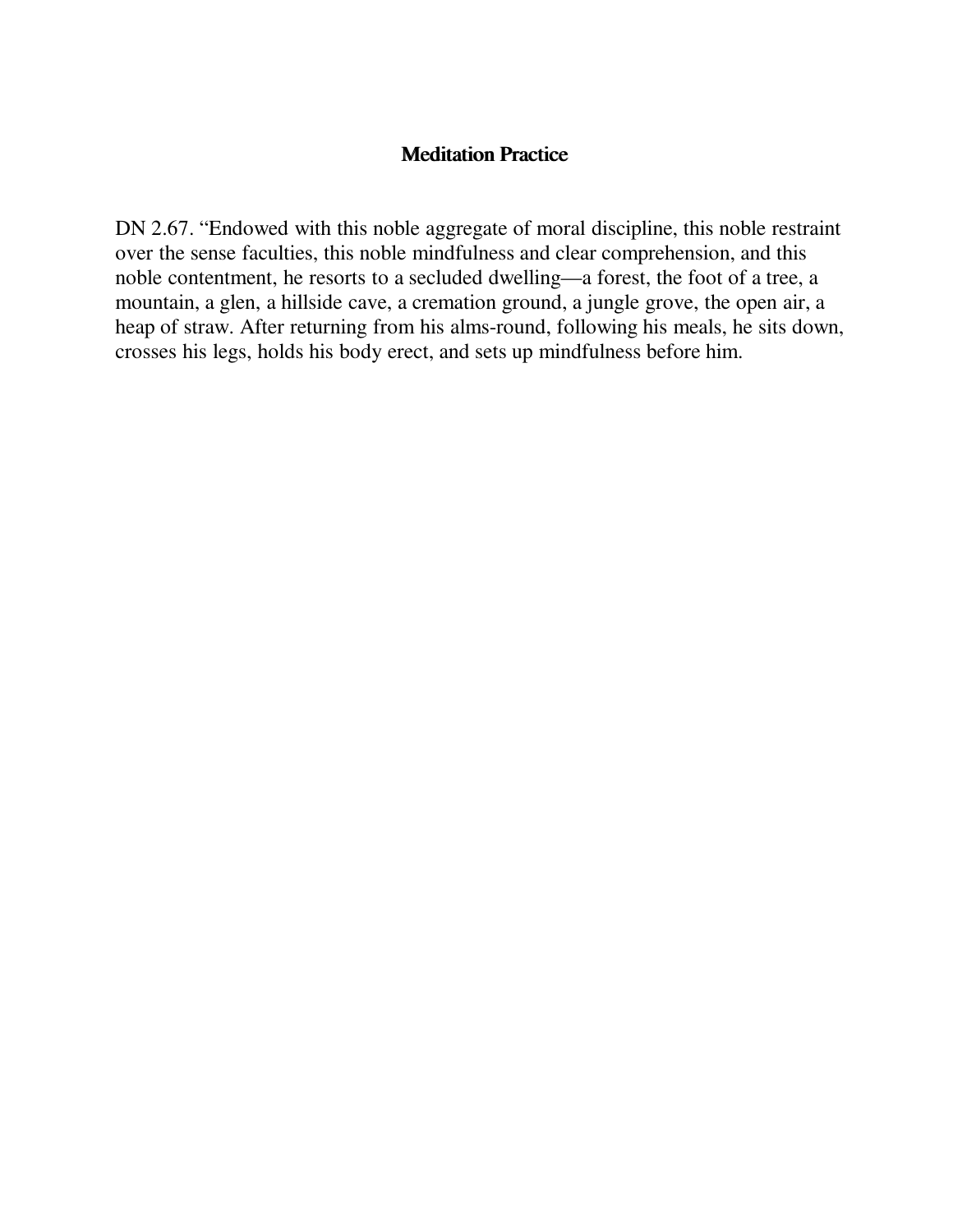#### **Meditation Practice**

DN 2.67. "Endowed with this noble aggregate of moral discipline, this noble restraint over the sense faculties, this noble mindfulness and clear comprehension, and this noble contentment, he resorts to a secluded dwelling—a forest, the foot of a tree, a mountain, a glen, a hillside cave, a cremation ground, a jungle grove, the open air, a heap of straw. After returning from his alms-round, following his meals, he sits down, crosses his legs, holds his body erect, and sets up mindfulness before him.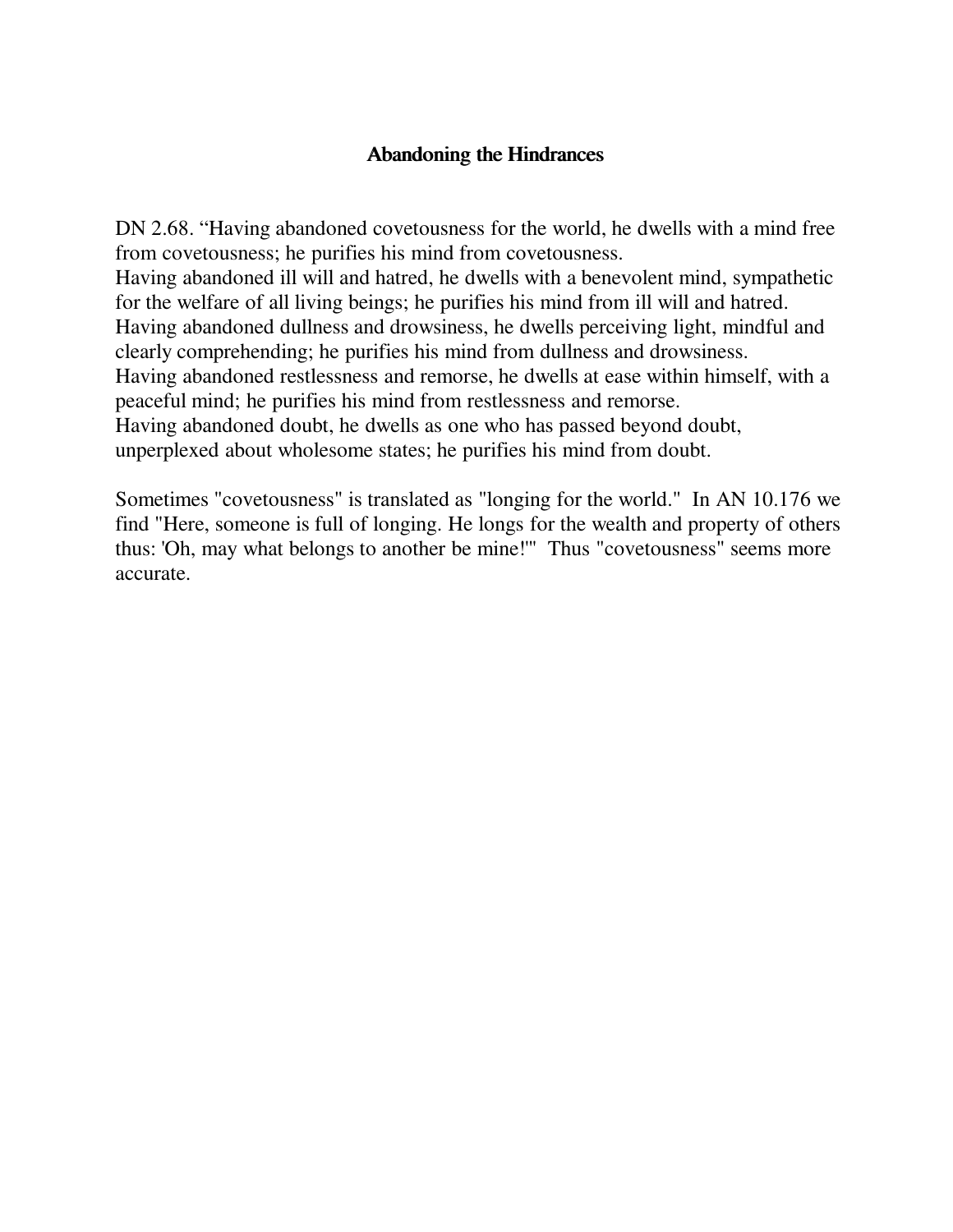## Abandoning the Hindrances

DN 2.68. "Having abandoned covetousness for the world, he dwells with a mind free from covetousness; he purifies his mind from covetousness. Having abandoned ill will and hatred, he dwells with a benevolent mind, sympathetic for the welfare of all living beings; he purifies his mind from ill will and hatred. Having abandoned dullness and drowsiness, he dwells perceiving light, mindful and clearly comprehending; he purifies his mind from dullness and drowsiness. Having abandoned restlessness and remorse, he dwells at ease within himself, with a peaceful mind; he purifies his mind from restlessness and remorse. Having abandoned doubt, he dwells as one who has passed beyond doubt, unperplexed about wholesome states; he purifies his mind from doubt.

Sometimes "covetousness" is translated as "longing for the world." In AN 10.176 we find "Here, someone is full of longing. He longs for the wealth and property of others thus: 'Oh, may what belongs to another be mine!'" Thus "covetousness" seems more accurate.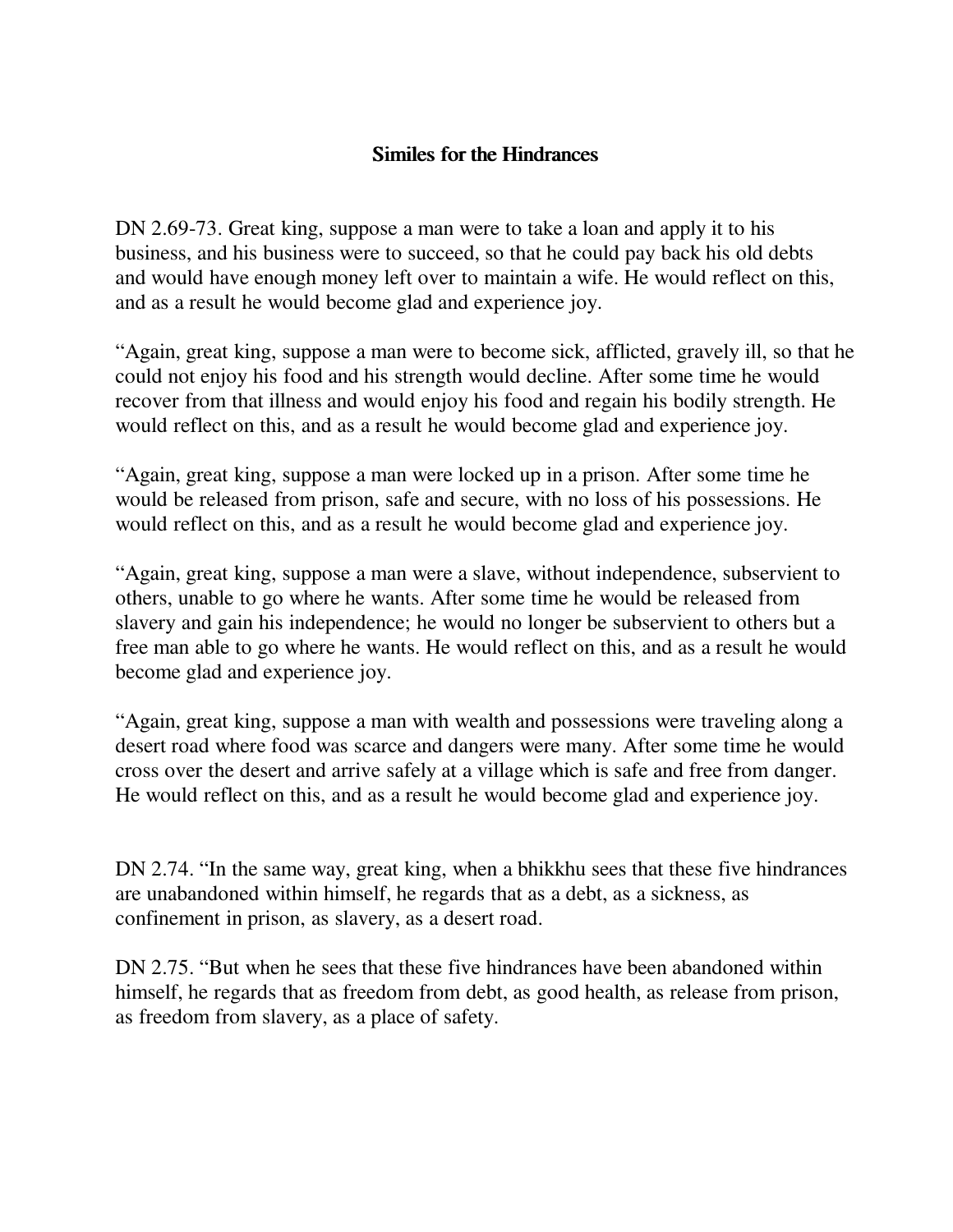## Similes for the Hindrances

DN 2.69-73. Great king, suppose a man were to take a loan and apply it to his business, and his business were to succeed, so that he could pay back his old debts and would have enough money left over to maintain a wife. He would reflect on this, and as a result he would become glad and experience joy.

"Again, great king, suppose a man were to become sick, afflicted, gravely ill, so that he could not enjoy his food and his strength would decline. After some time he would recover from that illness and would enjoy his food and regain his bodily strength. He would reflect on this, and as a result he would become glad and experience joy.

"Again, great king, suppose a man were locked up in a prison. After some time he would be released from prison, safe and secure, with no loss of his possessions. He would reflect on this, and as a result he would become glad and experience joy.

"Again, great king, suppose a man were a slave, without independence, subservient to others, unable to go where he wants. After some time he would be released from slavery and gain his independence; he would no longer be subservient to others but a free man able to go where he wants. He would reflect on this, and as a result he would become glad and experience joy.

"Again, great king, suppose a man with wealth and possessions were traveling along a desert road where food was scarce and dangers were many. After some time he would cross over the desert and arrive safely at a village which is safe and free from danger. He would reflect on this, and as a result he would become glad and experience joy.

DN 2.74. "In the same way, great king, when a bhikkhu sees that these five hindrances are unabandoned within himself, he regards that as a debt, as a sickness, as confinement in prison, as slavery, as a desert road.

DN 2.75. "But when he sees that these five hindrances have been abandoned within himself, he regards that as freedom from debt, as good health, as release from prison, as freedom from slavery, as a place of safety.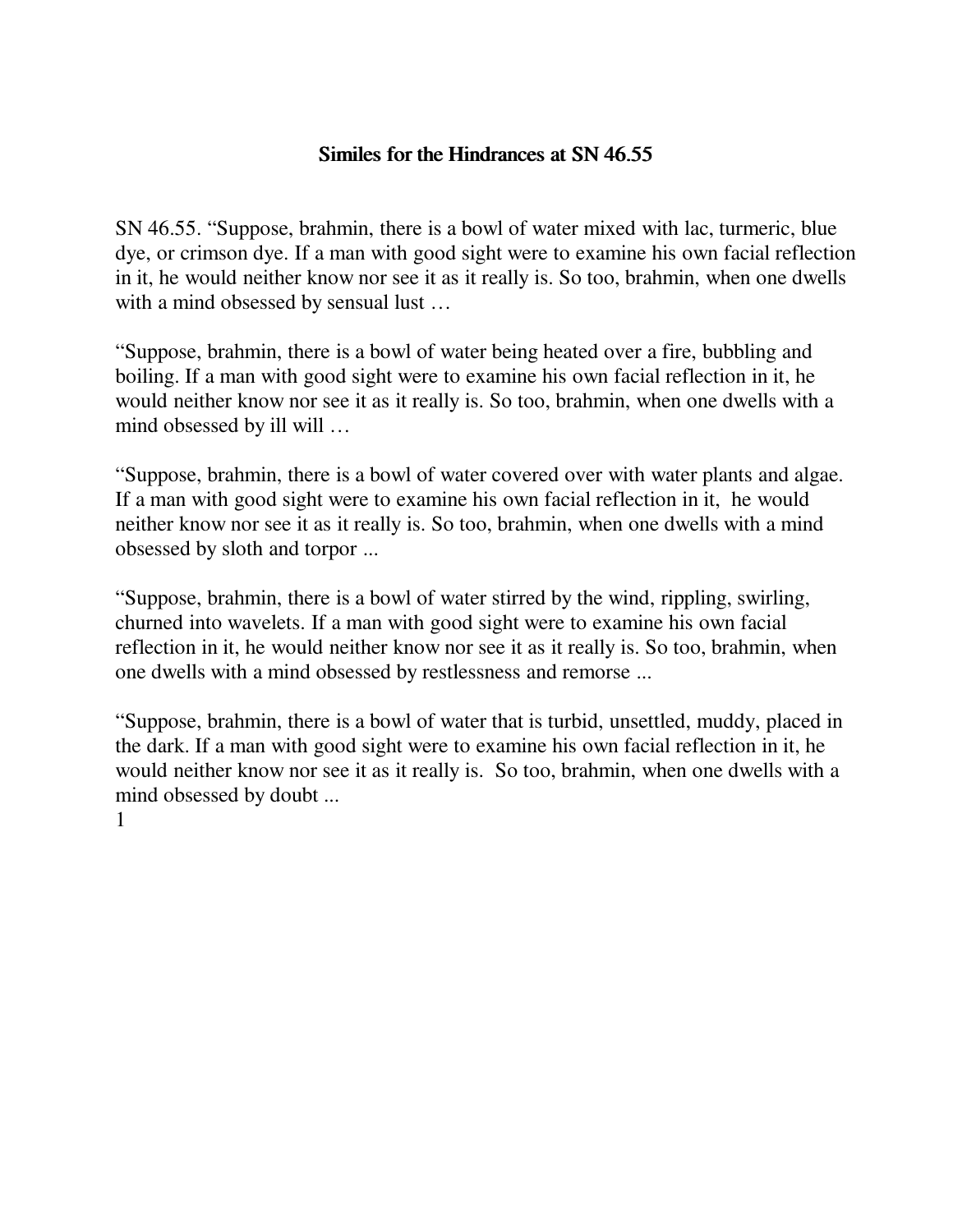### Similes for the Hindrances at SN 46.55

SN 46.55. "Suppose, brahmin, there is a bowl of water mixed with lac, turmeric, blue dye, or crimson dye. If a man with good sight were to examine his own facial reflection in it, he would neither know nor see it as it really is. So too, brahmin, when one dwells with a mind obsessed by sensual lust …

"Suppose, brahmin, there is a bowl of water being heated over a fire, bubbling and boiling. If a man with good sight were to examine his own facial reflection in it, he would neither know nor see it as it really is. So too, brahmin, when one dwells with a mind obsessed by ill will …

"Suppose, brahmin, there is a bowl of water covered over with water plants and algae. If a man with good sight were to examine his own facial reflection in it, he would neither know nor see it as it really is. So too, brahmin, when one dwells with a mind obsessed by sloth and torpor ...

"Suppose, brahmin, there is a bowl of water stirred by the wind, rippling, swirling, churned into wavelets. If a man with good sight were to examine his own facial reflection in it, he would neither know nor see it as it really is. So too, brahmin, when one dwells with a mind obsessed by restlessness and remorse ...

"Suppose, brahmin, there is a bowl of water that is turbid, unsettled, muddy, placed in the dark. If a man with good sight were to examine his own facial reflection in it, he would neither know nor see it as it really is. So too, brahmin, when one dwells with a mind obsessed by doubt ...

1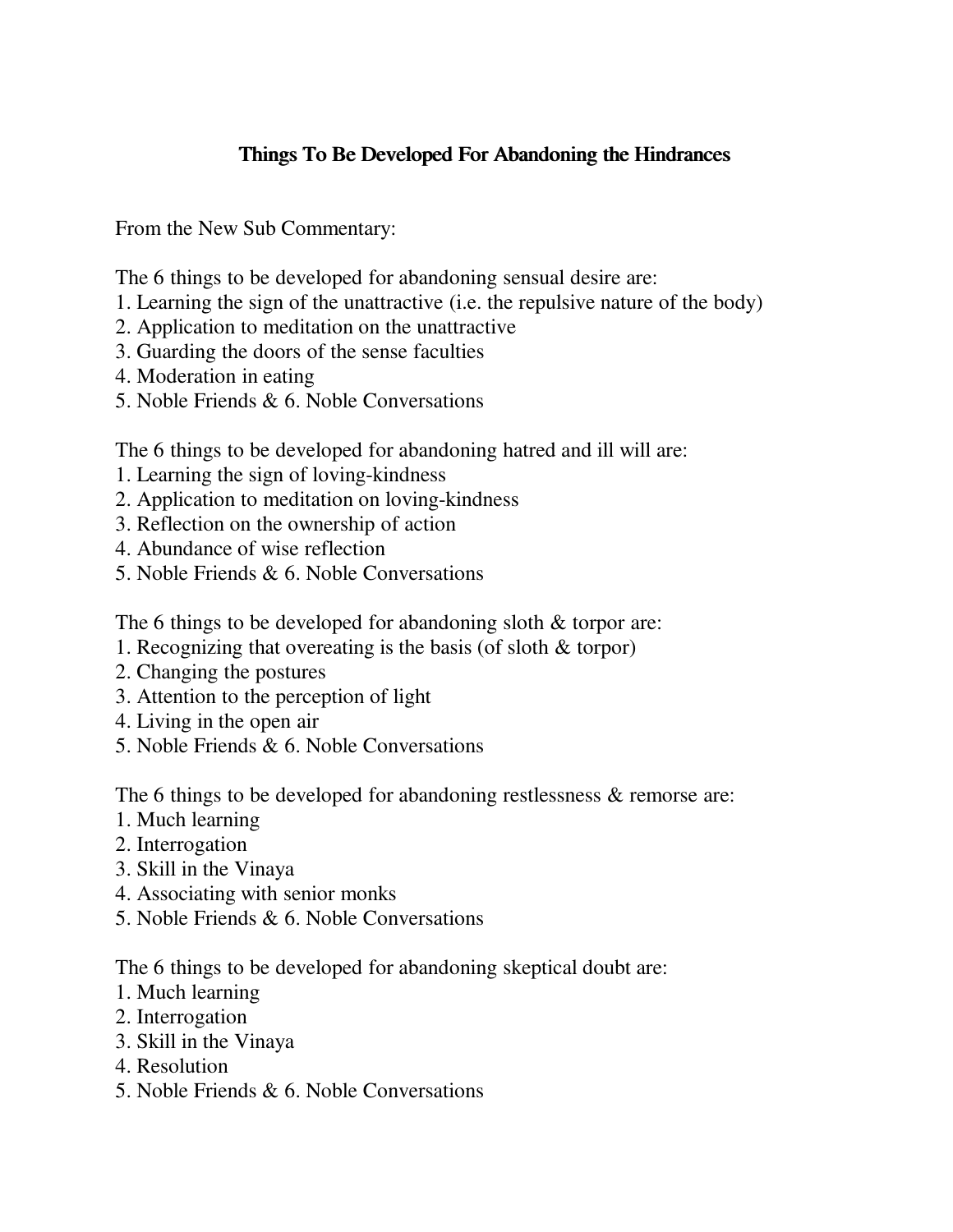# Things To Be Developed For Abandoning the Hindrances

From the New Sub Commentary:

The 6 things to be developed for abandoning sensual desire are:

- 1. Learning the sign of the unattractive (i.e. the repulsive nature of the body)
- 2. Application to meditation on the unattractive
- 3. Guarding the doors of the sense faculties
- 4. Moderation in eating
- 5. Noble Friends & 6. Noble Conversations

The 6 things to be developed for abandoning hatred and ill will are:

- 1. Learning the sign of loving-kindness
- 2. Application to meditation on loving-kindness
- 3. Reflection on the ownership of action
- 4. Abundance of wise reflection
- 5. Noble Friends & 6. Noble Conversations

The 6 things to be developed for abandoning sloth & torpor are:

- 1. Recognizing that overeating is the basis (of sloth & torpor)
- 2. Changing the postures
- 3. Attention to the perception of light
- 4. Living in the open air
- 5. Noble Friends & 6. Noble Conversations

The 6 things to be developed for abandoning restlessness & remorse are:

- 1. Much learning
- 2. Interrogation
- 3. Skill in the Vinaya
- 4. Associating with senior monks
- 5. Noble Friends & 6. Noble Conversations

The 6 things to be developed for abandoning skeptical doubt are:

- 1. Much learning
- 2. Interrogation
- 3. Skill in the Vinaya
- 4. Resolution
- 5. Noble Friends & 6. Noble Conversations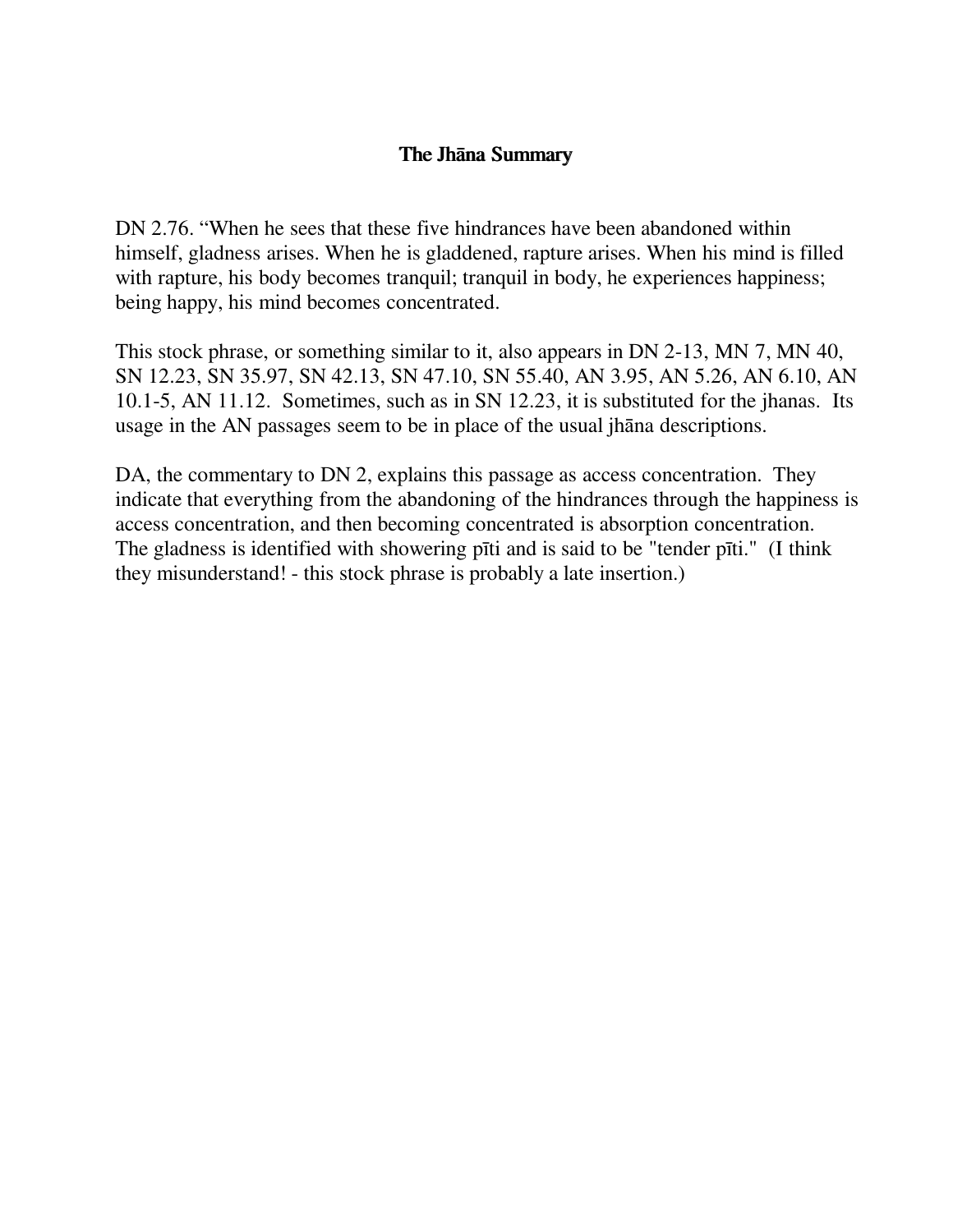### The Jhāna Summary

DN 2.76. "When he sees that these five hindrances have been abandoned within himself, gladness arises. When he is gladdened, rapture arises. When his mind is filled with rapture, his body becomes tranquil; tranquil in body, he experiences happiness; being happy, his mind becomes concentrated.

This stock phrase, or something similar to it, also appears in DN 2-13, MN 7, MN 40, SN 12.23, SN 35.97, SN 42.13, SN 47.10, SN 55.40, AN 3.95, AN 5.26, AN 6.10, AN 10.1-5, AN 11.12. Sometimes, such as in SN 12.23, it is substituted for the jhanas. Its usage in the AN passages seem to be in place of the usual jhāna descriptions.

DA, the commentary to DN 2, explains this passage as access concentration. They indicate that everything from the abandoning of the hindrances through the happiness is access concentration, and then becoming concentrated is absorption concentration. The gladness is identified with showering pīti and is said to be "tender pīti." (I think they misunderstand! - this stock phrase is probably a late insertion.)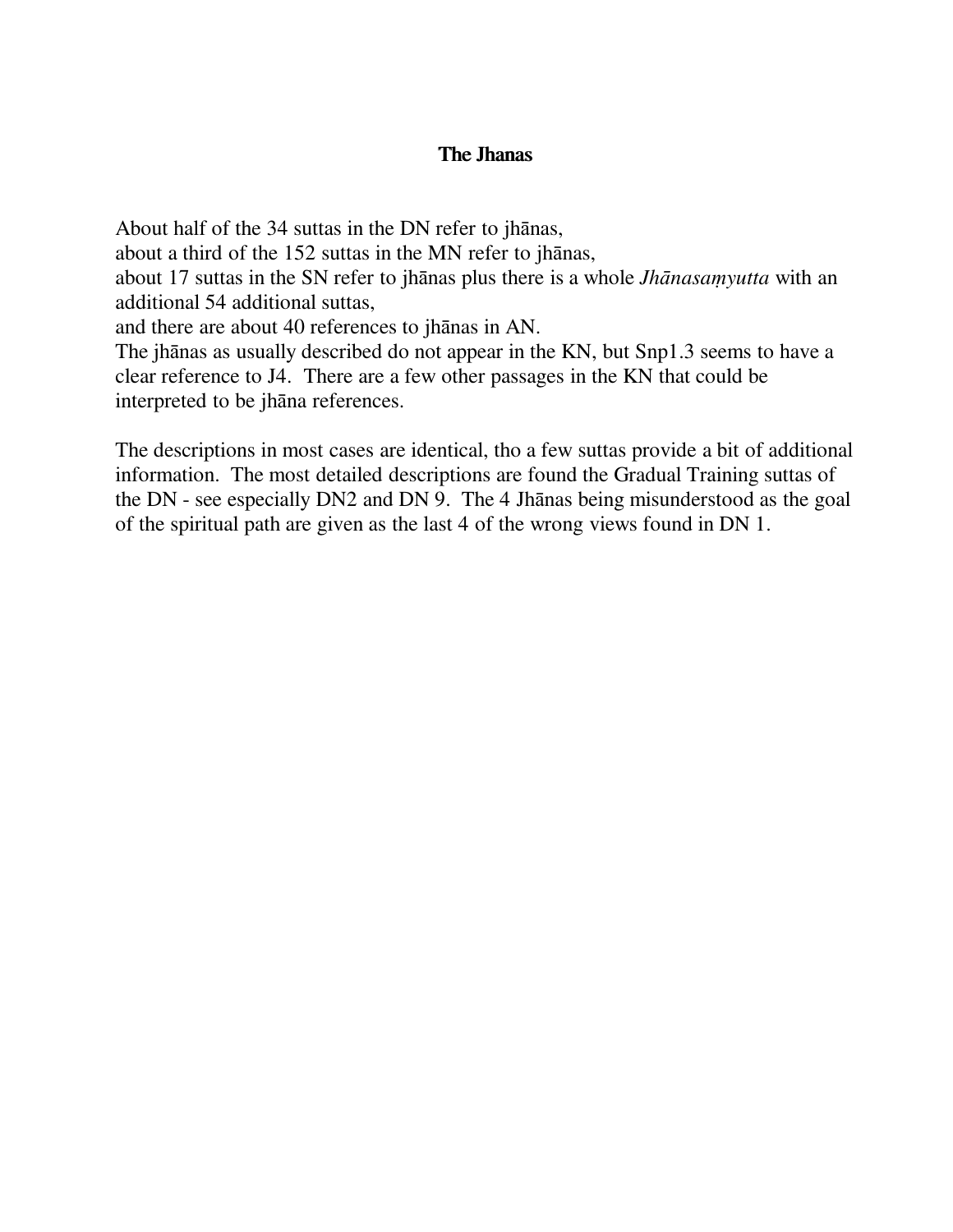#### The Jhanas

About half of the 34 suttas in the DN refer to jhānas, about a third of the 152 suttas in the MN refer to jhānas, about 17 suttas in the SN refer to jhānas plus there is a whole *Jhānasaṃyutta* with an additional 54 additional suttas, and there are about 40 references to jhānas in AN. The jhānas as usually described do not appear in the KN, but Snp1.3 seems to have a clear reference to J4. There are a few other passages in the KN that could be interpreted to be jhāna references.

The descriptions in most cases are identical, tho a few suttas provide a bit of additional information. The most detailed descriptions are found the Gradual Training suttas of the DN - see especially DN2 and DN 9. The 4 Jhānas being misunderstood as the goal of the spiritual path are given as the last 4 of the wrong views found in DN 1.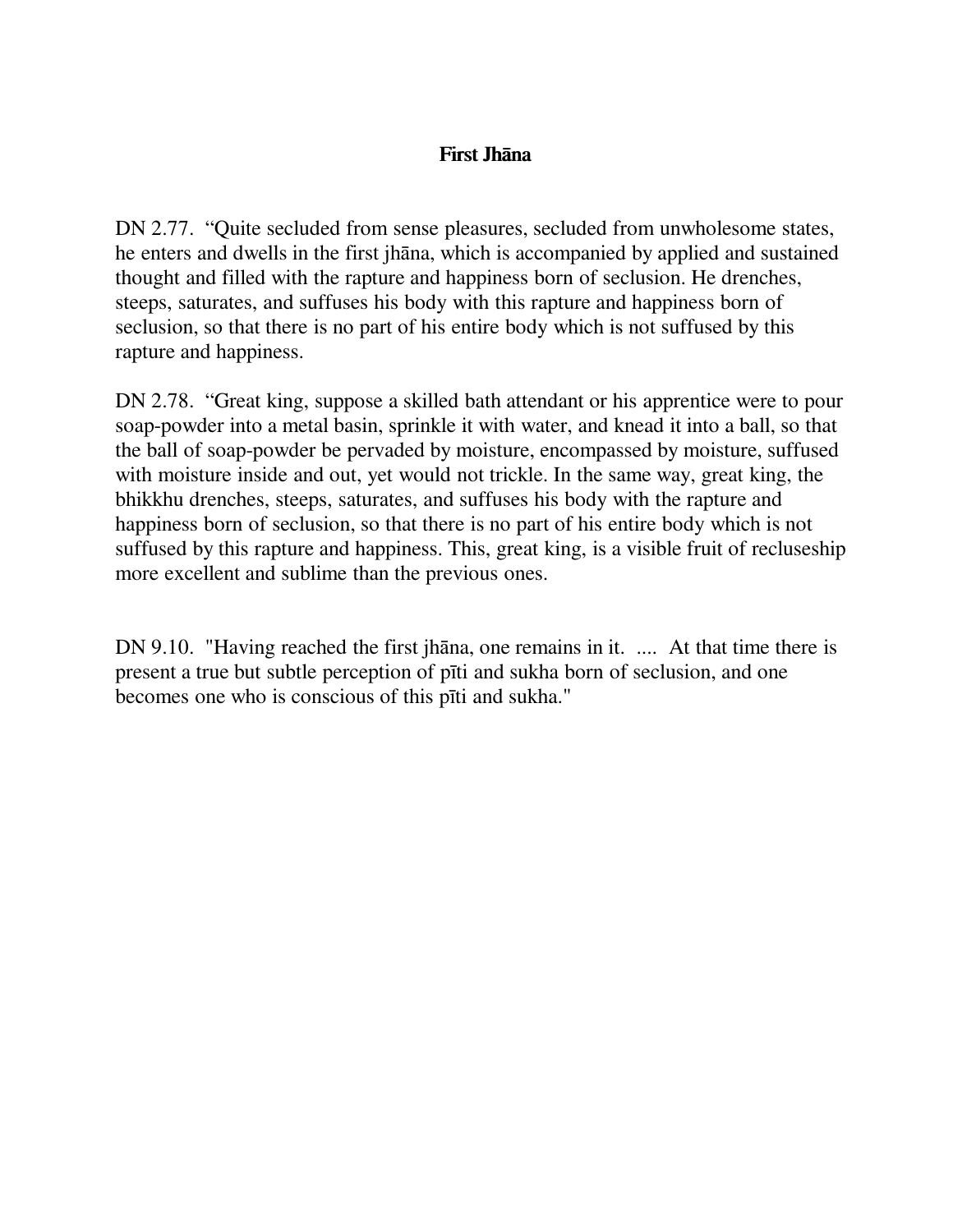### First Jhāna

DN 2.77. "Quite secluded from sense pleasures, secluded from unwholesome states, he enters and dwells in the first jhāna, which is accompanied by applied and sustained thought and filled with the rapture and happiness born of seclusion. He drenches, steeps, saturates, and suffuses his body with this rapture and happiness born of seclusion, so that there is no part of his entire body which is not suffused by this rapture and happiness.

DN 2.78. "Great king, suppose a skilled bath attendant or his apprentice were to pour soap-powder into a metal basin, sprinkle it with water, and knead it into a ball, so that the ball of soap-powder be pervaded by moisture, encompassed by moisture, suffused with moisture inside and out, yet would not trickle. In the same way, great king, the bhikkhu drenches, steeps, saturates, and suffuses his body with the rapture and happiness born of seclusion, so that there is no part of his entire body which is not suffused by this rapture and happiness. This, great king, is a visible fruit of recluseship more excellent and sublime than the previous ones.

DN 9.10. "Having reached the first jhana, one remains in it. .... At that time there is present a true but subtle perception of pīti and sukha born of seclusion, and one becomes one who is conscious of this pīti and sukha."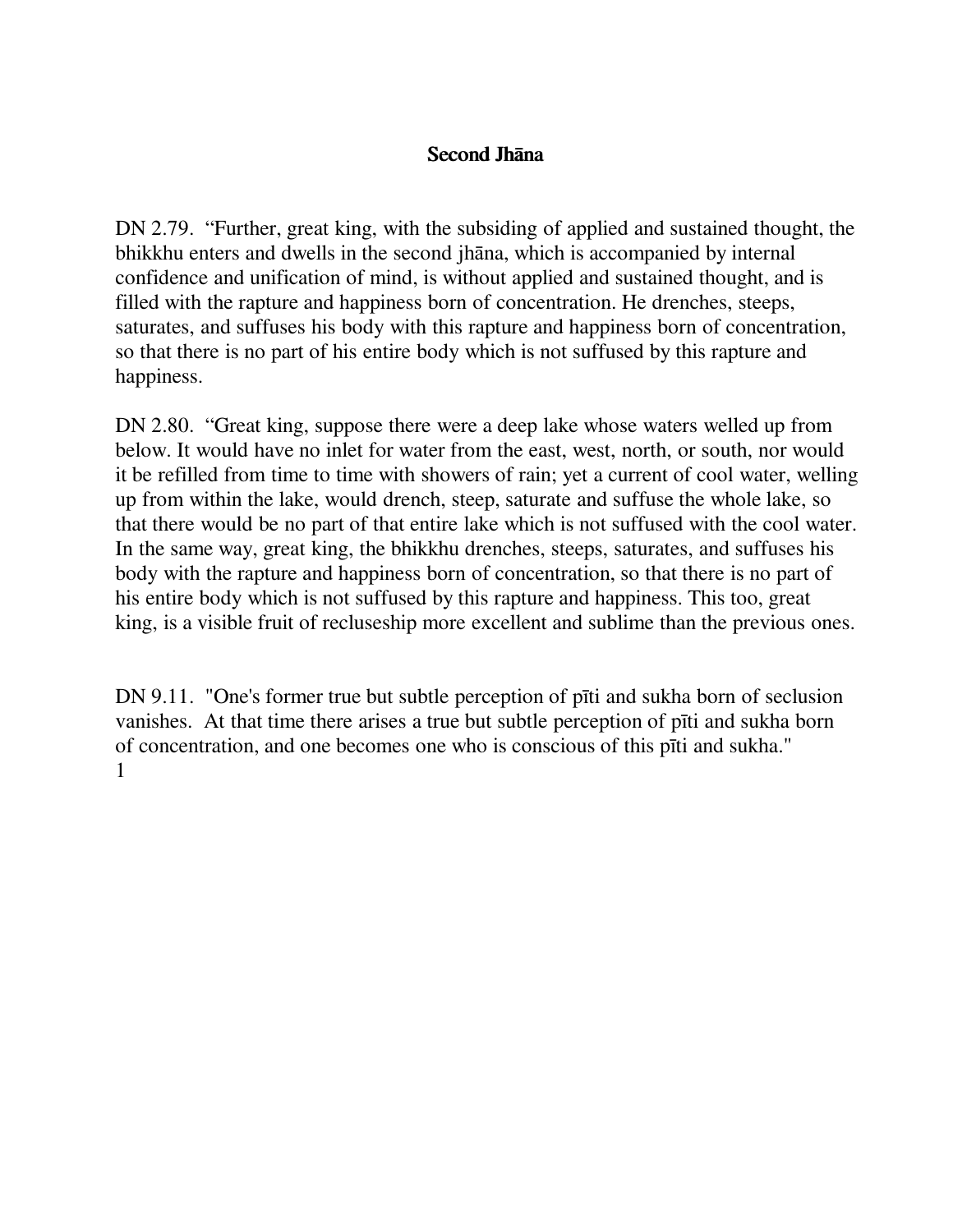## Second Jhāna

DN 2.79. "Further, great king, with the subsiding of applied and sustained thought, the bhikkhu enters and dwells in the second jhāna, which is accompanied by internal confidence and unification of mind, is without applied and sustained thought, and is filled with the rapture and happiness born of concentration. He drenches, steeps, saturates, and suffuses his body with this rapture and happiness born of concentration, so that there is no part of his entire body which is not suffused by this rapture and happiness.

DN 2.80. "Great king, suppose there were a deep lake whose waters welled up from below. It would have no inlet for water from the east, west, north, or south, nor would it be refilled from time to time with showers of rain; yet a current of cool water, welling up from within the lake, would drench, steep, saturate and suffuse the whole lake, so that there would be no part of that entire lake which is not suffused with the cool water. In the same way, great king, the bhikkhu drenches, steeps, saturates, and suffuses his body with the rapture and happiness born of concentration, so that there is no part of his entire body which is not suffused by this rapture and happiness. This too, great king, is a visible fruit of recluseship more excellent and sublime than the previous ones.

DN 9.11. "One's former true but subtle perception of pīti and sukha born of seclusion vanishes. At that time there arises a true but subtle perception of pīti and sukha born of concentration, and one becomes one who is conscious of this pīti and sukha." 1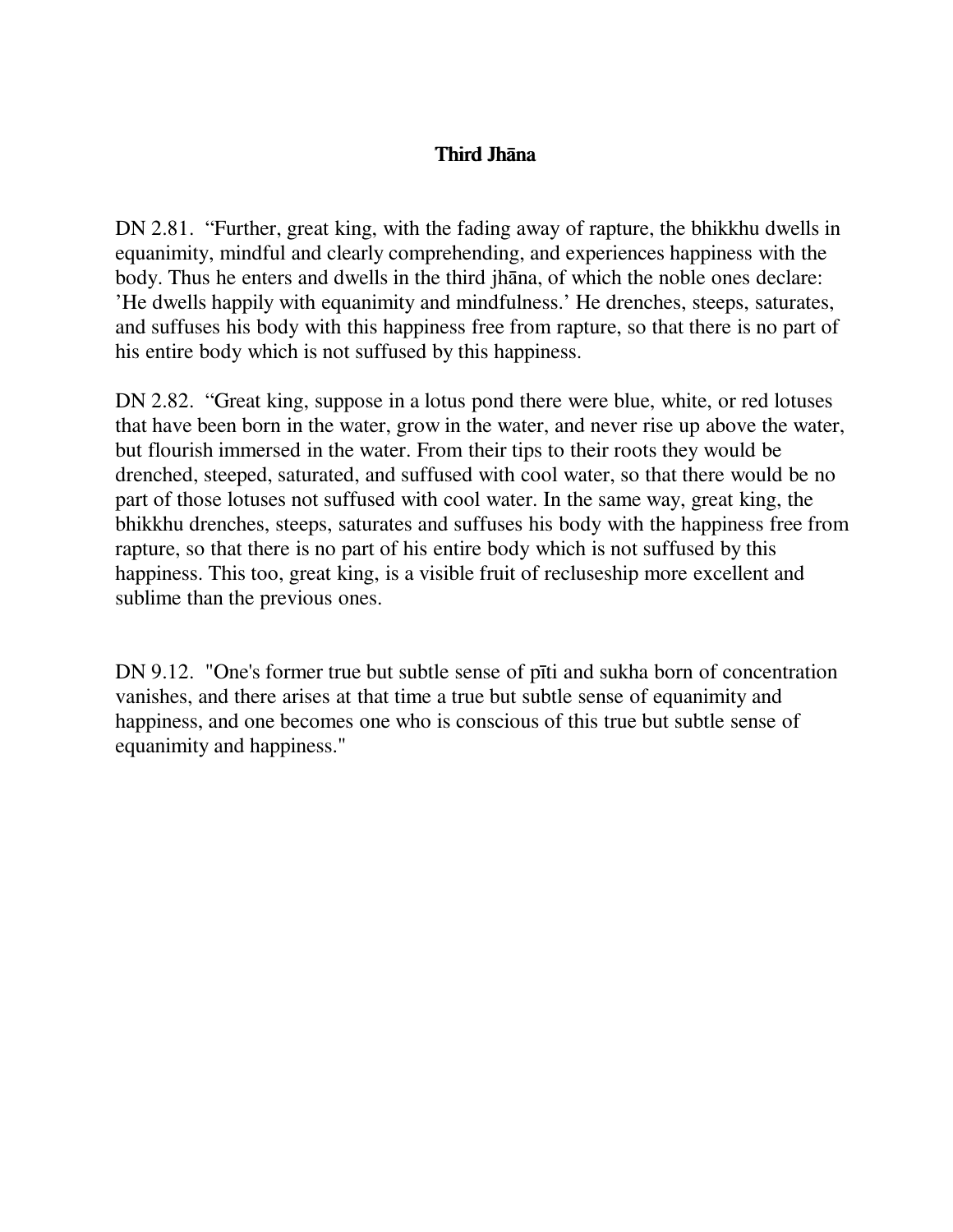## Third Jhāna

DN 2.81. "Further, great king, with the fading away of rapture, the bhikkhu dwells in equanimity, mindful and clearly comprehending, and experiences happiness with the body. Thus he enters and dwells in the third jhāna, of which the noble ones declare: 'He dwells happily with equanimity and mindfulness.' He drenches, steeps, saturates, and suffuses his body with this happiness free from rapture, so that there is no part of his entire body which is not suffused by this happiness.

DN 2.82. "Great king, suppose in a lotus pond there were blue, white, or red lotuses that have been born in the water, grow in the water, and never rise up above the water, but flourish immersed in the water. From their tips to their roots they would be drenched, steeped, saturated, and suffused with cool water, so that there would be no part of those lotuses not suffused with cool water. In the same way, great king, the bhikkhu drenches, steeps, saturates and suffuses his body with the happiness free from rapture, so that there is no part of his entire body which is not suffused by this happiness. This too, great king, is a visible fruit of recluseship more excellent and sublime than the previous ones.

DN 9.12. "One's former true but subtle sense of pīti and sukha born of concentration vanishes, and there arises at that time a true but subtle sense of equanimity and happiness, and one becomes one who is conscious of this true but subtle sense of equanimity and happiness."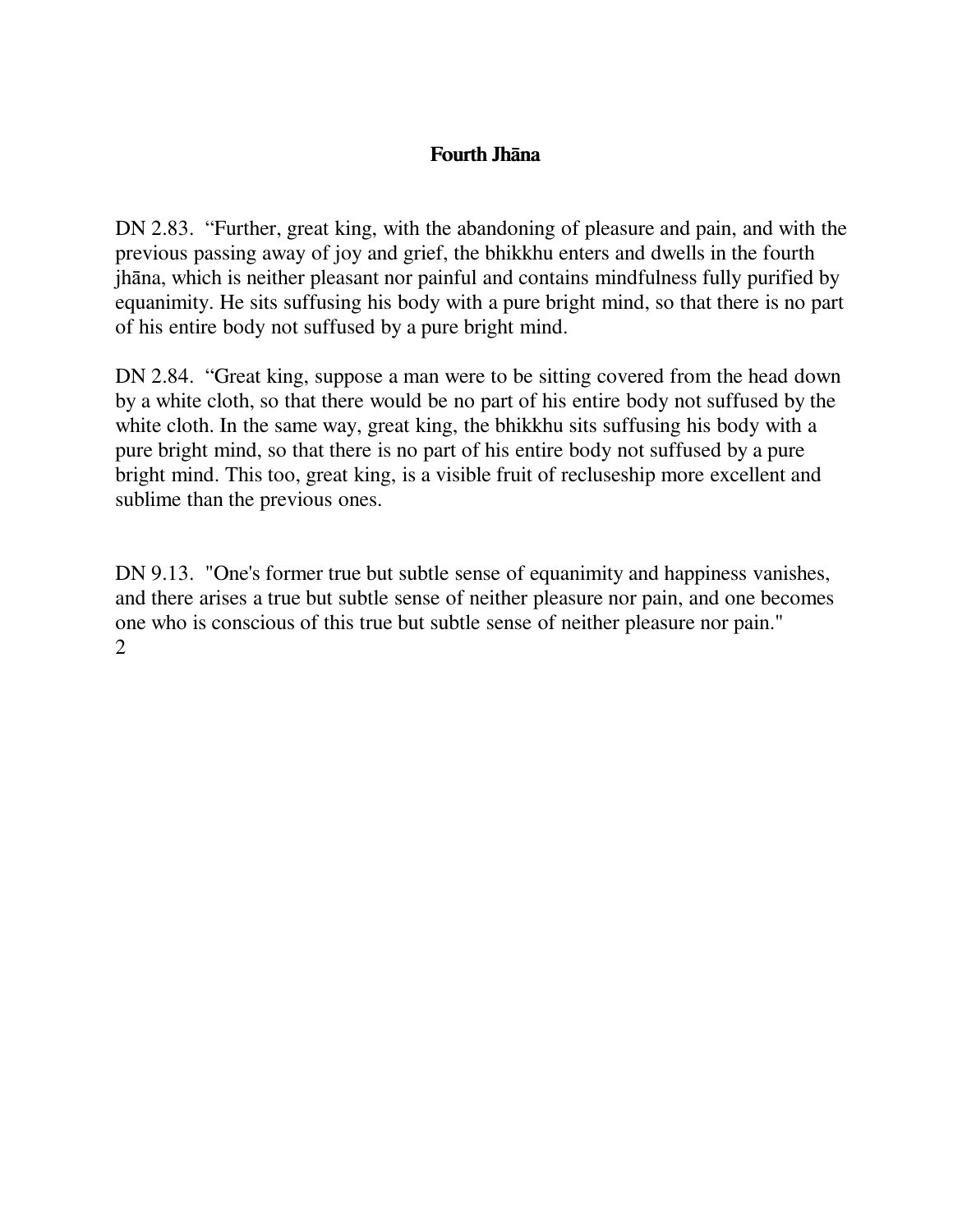## Fourth Jhāna

DN 2.83. "Further, great king, with the abandoning of pleasure and pain, and with the previous passing away of joy and grief, the bhikkhu enters and dwells in the fourth jhāna, which is neither pleasant nor painful and contains mindfulness fully purified by equanimity. He sits suffusing his body with a pure bright mind, so that there is no part of his entire body not suffused by a pure bright mind.

DN 2.84. "Great king, suppose a man were to be sitting covered from the head down by a white cloth, so that there would be no part of his entire body not suffused by the white cloth. In the same way, great king, the bhikkhu sits suffusing his body with a pure bright mind, so that there is no part of his entire body not suffused by a pure bright mind. This too, great king, is a visible fruit of recluseship more excellent and sublime than the previous ones.

DN 9.13. "One's former true but subtle sense of equanimity and happiness vanishes, and there arises a true but subtle sense of neither pleasure nor pain, and one becomes one who is conscious of this true but subtle sense of neither pleasure nor pain." 2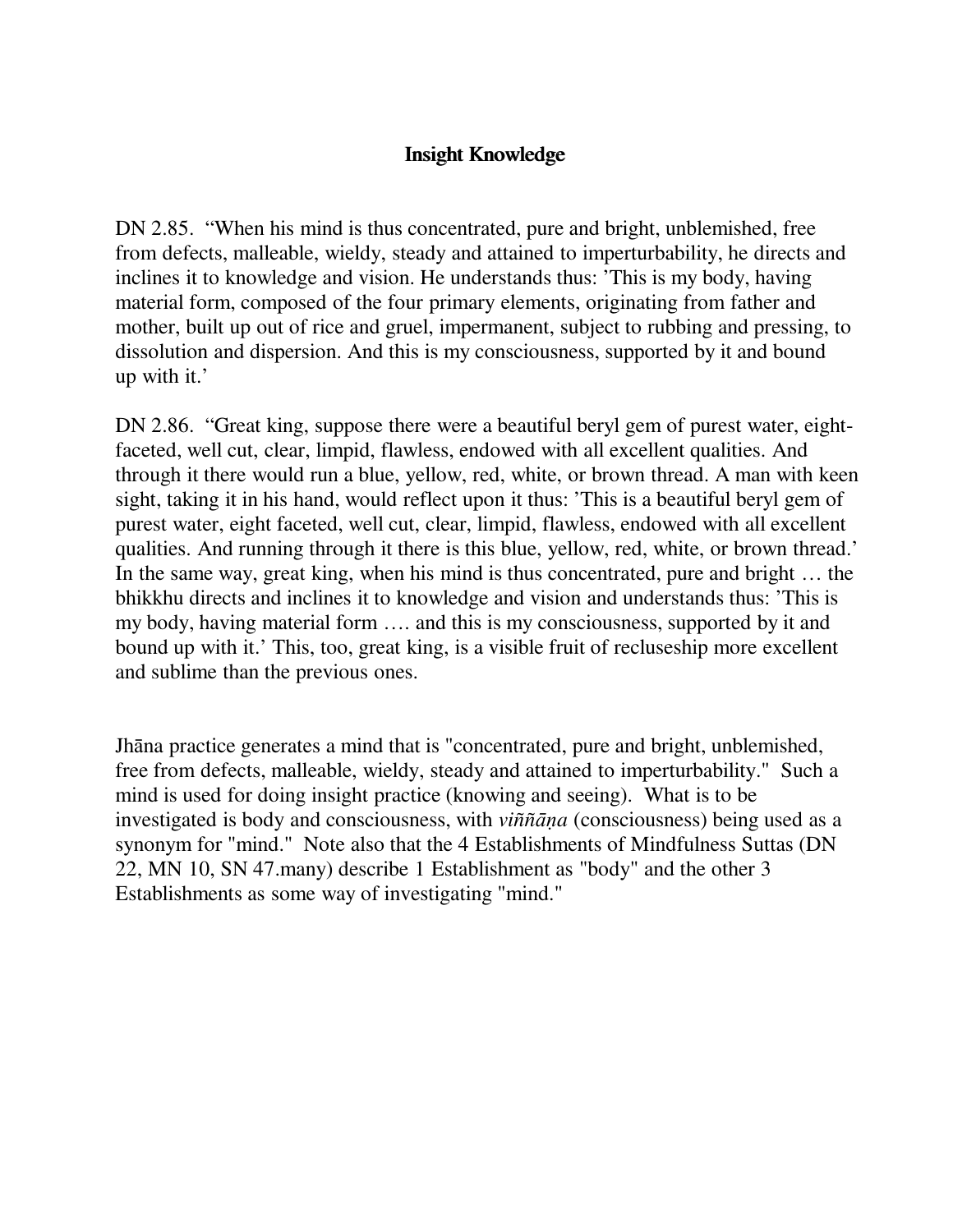## **Insight Knowledge**

DN 2.85. "When his mind is thus concentrated, pure and bright, unblemished, free from defects, malleable, wieldy, steady and attained to imperturbability, he directs and inclines it to knowledge and vision. He understands thus: 'This is my body, having material form, composed of the four primary elements, originating from father and mother, built up out of rice and gruel, impermanent, subject to rubbing and pressing, to dissolution and dispersion. And this is my consciousness, supported by it and bound up with it.'

DN 2.86. "Great king, suppose there were a beautiful beryl gem of purest water, eightfaceted, well cut, clear, limpid, flawless, endowed with all excellent qualities. And through it there would run a blue, yellow, red, white, or brown thread. A man with keen sight, taking it in his hand, would reflect upon it thus: 'This is a beautiful beryl gem of purest water, eight faceted, well cut, clear, limpid, flawless, endowed with all excellent qualities. And running through it there is this blue, yellow, red, white, or brown thread.' In the same way, great king, when his mind is thus concentrated, pure and bright … the bhikkhu directs and inclines it to knowledge and vision and understands thus: 'This is my body, having material form …. and this is my consciousness, supported by it and bound up with it.' This, too, great king, is a visible fruit of recluseship more excellent and sublime than the previous ones.

Jhāna practice generates a mind that is "concentrated, pure and bright, unblemished, free from defects, malleable, wieldy, steady and attained to imperturbability." Such a mind is used for doing insight practice (knowing and seeing). What is to be investigated is body and consciousness, with *viññāṇa* (consciousness) being used as a synonym for "mind." Note also that the 4 Establishments of Mindfulness Suttas (DN 22, MN 10, SN 47.many) describe 1 Establishment as "body" and the other 3 Establishments as some way of investigating "mind."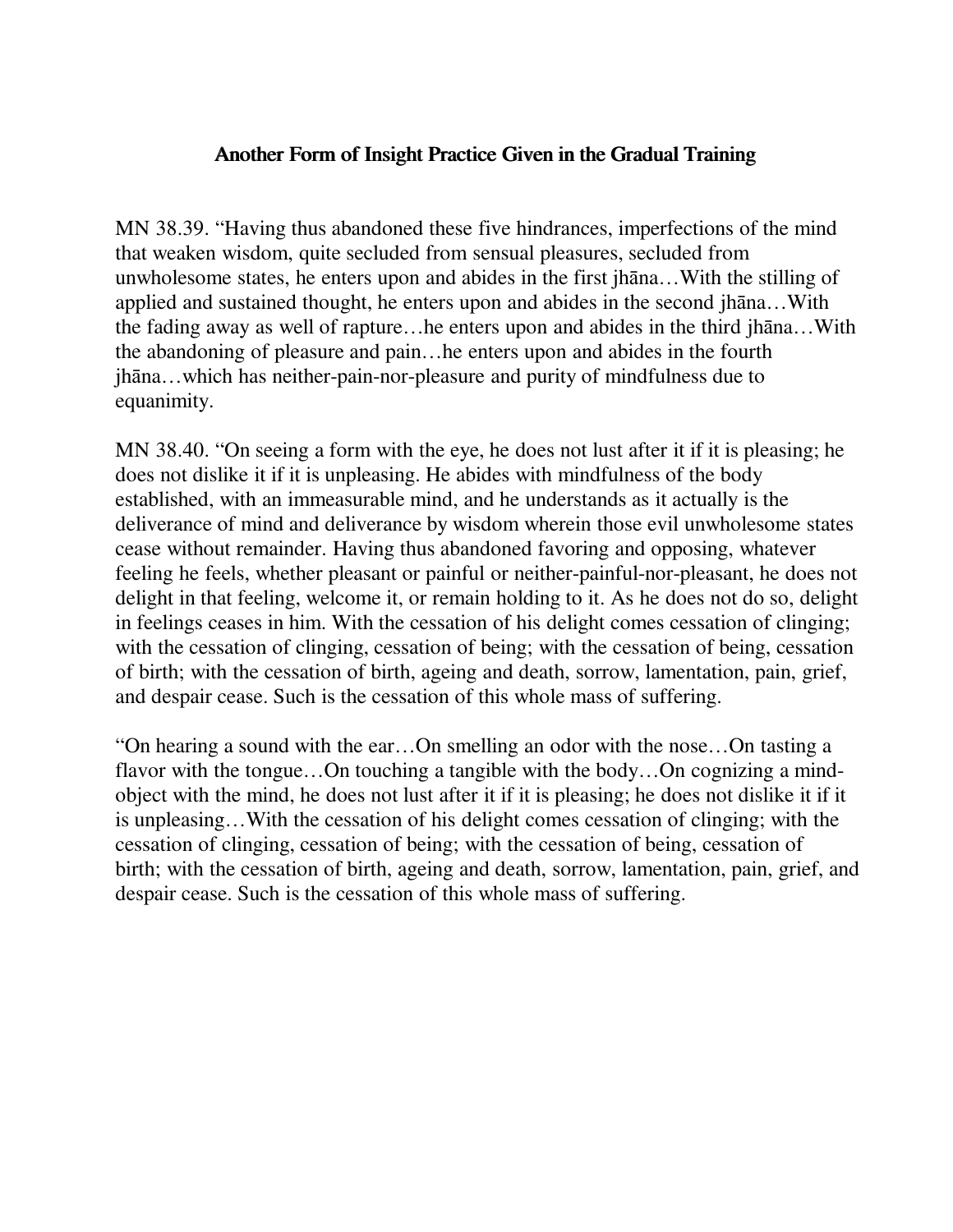### Another Form of Insight Practice Given in the Gradual Training

MN 38.39. "Having thus abandoned these five hindrances, imperfections of the mind that weaken wisdom, quite secluded from sensual pleasures, secluded from unwholesome states, he enters upon and abides in the first jhāna…With the stilling of applied and sustained thought, he enters upon and abides in the second jhāna…With the fading away as well of rapture…he enters upon and abides in the third jhāna…With the abandoning of pleasure and pain…he enters upon and abides in the fourth jhāna…which has neither-pain-nor-pleasure and purity of mindfulness due to equanimity.

MN 38.40. "On seeing a form with the eye, he does not lust after it if it is pleasing; he does not dislike it if it is unpleasing. He abides with mindfulness of the body established, with an immeasurable mind, and he understands as it actually is the deliverance of mind and deliverance by wisdom wherein those evil unwholesome states cease without remainder. Having thus abandoned favoring and opposing, whatever feeling he feels, whether pleasant or painful or neither-painful-nor-pleasant, he does not delight in that feeling, welcome it, or remain holding to it. As he does not do so, delight in feelings ceases in him. With the cessation of his delight comes cessation of clinging; with the cessation of clinging, cessation of being; with the cessation of being, cessation of birth; with the cessation of birth, ageing and death, sorrow, lamentation, pain, grief, and despair cease. Such is the cessation of this whole mass of suffering.

"On hearing a sound with the ear…On smelling an odor with the nose…On tasting a flavor with the tongue...On touching a tangible with the body...On cognizing a mindobject with the mind, he does not lust after it if it is pleasing; he does not dislike it if it is unpleasing…With the cessation of his delight comes cessation of clinging; with the cessation of clinging, cessation of being; with the cessation of being, cessation of birth; with the cessation of birth, ageing and death, sorrow, lamentation, pain, grief, and despair cease. Such is the cessation of this whole mass of suffering.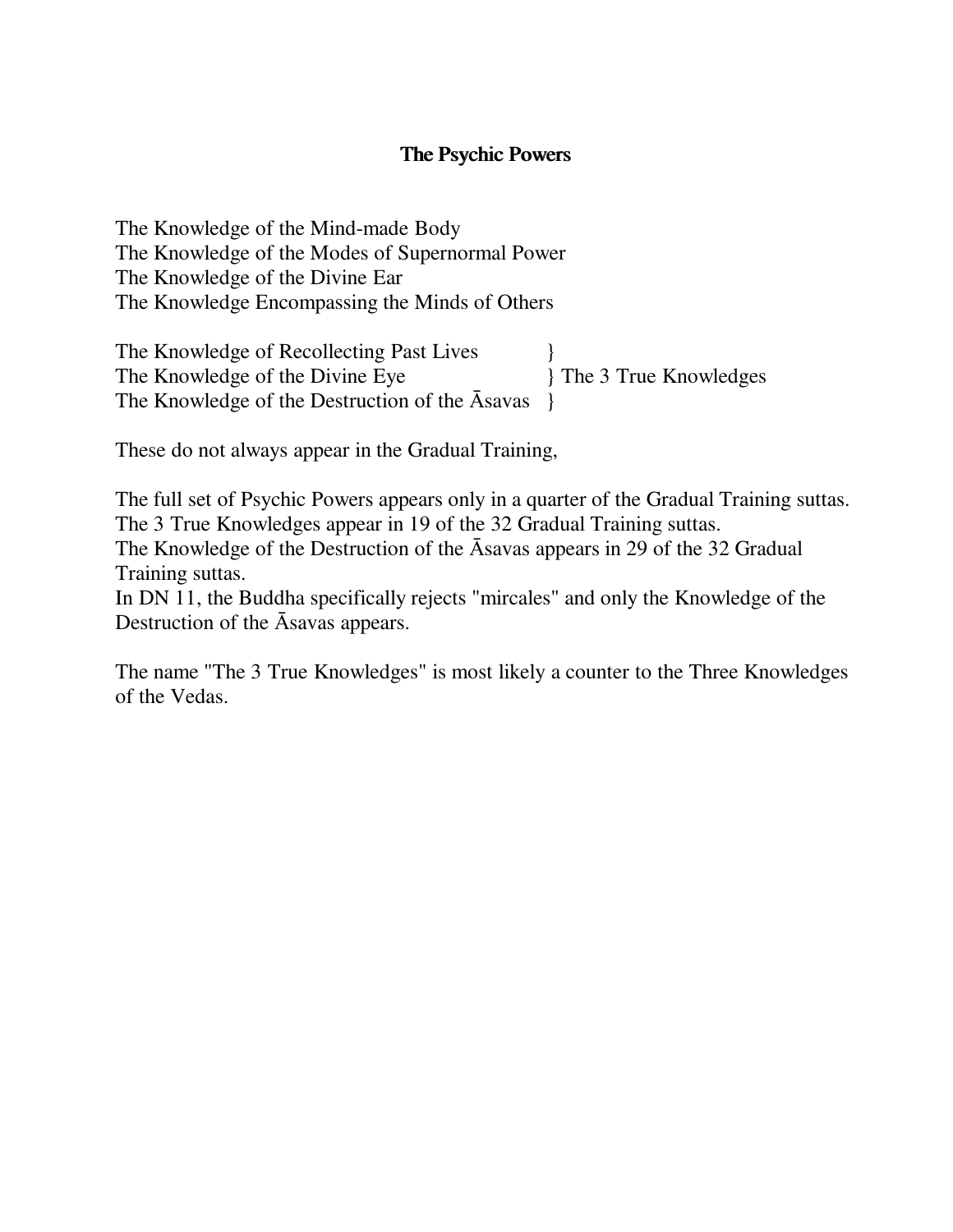# The Psychic Powers

The Knowledge of the Mind-made Body The Knowledge of the Modes of Supernormal Power The Knowledge of the Divine Ear The Knowledge Encompassing the Minds of Others

The Knowledge of Recollecting Past Lives  $\{$ The Knowledge of the Divine Eye <br>} The 3 True Knowledges The Knowledge of the Destruction of the Asavas  $\{$ 

These do not always appear in the Gradual Training,

The full set of Psychic Powers appears only in a quarter of the Gradual Training suttas. The 3 True Knowledges appear in 19 of the 32 Gradual Training suttas. The Knowledge of the Destruction of the Āsavas appears in 29 of the 32 Gradual Training suttas.

In DN 11, the Buddha specifically rejects "mircales" and only the Knowledge of the Destruction of the Āsavas appears.

The name "The 3 True Knowledges" is most likely a counter to the Three Knowledges of the Vedas.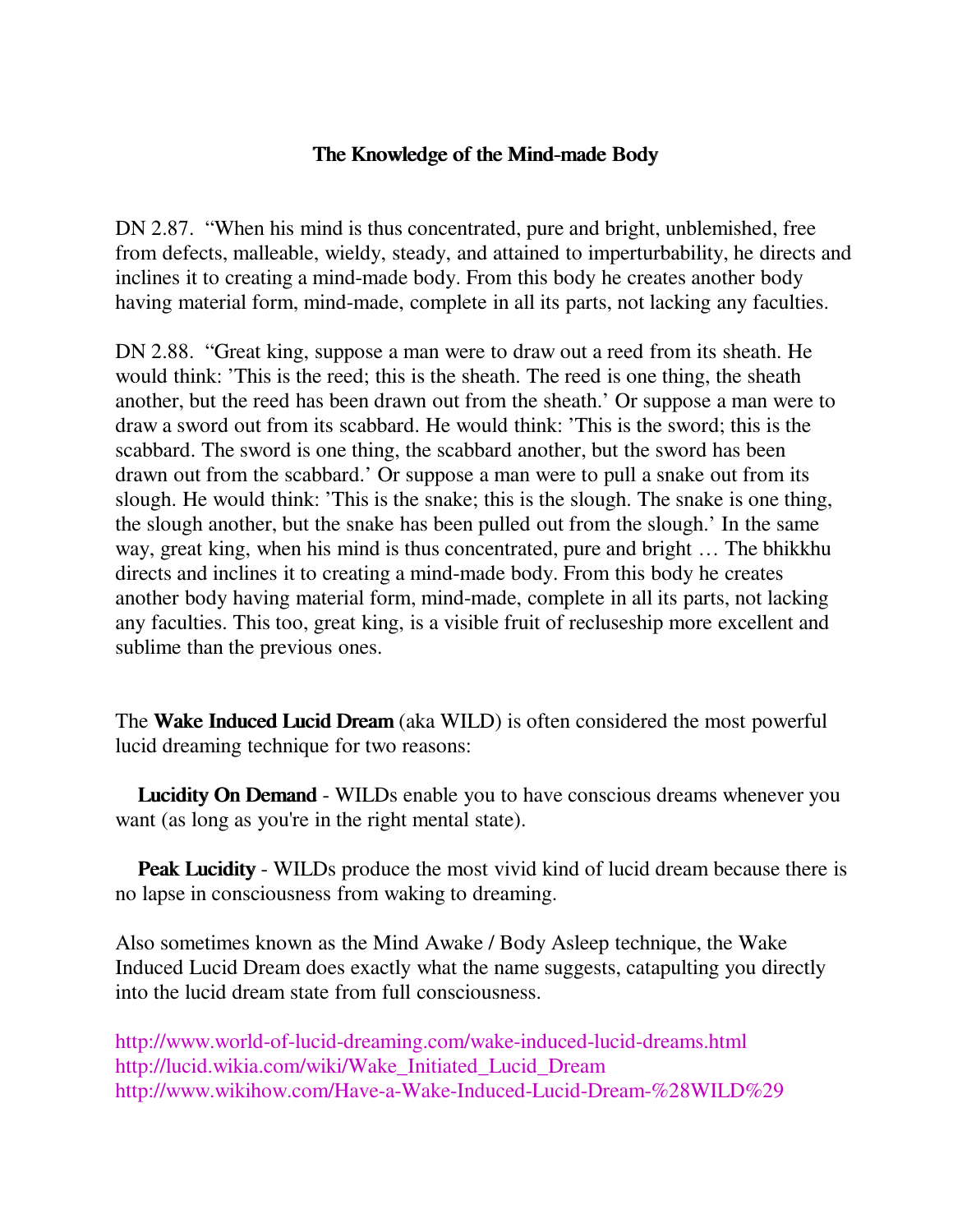### The Knowledge of the Mind-made Body

DN 2.87. "When his mind is thus concentrated, pure and bright, unblemished, free from defects, malleable, wieldy, steady, and attained to imperturbability, he directs and inclines it to creating a mind-made body. From this body he creates another body having material form, mind-made, complete in all its parts, not lacking any faculties.

DN 2.88. "Great king, suppose a man were to draw out a reed from its sheath. He would think: 'This is the reed; this is the sheath. The reed is one thing, the sheath another, but the reed has been drawn out from the sheath.' Or suppose a man were to draw a sword out from its scabbard. He would think: 'This is the sword; this is the scabbard. The sword is one thing, the scabbard another, but the sword has been drawn out from the scabbard.' Or suppose a man were to pull a snake out from its slough. He would think: 'This is the snake; this is the slough. The snake is one thing, the slough another, but the snake has been pulled out from the slough.' In the same way, great king, when his mind is thus concentrated, pure and bright … The bhikkhu directs and inclines it to creating a mind-made body. From this body he creates another body having material form, mind-made, complete in all its parts, not lacking any faculties. This too, great king, is a visible fruit of recluseship more excellent and sublime than the previous ones.

The **Wake Induced Lucid Dream** (aka WILD) is often considered the most powerful lucid dreaming technique for two reasons:

Lucidity On Demand - WILDs enable you to have conscious dreams whenever you want (as long as you're in the right mental state).

**Peak Lucidity** - WILDs produce the most vivid kind of lucid dream because there is no lapse in consciousness from waking to dreaming.

Also sometimes known as the Mind Awake / Body Asleep technique, the Wake Induced Lucid Dream does exactly what the name suggests, catapulting you directly into the lucid dream state from full consciousness.

http://www.world-of-lucid-dreaming.com/wake-induced-lucid-dreams.html http://lucid.wikia.com/wiki/Wake\_Initiated\_Lucid\_Dream http://www.wikihow.com/Have-a-Wake-Induced-Lucid-Dream-%28WILD%29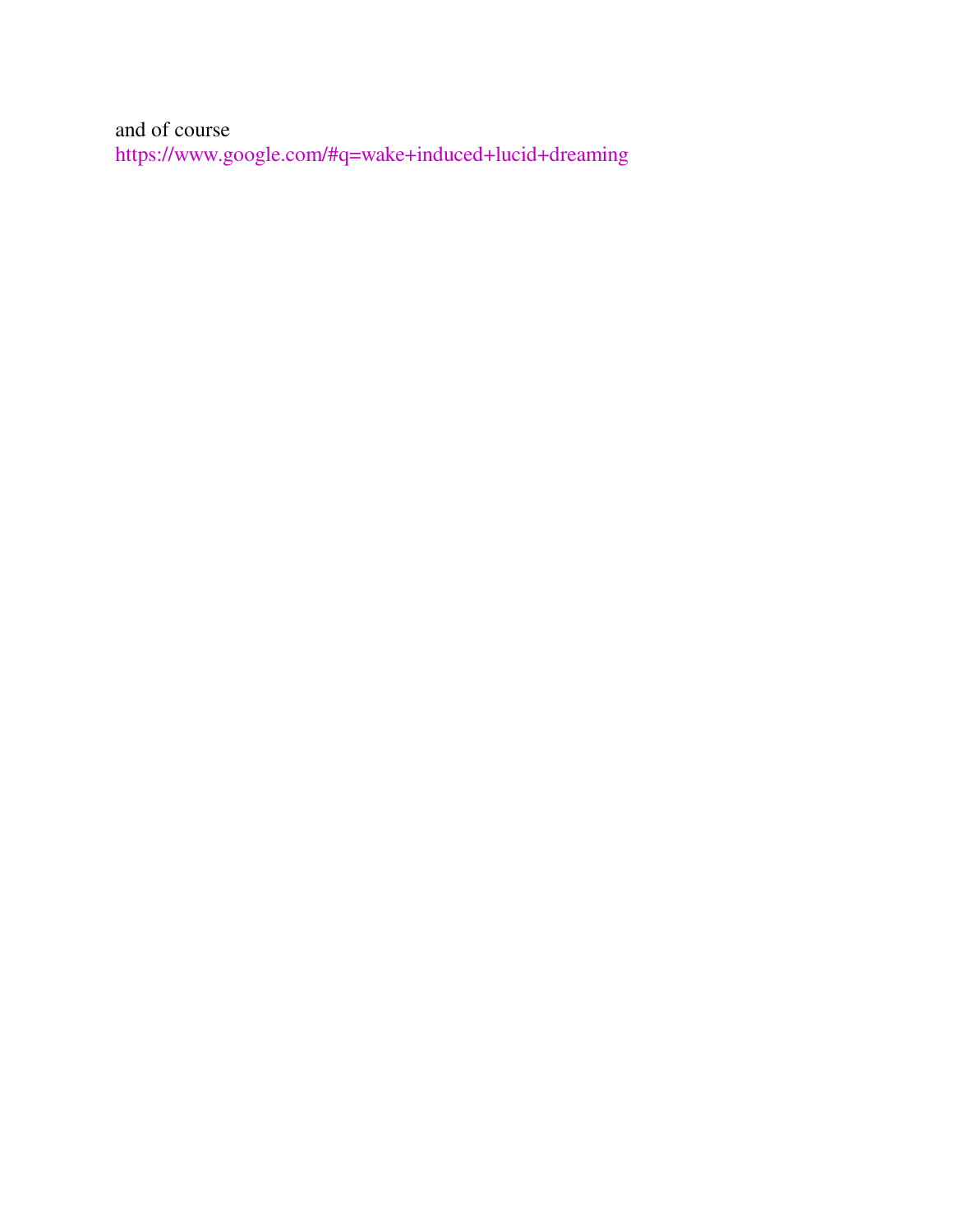and of course https://www.google.com/#q=wake+induced+lucid+dreaming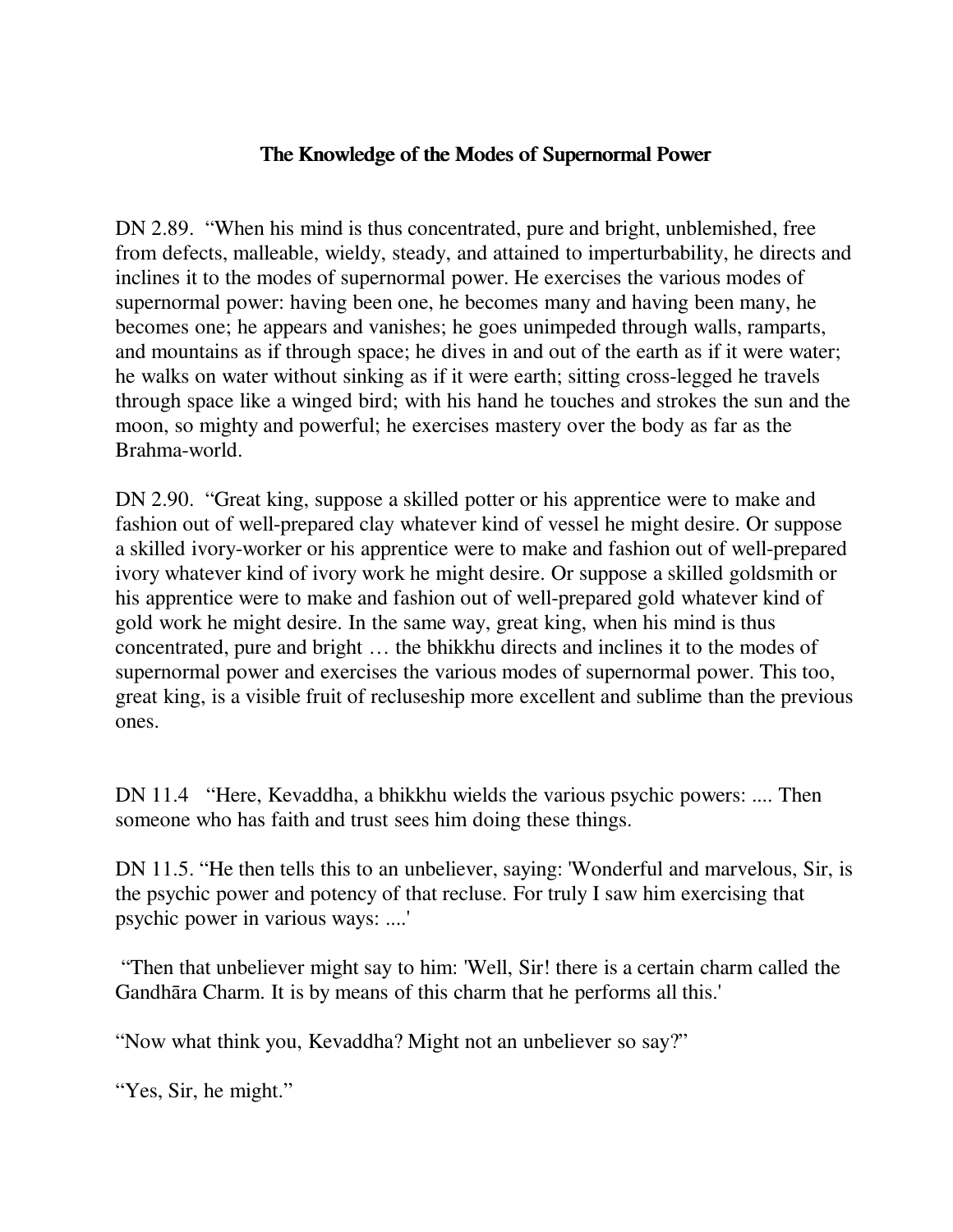## The Knowledge of the Modes of Supernormal Power

DN 2.89. "When his mind is thus concentrated, pure and bright, unblemished, free from defects, malleable, wieldy, steady, and attained to imperturbability, he directs and inclines it to the modes of supernormal power. He exercises the various modes of supernormal power: having been one, he becomes many and having been many, he becomes one; he appears and vanishes; he goes unimpeded through walls, ramparts, and mountains as if through space; he dives in and out of the earth as if it were water; he walks on water without sinking as if it were earth; sitting cross-legged he travels through space like a winged bird; with his hand he touches and strokes the sun and the moon, so mighty and powerful; he exercises mastery over the body as far as the Brahma-world.

DN 2.90. "Great king, suppose a skilled potter or his apprentice were to make and fashion out of well-prepared clay whatever kind of vessel he might desire. Or suppose a skilled ivory-worker or his apprentice were to make and fashion out of well-prepared ivory whatever kind of ivory work he might desire. Or suppose a skilled goldsmith or his apprentice were to make and fashion out of well-prepared gold whatever kind of gold work he might desire. In the same way, great king, when his mind is thus concentrated, pure and bright … the bhikkhu directs and inclines it to the modes of supernormal power and exercises the various modes of supernormal power. This too, great king, is a visible fruit of recluseship more excellent and sublime than the previous ones.

DN 11.4 "Here, Kevaddha, a bhikkhu wields the various psychic powers: .... Then someone who has faith and trust sees him doing these things.

DN 11.5. "He then tells this to an unbeliever, saying: 'Wonderful and marvelous, Sir, is the psychic power and potency of that recluse. For truly I saw him exercising that psychic power in various ways: ....'

"Then that unbeliever might say to him: 'Well, Sir! there is a certain charm called the Gandhāra Charm. It is by means of this charm that he performs all this.'

"Now what think you, Kevaddha? Might not an unbeliever so say?"

"Yes, Sir, he might."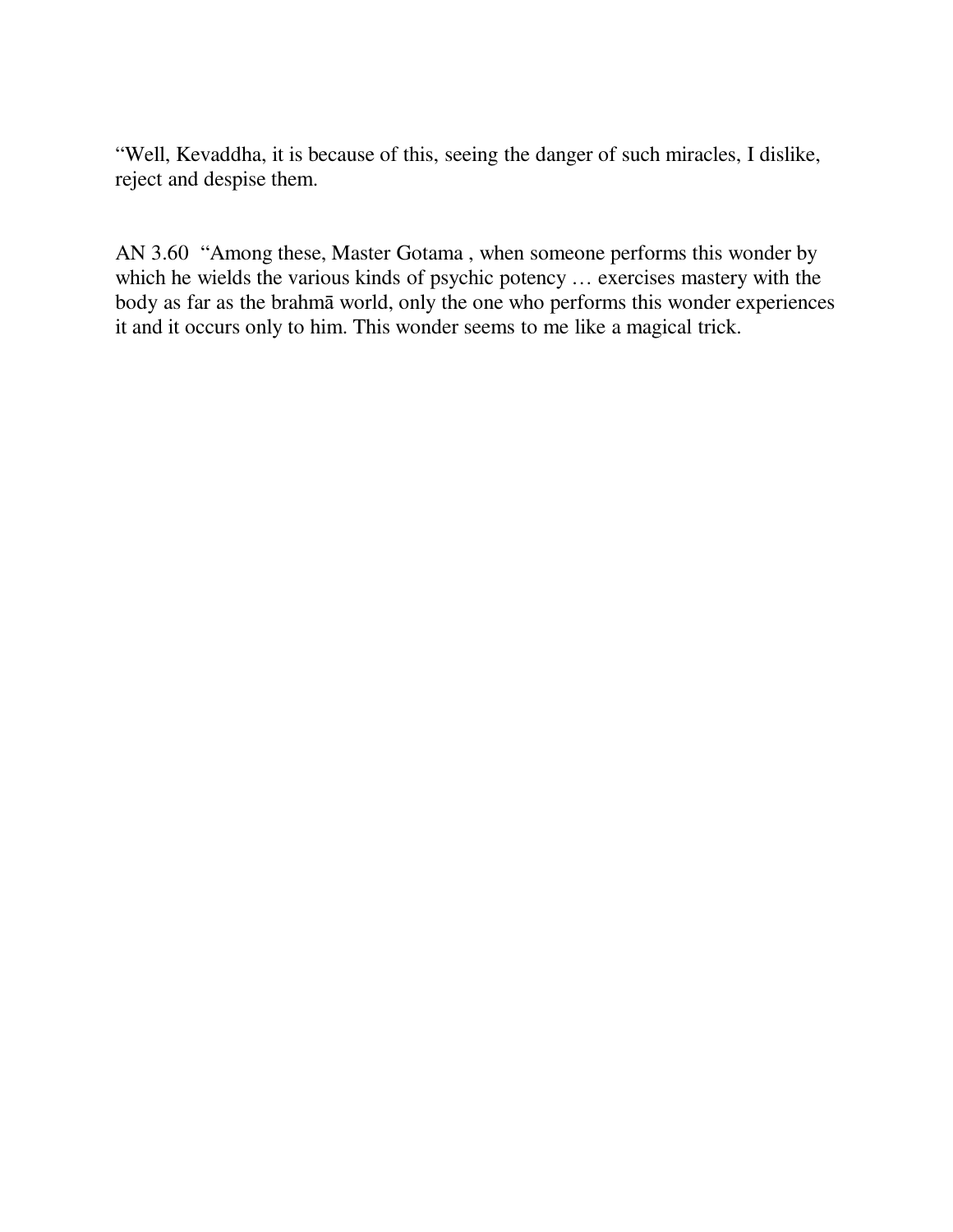"Well, Kevaddha, it is because of this, seeing the danger of such miracles, I dislike, reject and despise them.

AN 3.60 "Among these, Master Gotama , when someone performs this wonder by which he wields the various kinds of psychic potency … exercises mastery with the body as far as the brahmā world, only the one who performs this wonder experiences it and it occurs only to him. This wonder seems to me like a magical trick.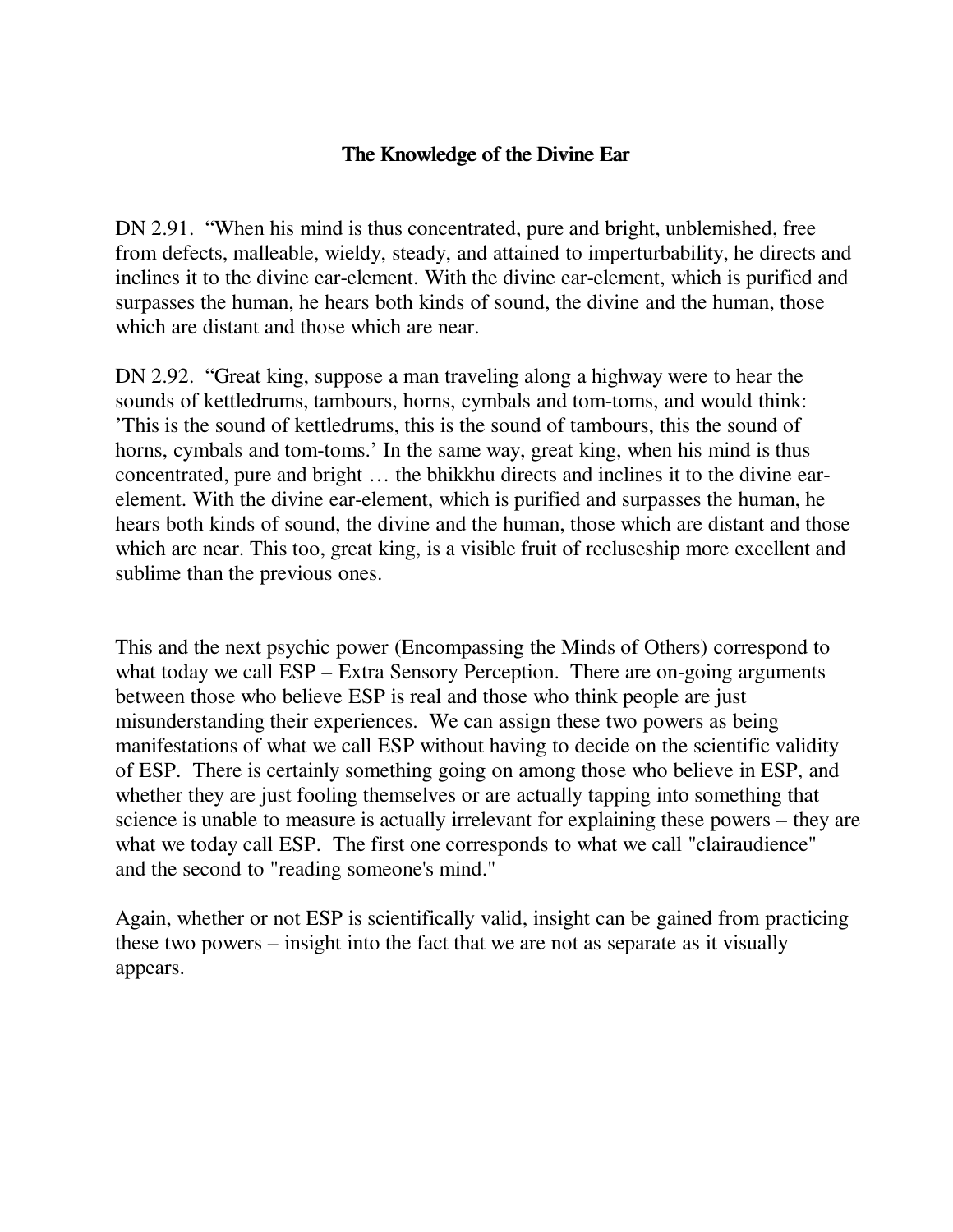## The Knowledge of the Divine Ear

DN 2.91. "When his mind is thus concentrated, pure and bright, unblemished, free from defects, malleable, wieldy, steady, and attained to imperturbability, he directs and inclines it to the divine ear-element. With the divine ear-element, which is purified and surpasses the human, he hears both kinds of sound, the divine and the human, those which are distant and those which are near.

DN 2.92. "Great king, suppose a man traveling along a highway were to hear the sounds of kettledrums, tambours, horns, cymbals and tom-toms, and would think: 'This is the sound of kettledrums, this is the sound of tambours, this the sound of horns, cymbals and tom-toms.' In the same way, great king, when his mind is thus concentrated, pure and bright … the bhikkhu directs and inclines it to the divine earelement. With the divine ear-element, which is purified and surpasses the human, he hears both kinds of sound, the divine and the human, those which are distant and those which are near. This too, great king, is a visible fruit of recluseship more excellent and sublime than the previous ones.

This and the next psychic power (Encompassing the Minds of Others) correspond to what today we call ESP – Extra Sensory Perception. There are on-going arguments between those who believe ESP is real and those who think people are just misunderstanding their experiences. We can assign these two powers as being manifestations of what we call ESP without having to decide on the scientific validity of ESP. There is certainly something going on among those who believe in ESP, and whether they are just fooling themselves or are actually tapping into something that science is unable to measure is actually irrelevant for explaining these powers – they are what we today call ESP. The first one corresponds to what we call "clairaudience" and the second to "reading someone's mind."

Again, whether or not ESP is scientifically valid, insight can be gained from practicing these two powers – insight into the fact that we are not as separate as it visually appears.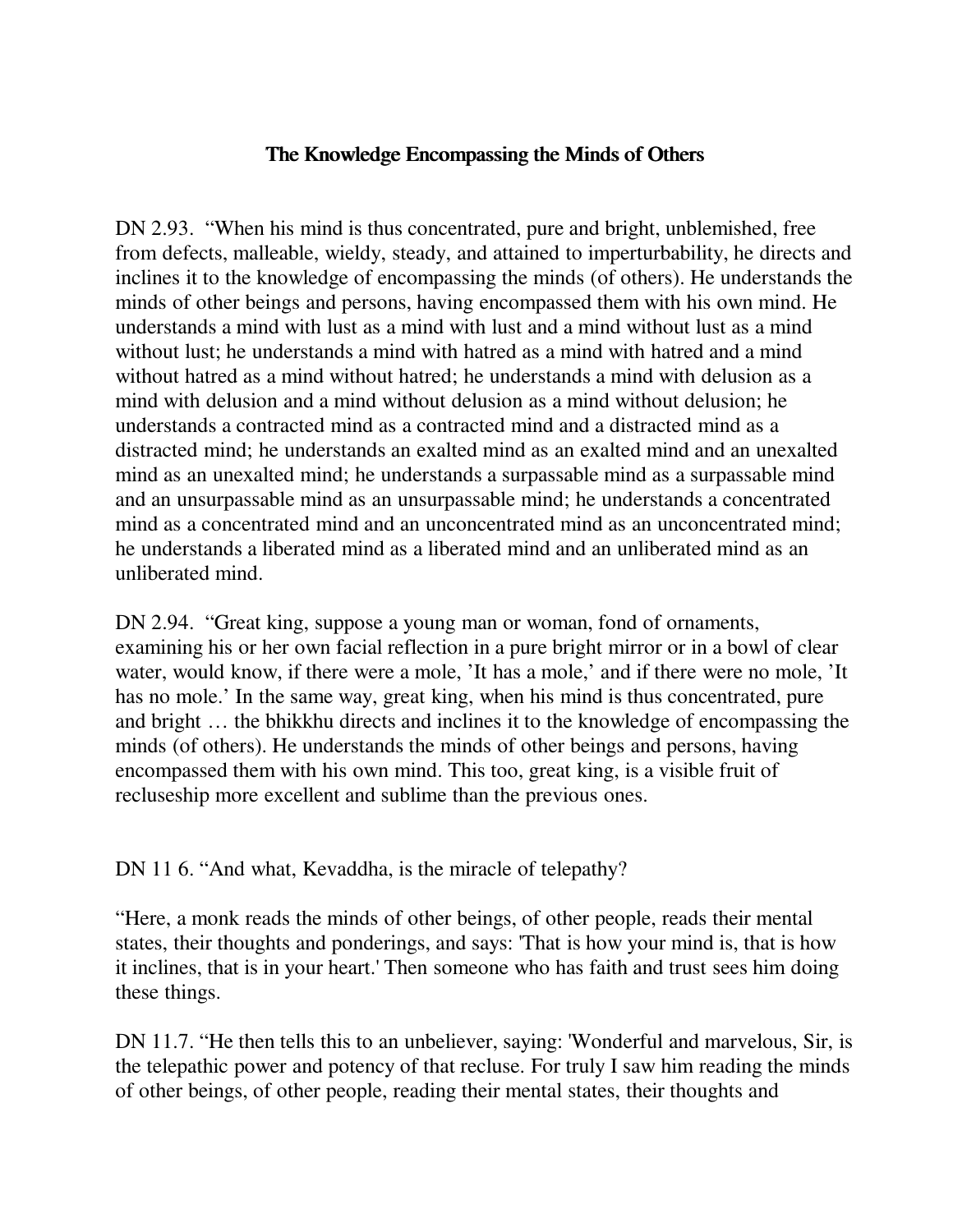## The Knowledge Encompassing the Minds of Others

DN 2.93. "When his mind is thus concentrated, pure and bright, unblemished, free from defects, malleable, wieldy, steady, and attained to imperturbability, he directs and inclines it to the knowledge of encompassing the minds (of others). He understands the minds of other beings and persons, having encompassed them with his own mind. He understands a mind with lust as a mind with lust and a mind without lust as a mind without lust; he understands a mind with hatred as a mind with hatred and a mind without hatred as a mind without hatred; he understands a mind with delusion as a mind with delusion and a mind without delusion as a mind without delusion; he understands a contracted mind as a contracted mind and a distracted mind as a distracted mind; he understands an exalted mind as an exalted mind and an unexalted mind as an unexalted mind; he understands a surpassable mind as a surpassable mind and an unsurpassable mind as an unsurpassable mind; he understands a concentrated mind as a concentrated mind and an unconcentrated mind as an unconcentrated mind: he understands a liberated mind as a liberated mind and an unliberated mind as an unliberated mind.

DN 2.94. "Great king, suppose a young man or woman, fond of ornaments, examining his or her own facial reflection in a pure bright mirror or in a bowl of clear water, would know, if there were a mole, 'It has a mole,' and if there were no mole, 'It has no mole.' In the same way, great king, when his mind is thus concentrated, pure and bright … the bhikkhu directs and inclines it to the knowledge of encompassing the minds (of others). He understands the minds of other beings and persons, having encompassed them with his own mind. This too, great king, is a visible fruit of recluseship more excellent and sublime than the previous ones.

DN 11 6. "And what, Kevaddha, is the miracle of telepathy?

"Here, a monk reads the minds of other beings, of other people, reads their mental states, their thoughts and ponderings, and says: 'That is how your mind is, that is how it inclines, that is in your heart.' Then someone who has faith and trust sees him doing these things.

DN 11.7. "He then tells this to an unbeliever, saying: 'Wonderful and marvelous, Sir, is the telepathic power and potency of that recluse. For truly I saw him reading the minds of other beings, of other people, reading their mental states, their thoughts and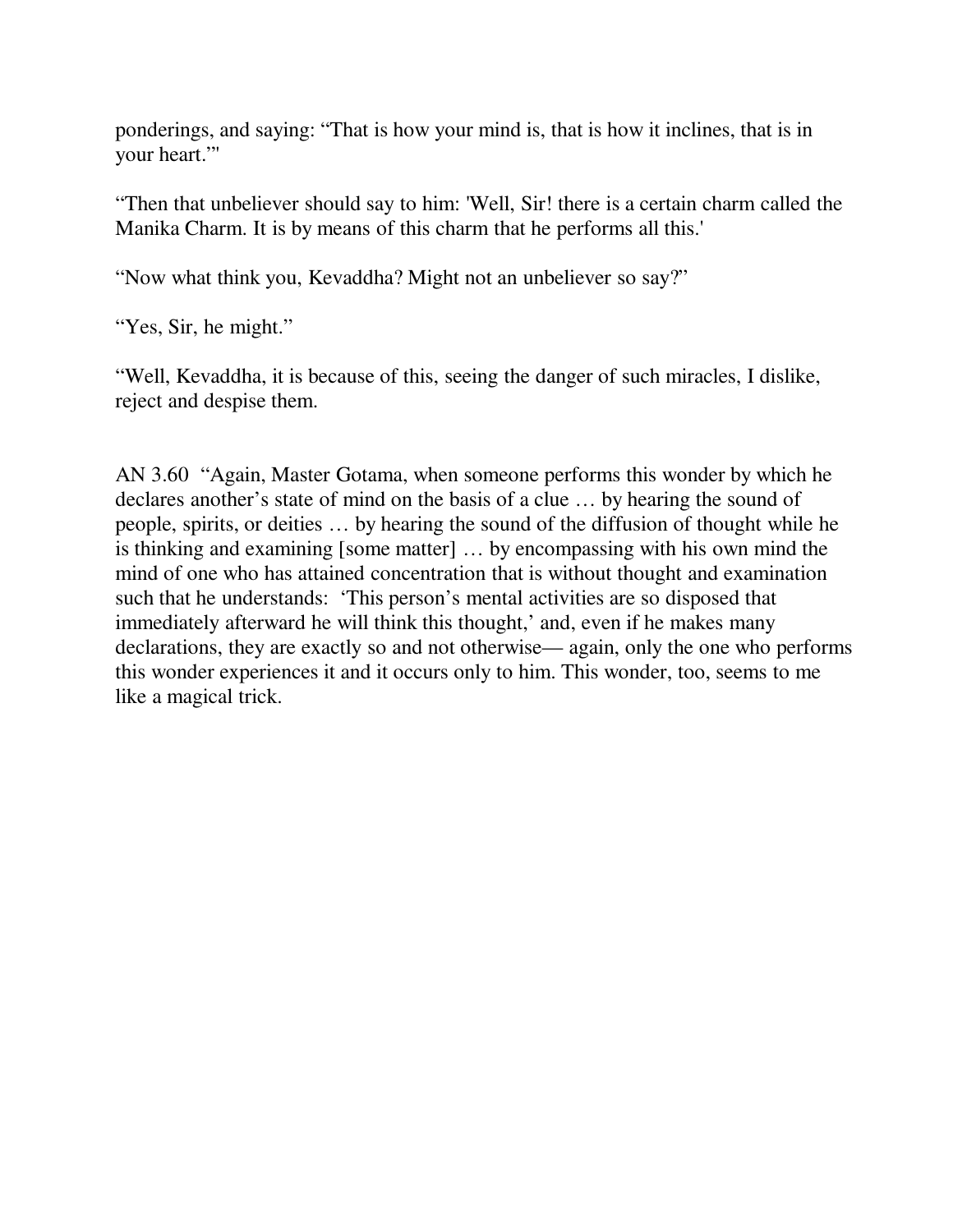ponderings, and saying: "That is how your mind is, that is how it inclines, that is in your heart."'

"Then that unbeliever should say to him: 'Well, Sir! there is a certain charm called the Manika Charm. It is by means of this charm that he performs all this.'

"Now what think you, Kevaddha? Might not an unbeliever so say?"

"Yes, Sir, he might."

"Well, Kevaddha, it is because of this, seeing the danger of such miracles, I dislike, reject and despise them.

AN 3.60 "Again, Master Gotama, when someone performs this wonder by which he declares another's state of mind on the basis of a clue … by hearing the sound of people, spirits, or deities … by hearing the sound of the diffusion of thought while he is thinking and examining [some matter] … by encompassing with his own mind the mind of one who has attained concentration that is without thought and examination such that he understands: 'This person's mental activities are so disposed that immediately afterward he will think this thought,' and, even if he makes many declarations, they are exactly so and not otherwise— again, only the one who performs this wonder experiences it and it occurs only to him. This wonder, too, seems to me like a magical trick.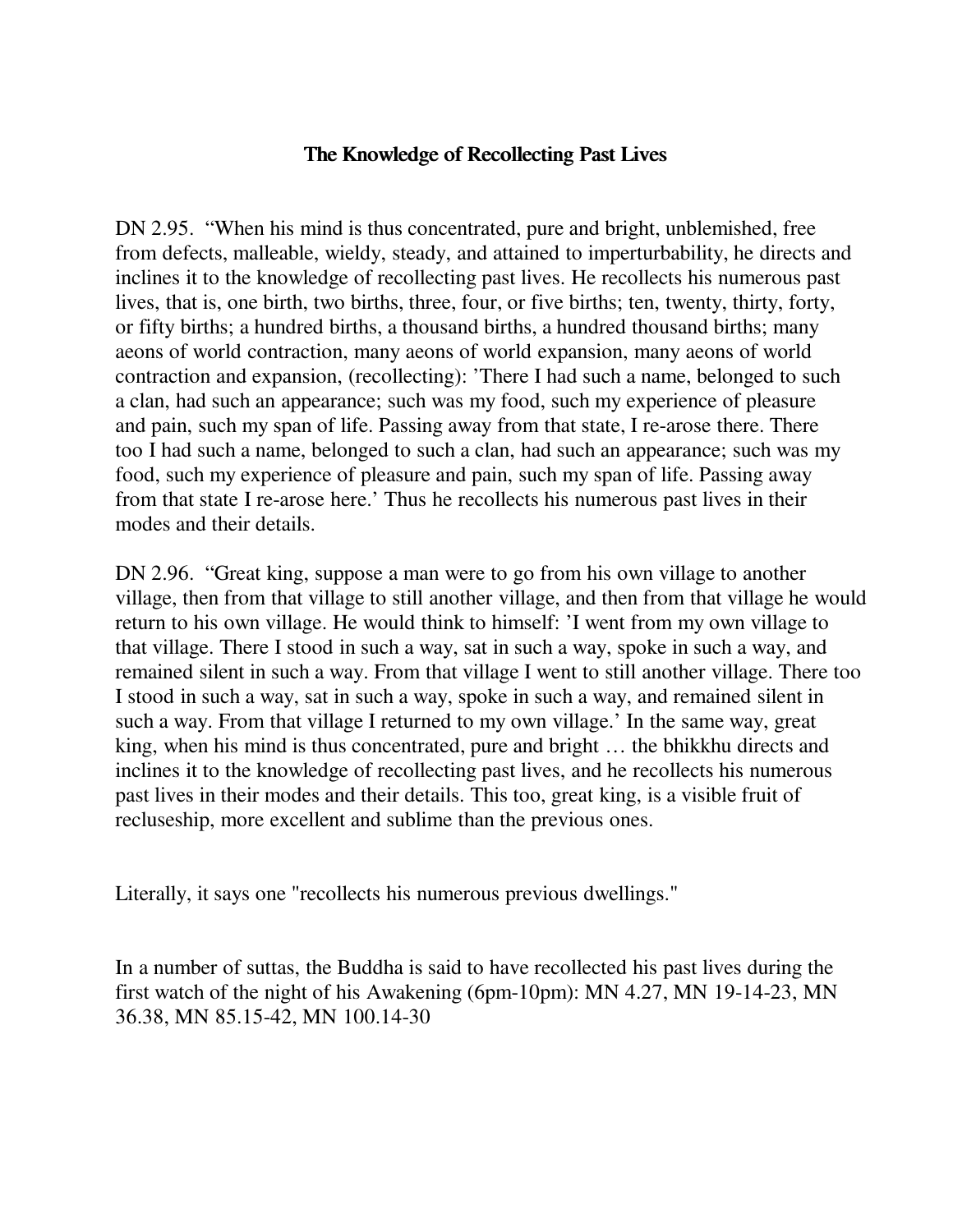### The Knowledge of Recollecting Past Lives

DN 2.95. "When his mind is thus concentrated, pure and bright, unblemished, free from defects, malleable, wieldy, steady, and attained to imperturbability, he directs and inclines it to the knowledge of recollecting past lives. He recollects his numerous past lives, that is, one birth, two births, three, four, or five births; ten, twenty, thirty, forty, or fifty births; a hundred births, a thousand births, a hundred thousand births; many aeons of world contraction, many aeons of world expansion, many aeons of world contraction and expansion, (recollecting): 'There I had such a name, belonged to such a clan, had such an appearance; such was my food, such my experience of pleasure and pain, such my span of life. Passing away from that state, I re-arose there. There too I had such a name, belonged to such a clan, had such an appearance; such was my food, such my experience of pleasure and pain, such my span of life. Passing away from that state I re-arose here.' Thus he recollects his numerous past lives in their modes and their details.

DN 2.96. "Great king, suppose a man were to go from his own village to another village, then from that village to still another village, and then from that village he would return to his own village. He would think to himself: 'I went from my own village to that village. There I stood in such a way, sat in such a way, spoke in such a way, and remained silent in such a way. From that village I went to still another village. There too I stood in such a way, sat in such a way, spoke in such a way, and remained silent in such a way. From that village I returned to my own village.' In the same way, great king, when his mind is thus concentrated, pure and bright … the bhikkhu directs and inclines it to the knowledge of recollecting past lives, and he recollects his numerous past lives in their modes and their details. This too, great king, is a visible fruit of recluseship, more excellent and sublime than the previous ones.

Literally, it says one "recollects his numerous previous dwellings."

In a number of suttas, the Buddha is said to have recollected his past lives during the first watch of the night of his Awakening (6pm-10pm): MN 4.27, MN 19-14-23, MN 36.38, MN 85.15-42, MN 100.14-30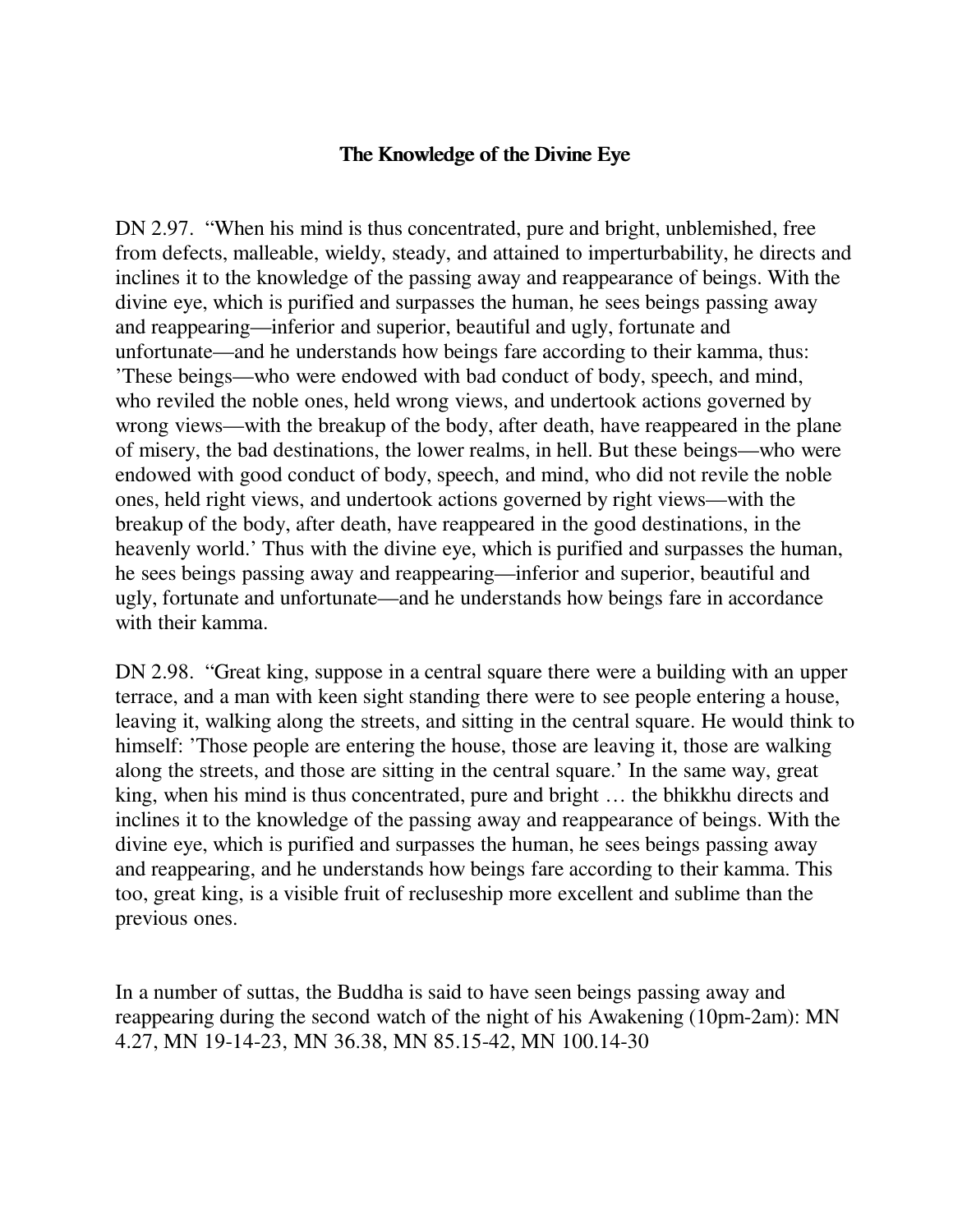### The Knowledge of the Divine Eye

DN 2.97. "When his mind is thus concentrated, pure and bright, unblemished, free from defects, malleable, wieldy, steady, and attained to imperturbability, he directs and inclines it to the knowledge of the passing away and reappearance of beings. With the divine eye, which is purified and surpasses the human, he sees beings passing away and reappearing—inferior and superior, beautiful and ugly, fortunate and unfortunate—and he understands how beings fare according to their kamma, thus: 'These beings—who were endowed with bad conduct of body, speech, and mind, who reviled the noble ones, held wrong views, and undertook actions governed by wrong views—with the breakup of the body, after death, have reappeared in the plane of misery, the bad destinations, the lower realms, in hell. But these beings—who were endowed with good conduct of body, speech, and mind, who did not revile the noble ones, held right views, and undertook actions governed by right views—with the breakup of the body, after death, have reappeared in the good destinations, in the heavenly world.' Thus with the divine eye, which is purified and surpasses the human, he sees beings passing away and reappearing—inferior and superior, beautiful and ugly, fortunate and unfortunate—and he understands how beings fare in accordance with their kamma.

DN 2.98. "Great king, suppose in a central square there were a building with an upper terrace, and a man with keen sight standing there were to see people entering a house, leaving it, walking along the streets, and sitting in the central square. He would think to himself: 'Those people are entering the house, those are leaving it, those are walking along the streets, and those are sitting in the central square.' In the same way, great king, when his mind is thus concentrated, pure and bright … the bhikkhu directs and inclines it to the knowledge of the passing away and reappearance of beings. With the divine eye, which is purified and surpasses the human, he sees beings passing away and reappearing, and he understands how beings fare according to their kamma. This too, great king, is a visible fruit of recluseship more excellent and sublime than the previous ones.

In a number of suttas, the Buddha is said to have seen beings passing away and reappearing during the second watch of the night of his Awakening (10pm-2am): MN 4.27, MN 19-14-23, MN 36.38, MN 85.15-42, MN 100.14-30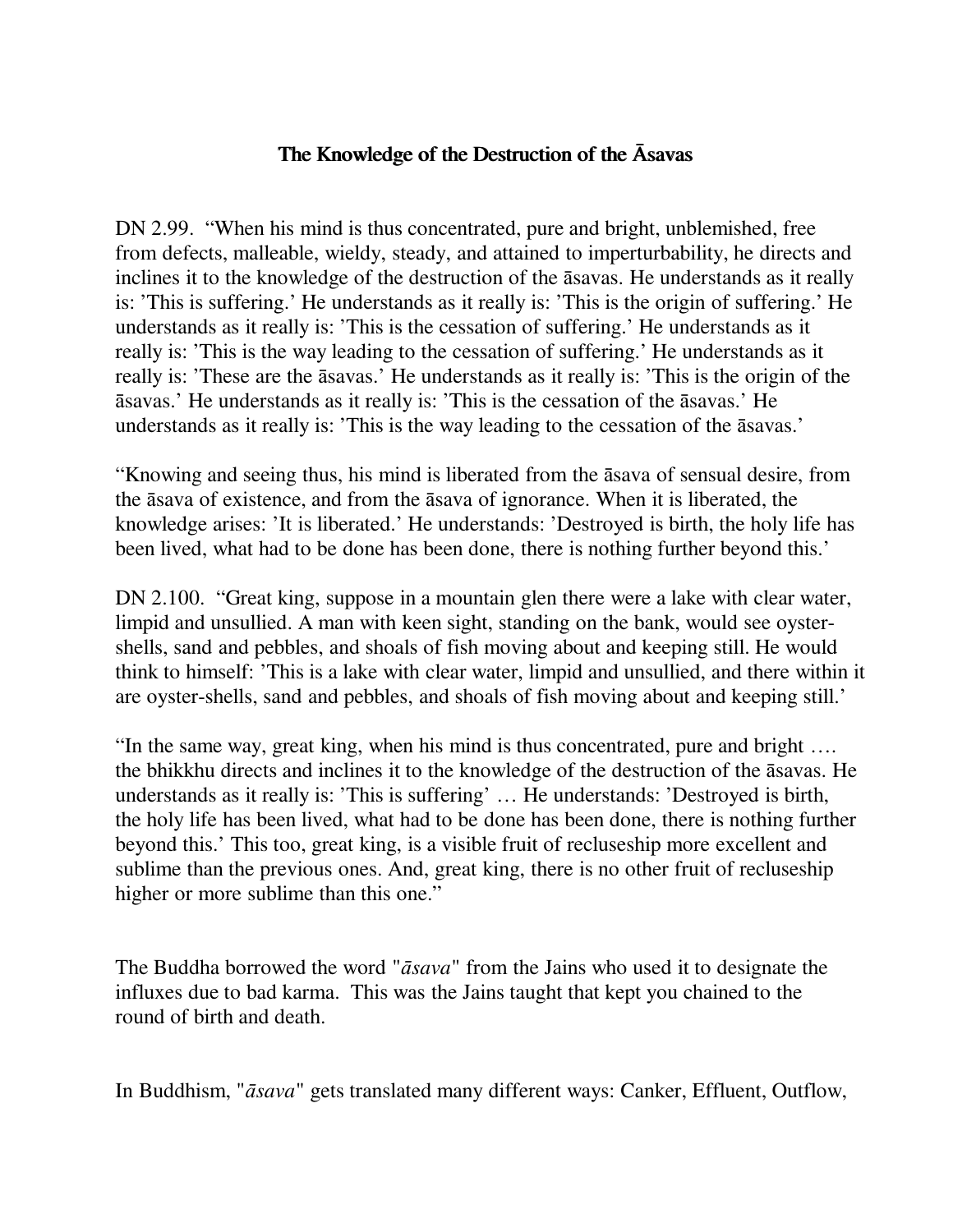# The Knowledge of the Destruction of the Āsavas

DN 2.99. "When his mind is thus concentrated, pure and bright, unblemished, free from defects, malleable, wieldy, steady, and attained to imperturbability, he directs and inclines it to the knowledge of the destruction of the āsavas. He understands as it really is: 'This is suffering.' He understands as it really is: 'This is the origin of suffering.' He understands as it really is: 'This is the cessation of suffering.' He understands as it really is: 'This is the way leading to the cessation of suffering.' He understands as it really is: 'These are the āsavas.' He understands as it really is: 'This is the origin of the āsavas.' He understands as it really is: 'This is the cessation of the āsavas.' He understands as it really is: 'This is the way leading to the cessation of the āsavas.'

"Knowing and seeing thus, his mind is liberated from the āsava of sensual desire, from the āsava of existence, and from the āsava of ignorance. When it is liberated, the knowledge arises: 'It is liberated.' He understands: 'Destroyed is birth, the holy life has been lived, what had to be done has been done, there is nothing further beyond this.'

DN 2.100. "Great king, suppose in a mountain glen there were a lake with clear water, limpid and unsullied. A man with keen sight, standing on the bank, would see oystershells, sand and pebbles, and shoals of fish moving about and keeping still. He would think to himself: 'This is a lake with clear water, limpid and unsullied, and there within it are oyster-shells, sand and pebbles, and shoals of fish moving about and keeping still.'

"In the same way, great king, when his mind is thus concentrated, pure and bright …. the bhikkhu directs and inclines it to the knowledge of the destruction of the āsavas. He understands as it really is: 'This is suffering' … He understands: 'Destroyed is birth, the holy life has been lived, what had to be done has been done, there is nothing further beyond this.' This too, great king, is a visible fruit of recluseship more excellent and sublime than the previous ones. And, great king, there is no other fruit of recluseship higher or more sublime than this one."

The Buddha borrowed the word "*āsava*" from the Jains who used it to designate the influxes due to bad karma. This was the Jains taught that kept you chained to the round of birth and death.

In Buddhism, "*āsava*" gets translated many different ways: Canker, Effluent, Outflow,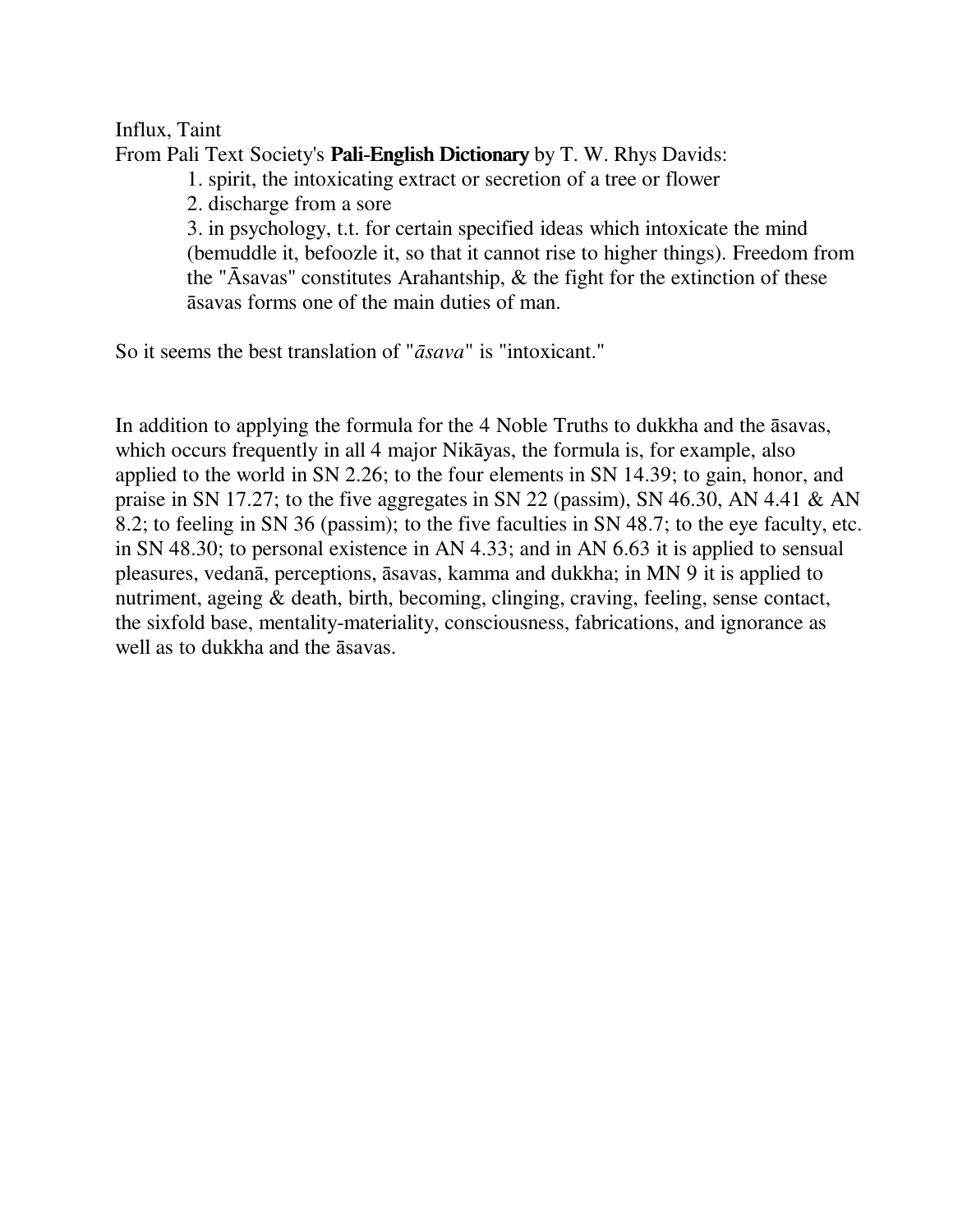Influx, Taint From Pali Text Society's **Pali-English Dictionary** by T. W. Rhys Davids:

1. spirit, the intoxicating extract or secretion of a tree or flower

2. discharge from a sore

3. in psychology, t.t. for certain specified ideas which intoxicate the mind (bemuddle it, befoozle it, so that it cannot rise to higher things). Freedom from the "Āsavas" constitutes Arahantship, & the fight for the extinction of these āsavas forms one of the main duties of man.

So it seems the best translation of "*āsava*" is "intoxicant."

In addition to applying the formula for the 4 Noble Truths to dukkha and the āsavas, which occurs frequently in all 4 major Nikāyas, the formula is, for example, also applied to the world in SN 2.26; to the four elements in SN 14.39; to gain, honor, and praise in SN 17.27; to the five aggregates in SN 22 (passim), SN 46.30, AN 4.41 & AN 8.2; to feeling in SN 36 (passim); to the five faculties in SN 48.7; to the eye faculty, etc. in SN 48.30; to personal existence in AN 4.33; and in AN 6.63 it is applied to sensual pleasures, vedanā, perceptions, āsavas, kamma and dukkha; in MN 9 it is applied to nutriment, ageing & death, birth, becoming, clinging, craving, feeling, sense contact, the sixfold base, mentality-materiality, consciousness, fabrications, and ignorance as well as to dukkha and the āsavas.